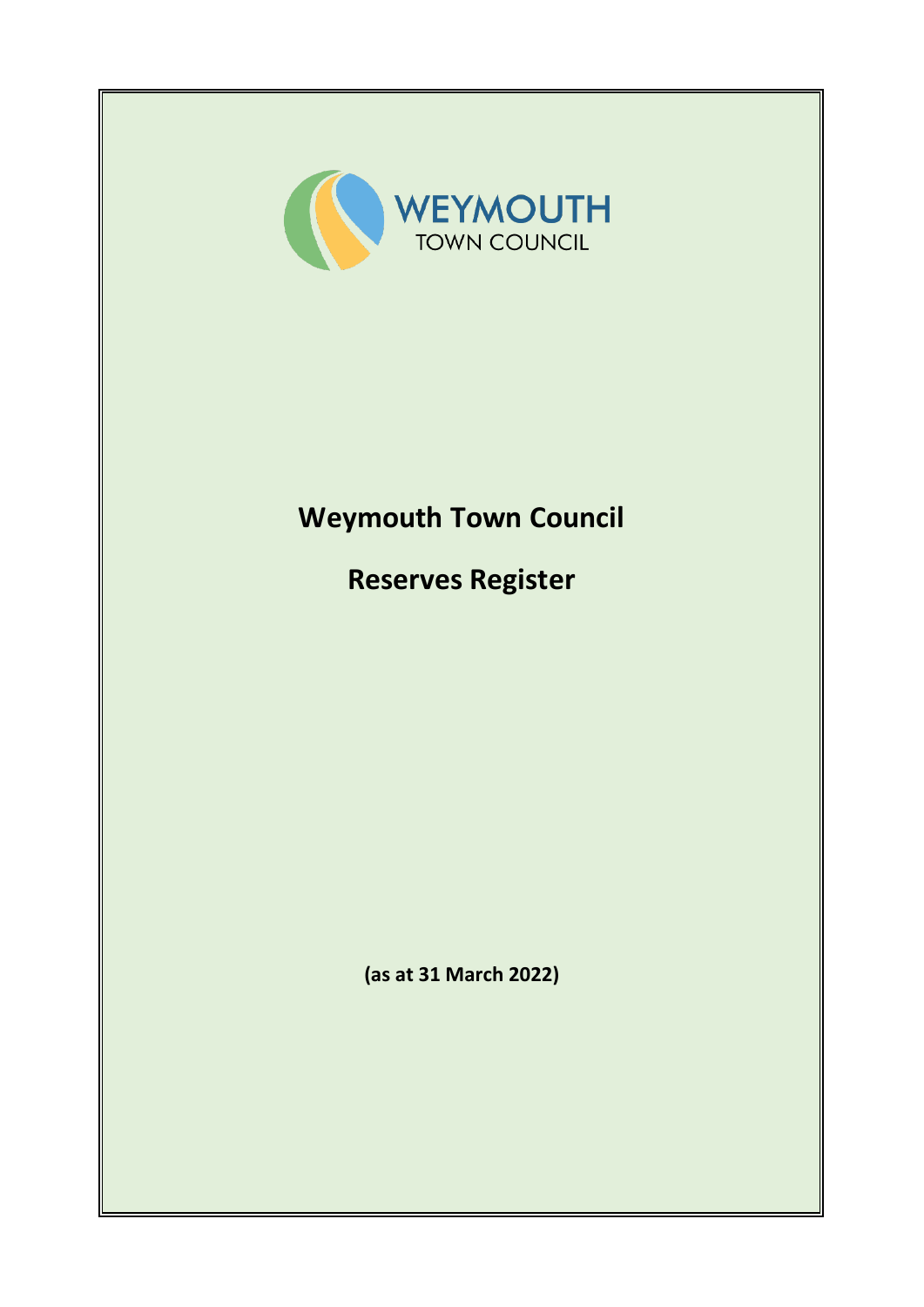

# **Weymouth Town Council**

**Reserves Register**

**(as at 31 March 2022)**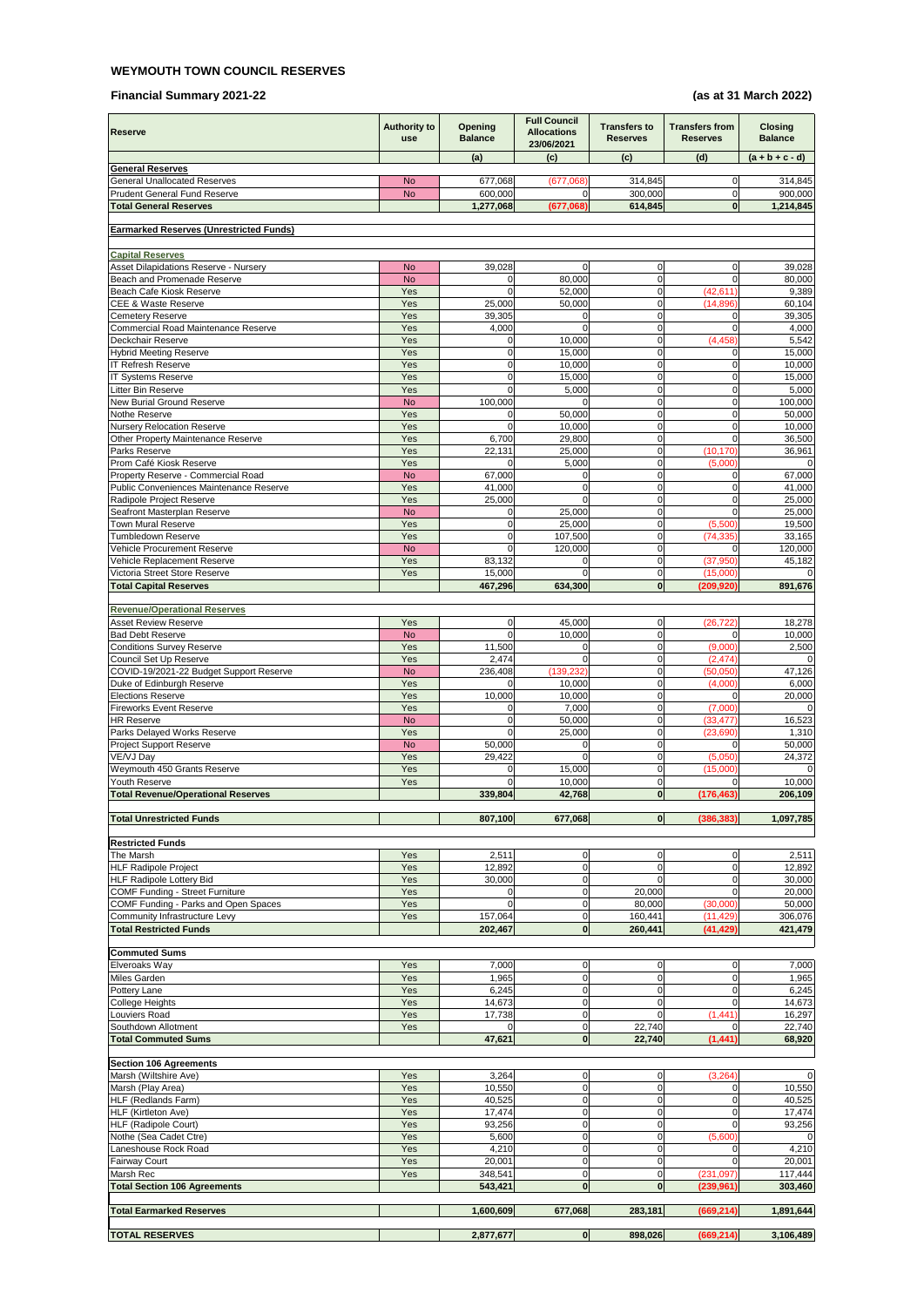#### **WEYMOUTH TOWN COUNCIL RESERVES**

#### **Financial Summary 2021-22 (as at 31 March 2022)**

| Reserve                                                                    | <b>Authority to</b><br><b>use</b> | <b>Opening</b><br><b>Balance</b> | <b>Full Council</b><br><b>Allocations</b><br>23/06/2021 | <b>Transfers to</b><br><b>Reserves</b> | <b>Transfers from</b><br><b>Reserves</b> | <b>Closing</b><br><b>Balance</b> |
|----------------------------------------------------------------------------|-----------------------------------|----------------------------------|---------------------------------------------------------|----------------------------------------|------------------------------------------|----------------------------------|
|                                                                            |                                   | (a)                              | (c)                                                     | (c)                                    | (d)                                      | $(a + b + c - d)$                |
| <b>General Reserves</b>                                                    |                                   |                                  |                                                         |                                        |                                          |                                  |
| <b>General Unallocated Reserves</b><br><b>Prudent General Fund Reserve</b> | <b>No</b><br><b>No</b>            | 677,068<br>600,000               | (677,068)<br>$\Omega$                                   | 314,845<br>300,000                     | $\mathbf 0$<br>$\overline{0}$            | 314,845<br>900,000               |
| <b>Total General Reserves</b>                                              |                                   | 1,277,068                        | (677,068)                                               | 614,845                                | $\mathbf{0}$                             | 1,214,845                        |
|                                                                            |                                   |                                  |                                                         |                                        |                                          |                                  |
| <b>Earmarked Reserves (Unrestricted Funds)</b>                             |                                   |                                  |                                                         |                                        |                                          |                                  |
| <b>Capital Reserves</b>                                                    |                                   |                                  |                                                         |                                        |                                          |                                  |
| Asset Dilapidations Reserve - Nursery                                      | <b>No</b>                         | 39,028                           | $\overline{0}$                                          | $\overline{0}$                         | $\mathbf 0$                              | 39,028                           |
| Beach and Promenade Reserve<br>Beach Cafe Kiosk Reserve                    | <b>No</b><br>Yes                  | $\Omega$<br>$\mathbf 0$          | 80,000<br>52,000                                        | 0<br>$\mathbf 0$                       | $\Omega$<br>(42, 611)                    | 80,000<br>9,389                  |
| <b>CEE &amp; Waste Reserve</b>                                             | Yes                               | 25,000                           | 50,000                                                  | $\mathbf 0$                            | (14, 896)                                | 60,104                           |
| <b>Cemetery Reserve</b>                                                    | Yes                               | 39,305                           | $\overline{0}$                                          | $\mathbf 0$                            | $\mathbf 0$                              | 39,305                           |
| Commercial Road Maintenance Reserve                                        | Yes                               | 4,000                            | $\Omega$                                                | $\mathbf 0$                            | $\Omega$                                 | 4,000                            |
| Deckchair Reserve<br><b>Hybrid Meeting Reserve</b>                         | Yes<br>Yes                        | $\Omega$<br>0                    | 10,000<br>15,000                                        | $\mathbf 0$<br>0                       | (4, 458)<br>$\Omega$                     | 5,542<br>15,000                  |
| <b>IT Refresh Reserve</b>                                                  | Yes                               | 0                                | 10,000                                                  | 0                                      | $\Omega$                                 | 10,000                           |
| <b>IT Systems Reserve</b>                                                  | Yes                               | $\mathbf 0$                      | 15,000                                                  | $\mathbf 0$                            | $\mathbf 0$                              | 15,000                           |
| Litter Bin Reserve                                                         | Yes                               | $\Omega$                         | 5,000                                                   | $\mathbf 0$                            | $\mathbf 0$                              | 5,000                            |
| New Burial Ground Reserve<br>Nothe Reserve                                 | <b>No</b><br>Yes                  | 100,000<br>0                     | $\Omega$<br>50,000                                      | $\mathbf 0$<br>$\Omega$                | $\pmb{0}$<br>$\Omega$                    | 100,000<br>50,000                |
| <b>Nursery Relocation Reserve</b>                                          | Yes                               | $\Omega$                         | 10,000                                                  | $\mathbf 0$                            | $\mathbf 0$                              | 10,000                           |
| Other Property Maintenance Reserve                                         | Yes                               | 6,700                            | 29,800                                                  | $\overline{0}$                         | $\Omega$                                 | 36,500                           |
| Parks Reserve                                                              | Yes                               | 22,131                           | 25,000                                                  | 0                                      | (10, 170)                                | 36,961                           |
| Prom Café Kiosk Reserve<br>Property Reserve - Commercial Road              | Yes<br><b>No</b>                  | $\Omega$<br>67,000               | 5,000<br>$\overline{0}$                                 | $\mathbf 0$<br>$\Omega$                | (5,000)<br>$\mathbf 0$                   | $\Omega$<br>67,000               |
| Public Conveniences Maintenance Reserve                                    | Yes                               | 41,000                           | $\overline{0}$                                          | $\mathbf 0$                            | $\mathbf 0$                              | 41,000                           |
| Radipole Project Reserve                                                   | Yes                               | 25,000                           | $\Omega$                                                | 0                                      | $\mathbf 0$                              | 25,000                           |
| Seafront Masterplan Reserve                                                | <b>No</b>                         | $\Omega$                         | 25,000                                                  | $\mathbf 0$                            | $\Omega$                                 | 25,000                           |
| <b>Town Mural Reserve</b><br>Tumbledown Reserve                            | Yes<br>Yes                        | $\mathbf{0}$<br>$\mathbf 0$      | 25,000<br>107,500                                       | $\overline{0}$<br>$\mathbf 0$          | (5,500)<br>(74, 335)                     | 19,500<br>33,165                 |
| Vehicle Procurement Reserve                                                | <b>No</b>                         | $\Omega$                         | 120,000                                                 | $\Omega$                               | $\Omega$                                 | 120,000                          |
| Vehicle Replacement Reserve                                                | Yes                               | 83,132                           | $\overline{0}$                                          | $\mathbf 0$                            | (37, 950)                                | 45,182                           |
| Victoria Street Store Reserve                                              | Yes                               | 15,000                           | $\Omega$                                                | $\mathbf 0$                            | (15,000)                                 | $\Omega$                         |
| <b>Total Capital Reserves</b>                                              |                                   | 467,296                          | 634,300                                                 | $\mathbf{0}$                           | (209.920)                                | 891,676                          |
| <b>Revenue/Operational Reserves</b>                                        |                                   |                                  |                                                         |                                        |                                          |                                  |
| <b>Asset Review Reserve</b>                                                | Yes                               | $\mathbf{0}$                     | 45,000                                                  | $\mathbf{0}$                           | (26, 722)                                | 18,278                           |
| <b>Bad Debt Reserve</b>                                                    | <b>No</b>                         | $\Omega$                         | 10,000                                                  | $\mathbf 0$                            | $\Omega$                                 | 10,000                           |
| <b>Conditions Survey Reserve</b><br>Council Set Up Reserve                 | Yes<br>Yes                        | 11,500<br>2,474                  | $\overline{0}$<br>$\Omega$                              | $\overline{0}$<br>$\mathbf{0}$         | (9,000)<br>(2, 474)                      | 2,500<br>$\Omega$                |
| COVID-19/2021-22 Budget Support Reserve                                    | <b>No</b>                         | 236,408                          | (139, 232)                                              | $\mathbf 0$                            | (50,050)                                 | 47,126                           |
| Duke of Edinburgh Reserve                                                  | Yes                               | $\Omega$                         | 10,000                                                  | $\Omega$                               | (4,000)                                  | 6,000                            |
| <b>Elections Reserve</b>                                                   | Yes                               | 10,000                           | 10,000                                                  | 0                                      | $\Omega$                                 | 20,000                           |
| <b>Fireworks Event Reserve</b><br><b>HR Reserve</b>                        | Yes<br><b>No</b>                  | $\Omega$<br>$\mathbf 0$          | 7,000<br>50,000                                         | $\mathbf 0$<br>$\mathbf 0$             | (7,000)<br>(33, 477)                     | $\Omega$<br>16,523               |
| Parks Delayed Works Reserve                                                | Yes                               | $\Omega$                         | 25,000                                                  | $\pmb{0}$                              | (23, 690)                                | 1,310                            |
| <b>Project Support Reserve</b>                                             | <b>No</b>                         | 50,000                           | $\overline{0}$                                          | $\mathbf 0$                            | $\Omega$                                 | 50,000                           |
| VE/VJ Day                                                                  | Yes                               | 29,422                           | $\Omega$                                                | $\mathbf 0$                            | (5,050)                                  | 24,372                           |
| Weymouth 450 Grants Reserve<br>Youth Reserve                               | Yes<br>Yes                        | $\mathbf 0$<br>$\Omega$          | 15,000<br>10,000                                        | $\mathbf 0$<br>$\overline{0}$          | (15,000)<br>$\Omega$                     | $\Omega$<br>10,000               |
| <b>Total Revenue/Operational Reserves</b>                                  |                                   | 339,804                          | 42,768                                                  | $\mathbf{0}$                           | (176, 463)                               | 206,109                          |
|                                                                            |                                   |                                  |                                                         |                                        |                                          |                                  |
| <b>Total Unrestricted Funds</b>                                            |                                   | 807,100                          | 677,068                                                 | $\mathbf{0}$                           | (386, 383)                               | 1,097,785                        |
| <b>Restricted Funds</b>                                                    |                                   |                                  |                                                         |                                        |                                          |                                  |
| The Marsh                                                                  | Yes                               | 2,511                            | $\overline{0}$                                          | 0                                      | $\mathbf 0$                              | 2,511                            |
| HLF Radipole Project                                                       | Yes                               | 12,892                           | $\overline{0}$                                          | $\Omega$                               | $\Omega$                                 | 12,892                           |
| <b>HLF Radipole Lottery Bid</b><br>COMF Funding - Street Furniture         | Yes<br>Yes                        | 30,000<br>$\Omega$               | $\overline{0}$<br>$\overline{0}$                        | $\Omega$<br>20,000                     | $\Omega$<br>$\Omega$                     | 30,000<br>20,000                 |
| COMF Funding - Parks and Open Spaces                                       | Yes                               | $\Omega$                         | $\overline{0}$                                          | 80,000                                 | (30,000)                                 | 50,000                           |
| Community Infrastructure Levy                                              | Yes                               | 157,064                          | $\overline{0}$                                          | 160,441                                | (11, 429)                                | 306,076                          |
| <b>Total Restricted Funds</b>                                              |                                   | 202,467                          | $\mathbf{0}$                                            | 260,441                                | (41, 429)                                | 421,479                          |
| <b>Commuted Sums</b>                                                       |                                   |                                  |                                                         |                                        |                                          |                                  |
| Elveroaks Way                                                              | Yes                               | 7,000                            | $\overline{0}$                                          | $\mathbf 0$                            | $\overline{0}$                           | 7,000                            |
| Miles Garden                                                               | Yes                               | 1,965                            | $\overline{0}$                                          | 0                                      | $\mathbf 0$                              | 1,965                            |
| Pottery Lane                                                               | Yes                               | 6,245                            | $\overline{0}$                                          | $\mathbf 0$                            | $\mathbf 0$                              | 6,245                            |
| College Heights<br>Louviers Road                                           | Yes<br>Yes                        | 14,673<br>17,738                 | $\overline{0}$<br>$\overline{0}$                        | $\Omega$<br>$\Omega$                   | $\Omega$<br>(1, 441)                     | 14,673<br>16,297                 |
| Southdown Allotment                                                        | Yes                               | $\Omega$                         | $\overline{0}$                                          | 22,740                                 | $\Omega$                                 | 22,740                           |
| <b>Total Commuted Sums</b>                                                 |                                   | 47,621                           | $\mathbf{0}$                                            | 22,740                                 | (1, 441)                                 | 68,920                           |
| <b>Section 106 Agreements</b>                                              |                                   |                                  |                                                         |                                        |                                          |                                  |
| Marsh (Wiltshire Ave)                                                      | Yes                               | 3,264                            | $\overline{0}$                                          | $\mathbf{0}$                           | (3, 264)                                 | $\Omega$                         |
| Marsh (Play Area)                                                          | Yes                               | 10,550                           | $\overline{0}$                                          | $\mathbf 0$                            | $\overline{0}$                           | 10,550                           |
| HLF (Redlands Farm)                                                        | Yes                               | 40,525                           | $\overline{0}$                                          | $\boldsymbol{0}$                       | $\overline{0}$                           | 40,525                           |
| HLF (Kirtleton Ave)                                                        | Yes                               | 17,474                           | $\overline{0}$                                          | $\overline{0}$                         | $\Omega$                                 | 17,474                           |
| HLF (Radipole Court)<br>Nothe (Sea Cadet Ctre)                             | Yes<br>Yes                        | 93,256<br>5,600                  | $\overline{0}$<br>$\overline{0}$                        | $\Omega$<br>$\overline{0}$             | $\Omega$<br>(5,600)                      | 93,256<br>$\Omega$               |
| Laneshouse Rock Road                                                       | Yes                               | 4,210                            | $\mathbf 0$                                             | $\mathbf 0$                            | $\mathbf 0$                              | 4,210                            |
| <b>Fairway Court</b>                                                       | Yes                               | 20,001                           | $\overline{0}$                                          | $\overline{0}$                         | $\overline{0}$                           | 20,001                           |
| Marsh Rec                                                                  | Yes                               | 348,541                          | $\mathbf 0$                                             | $\mathbf 0$                            | (231, 097)                               | 117,444                          |
| <b>Total Section 106 Agreements</b>                                        |                                   | 543,421                          | $\mathbf{0}$                                            | $\mathbf{0}$                           | (239, 961)                               | 303,460                          |
| <b>Total Earmarked Reserves</b>                                            |                                   | 1,600,609                        | 677,068                                                 | 283,181                                | (669, 214)                               | 1,891,644                        |
|                                                                            |                                   |                                  |                                                         |                                        |                                          |                                  |
| <b>TOTAL RESERVES</b>                                                      |                                   | 2,877,677                        | 0                                                       | 898,026                                | (669, 214)                               | 3,106,489                        |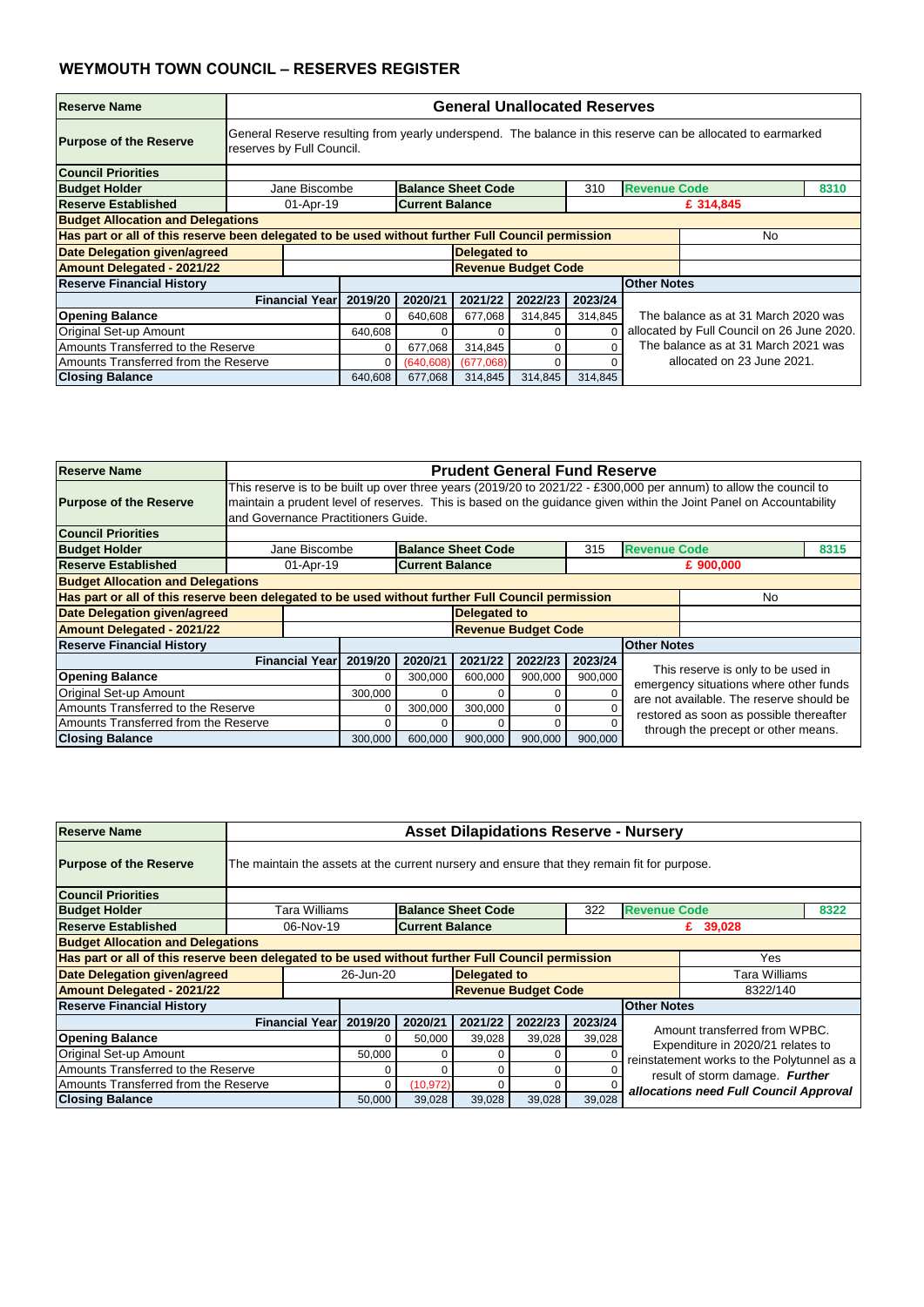| <b>Reserve Name</b>                                                                               |                           | <b>General Unallocated Reserves</b>                                                                         |                        |                            |         |         |                    |                                            |  |  |  |  |
|---------------------------------------------------------------------------------------------------|---------------------------|-------------------------------------------------------------------------------------------------------------|------------------------|----------------------------|---------|---------|--------------------|--------------------------------------------|--|--|--|--|
| <b>Purpose of the Reserve</b>                                                                     | reserves by Full Council. | General Reserve resulting from yearly underspend. The balance in this reserve can be allocated to earmarked |                        |                            |         |         |                    |                                            |  |  |  |  |
| <b>Council Priorities</b>                                                                         |                           |                                                                                                             |                        |                            |         |         |                    |                                            |  |  |  |  |
| <b>Budget Holder</b>                                                                              |                           | <b>Balance Sheet Code</b><br><b>Revenue Code</b><br>Jane Biscombe<br>8310<br>310                            |                        |                            |         |         |                    |                                            |  |  |  |  |
| <b>Reserve Established</b>                                                                        | 01-Apr-19                 |                                                                                                             | <b>Current Balance</b> |                            |         |         |                    | £ 314,845                                  |  |  |  |  |
| <b>Budget Allocation and Delegations</b>                                                          |                           |                                                                                                             |                        |                            |         |         |                    |                                            |  |  |  |  |
| Has part or all of this reserve been delegated to be used without further Full Council permission |                           |                                                                                                             |                        |                            |         |         |                    | No.                                        |  |  |  |  |
| Date Delegation given/agreed                                                                      |                           |                                                                                                             |                        | <b>Delegated to</b>        |         |         |                    |                                            |  |  |  |  |
| <b>Amount Delegated - 2021/22</b>                                                                 |                           |                                                                                                             |                        | <b>Revenue Budget Code</b> |         |         |                    |                                            |  |  |  |  |
| <b>Reserve Financial History</b>                                                                  |                           |                                                                                                             |                        |                            |         |         | <b>Other Notes</b> |                                            |  |  |  |  |
|                                                                                                   | <b>Financial Year</b>     | 2019/20                                                                                                     | 2020/21                | 2021/22                    | 2022/23 | 2023/24 |                    |                                            |  |  |  |  |
| <b>Opening Balance</b>                                                                            |                           |                                                                                                             | 640,608                | 677,068                    | 314,845 | 314,845 |                    | The balance as at 31 March 2020 was        |  |  |  |  |
| Original Set-up Amount                                                                            |                           | 640,608                                                                                                     |                        |                            | 0       |         |                    | allocated by Full Council on 26 June 2020. |  |  |  |  |
| Amounts Transferred to the Reserve                                                                |                           | 0                                                                                                           | 677,068                | 314,845                    | 0       |         |                    | The balance as at 31 March 2021 was        |  |  |  |  |
| Amounts Transferred from the Reserve                                                              |                           | 0                                                                                                           | (640, 608)             | (677,068)                  | U       |         |                    | allocated on 23 June 2021.                 |  |  |  |  |
| <b>Closing Balance</b>                                                                            |                           | 640,608                                                                                                     | 677,068                | 314,845                    | 314,845 | 314,845 |                    |                                            |  |  |  |  |

| Reserve Name                             |                                                                                             | <b>Asset Dilapidations Reserve - Nursery</b>                                                             |           |                           |                            |         |                     |                                            |      |  |  |  |
|------------------------------------------|---------------------------------------------------------------------------------------------|----------------------------------------------------------------------------------------------------------|-----------|---------------------------|----------------------------|---------|---------------------|--------------------------------------------|------|--|--|--|
| <b>Purpose of the Reserve</b>            | The maintain the assets at the current nursery and ensure that they remain fit for purpose. |                                                                                                          |           |                           |                            |         |                     |                                            |      |  |  |  |
| <b>Council Priorities</b>                |                                                                                             |                                                                                                          |           |                           |                            |         |                     |                                            |      |  |  |  |
| <b>Budget Holder</b>                     | Tara Williams                                                                               |                                                                                                          |           | <b>Balance Sheet Code</b> |                            | 322     | <b>Revenue Code</b> |                                            | 8322 |  |  |  |
| Reserve Established                      |                                                                                             | <b>Current Balance</b><br>06-Nov-19<br>£ 39,028                                                          |           |                           |                            |         |                     |                                            |      |  |  |  |
| <b>Budget Allocation and Delegations</b> |                                                                                             |                                                                                                          |           |                           |                            |         |                     |                                            |      |  |  |  |
|                                          |                                                                                             | Has part or all of this reserve been delegated to be used without further Full Council permission<br>Yes |           |                           |                            |         |                     |                                            |      |  |  |  |
| <b>Date Delegation given/agreed</b>      |                                                                                             | 26-Jun-20                                                                                                |           | <b>Delegated to</b>       |                            |         |                     | Tara Williams                              |      |  |  |  |
| <b>Amount Delegated - 2021/22</b>        |                                                                                             |                                                                                                          |           |                           | <b>Revenue Budget Code</b> |         |                     | 8322/140                                   |      |  |  |  |
| <b>Reserve Financial History</b>         |                                                                                             |                                                                                                          |           |                           |                            |         | <b>Other Notes</b>  |                                            |      |  |  |  |
|                                          | <b>Financial Year</b>                                                                       | 2019/20                                                                                                  | 2020/21   | 2021/22                   | 2022/23                    | 2023/24 |                     | Amount transferred from WPBC.              |      |  |  |  |
| <b>Opening Balance</b>                   |                                                                                             |                                                                                                          | 50,000    | 39,028                    | 39,028                     | 39,028  |                     | Expenditure in 2020/21 relates to          |      |  |  |  |
| <b>Original Set-up Amount</b>            |                                                                                             | 50,000                                                                                                   | 0         |                           | 0                          |         |                     | reinstatement works to the Polytunnel as a |      |  |  |  |
| Amounts Transferred to the Reserve       |                                                                                             |                                                                                                          | 0         |                           | 0                          |         |                     | result of storm damage. Further            |      |  |  |  |
| Amounts Transferred from the Reserve     |                                                                                             |                                                                                                          | (10, 972) |                           | 0                          |         |                     | allocations need Full Council Approval     |      |  |  |  |
| <b>Closing Balance</b>                   |                                                                                             | 50,000                                                                                                   | 39,028    | 39,028                    | 39,028                     | 39,028  |                     |                                            |      |  |  |  |

| <b>Reserve Name</b>                                                                               |                       | <b>Prudent General Fund Reserve</b>                                                                                                                                                                                                                                            |                        |                     |                            |         |                    |                                         |  |  |  |  |
|---------------------------------------------------------------------------------------------------|-----------------------|--------------------------------------------------------------------------------------------------------------------------------------------------------------------------------------------------------------------------------------------------------------------------------|------------------------|---------------------|----------------------------|---------|--------------------|-----------------------------------------|--|--|--|--|
| <b>Purpose of the Reserve</b>                                                                     |                       | This reserve is to be built up over three years (2019/20 to 2021/22 - £300,000 per annum) to allow the council to<br>maintain a prudent level of reserves. This is based on the guidance given within the Joint Panel on Accountability<br>and Governance Practitioners Guide. |                        |                     |                            |         |                    |                                         |  |  |  |  |
| <b>Council Priorities</b>                                                                         |                       |                                                                                                                                                                                                                                                                                |                        |                     |                            |         |                    |                                         |  |  |  |  |
| <b>Budget Holder</b>                                                                              |                       | <b>Revenue Code</b><br><b>Balance Sheet Code</b><br>Jane Biscombe<br>315<br>8315                                                                                                                                                                                               |                        |                     |                            |         |                    |                                         |  |  |  |  |
| <b>Reserve Established</b>                                                                        | 01-Apr-19             |                                                                                                                                                                                                                                                                                | <b>Current Balance</b> |                     |                            |         |                    | £ 900,000                               |  |  |  |  |
| <b>Budget Allocation and Delegations</b>                                                          |                       |                                                                                                                                                                                                                                                                                |                        |                     |                            |         |                    |                                         |  |  |  |  |
| Has part or all of this reserve been delegated to be used without further Full Council permission |                       |                                                                                                                                                                                                                                                                                |                        |                     |                            |         |                    | No                                      |  |  |  |  |
| Date Delegation given/agreed                                                                      |                       |                                                                                                                                                                                                                                                                                |                        | <b>Delegated to</b> |                            |         |                    |                                         |  |  |  |  |
| <b>Amount Delegated - 2021/22</b>                                                                 |                       |                                                                                                                                                                                                                                                                                |                        |                     | <b>Revenue Budget Code</b> |         |                    |                                         |  |  |  |  |
| <b>Reserve Financial History</b>                                                                  |                       |                                                                                                                                                                                                                                                                                |                        |                     |                            |         | <b>Other Notes</b> |                                         |  |  |  |  |
|                                                                                                   | <b>Financial Year</b> | 2019/20                                                                                                                                                                                                                                                                        | 2020/21                | 2021/22             | 2022/23                    | 2023/24 |                    |                                         |  |  |  |  |
| <b>Opening Balance</b>                                                                            |                       |                                                                                                                                                                                                                                                                                | 300,000                | 600,000             | 900,000                    | 900,000 |                    | This reserve is only to be used in      |  |  |  |  |
| Original Set-up Amount                                                                            |                       | emergency situations where other funds<br>300,000<br>$\Omega$<br>are not available. The reserve should be                                                                                                                                                                      |                        |                     |                            |         |                    |                                         |  |  |  |  |
| Amounts Transferred to the Reserve                                                                |                       | $\Omega$                                                                                                                                                                                                                                                                       | 300,000                | 300,000             | $\Omega$                   |         |                    | restored as soon as possible thereafter |  |  |  |  |
| Amounts Transferred from the Reserve                                                              |                       | 0                                                                                                                                                                                                                                                                              |                        | 0                   | $\Omega$                   |         |                    | through the precept or other means.     |  |  |  |  |
| <b>Closing Balance</b>                                                                            |                       | 300,000                                                                                                                                                                                                                                                                        | 600,000                | 900,000             | 900,000                    | 900,000 |                    |                                         |  |  |  |  |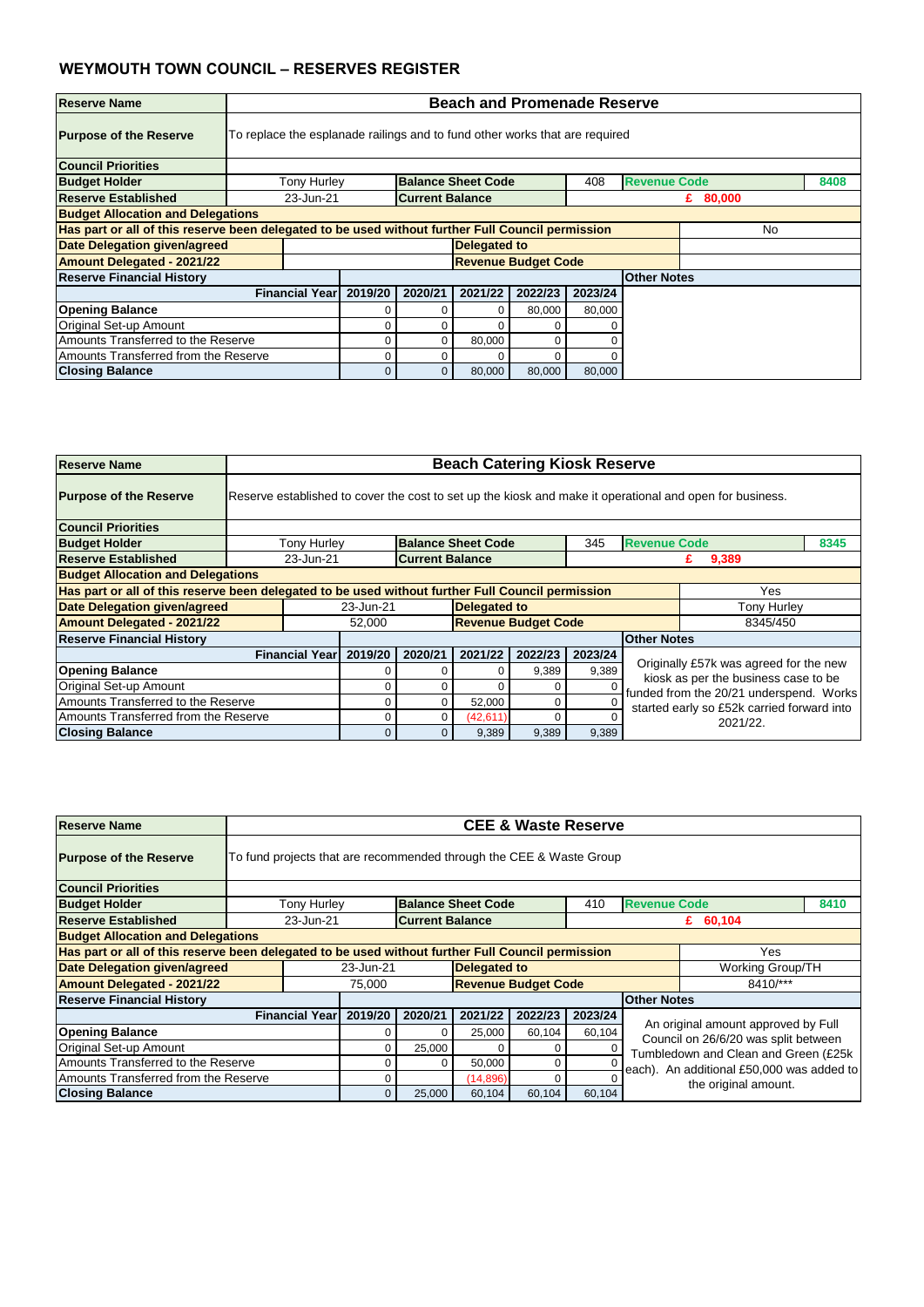| <b>Reserve Name</b>                      |                                                                             | <b>Beach and Promenade Reserve</b>                                                                      |                        |                            |         |         |                     |            |  |      |  |
|------------------------------------------|-----------------------------------------------------------------------------|---------------------------------------------------------------------------------------------------------|------------------------|----------------------------|---------|---------|---------------------|------------|--|------|--|
| <b>Purpose of the Reserve</b>            | To replace the esplanade railings and to fund other works that are required |                                                                                                         |                        |                            |         |         |                     |            |  |      |  |
| <b>Council Priorities</b>                |                                                                             |                                                                                                         |                        |                            |         |         |                     |            |  |      |  |
| <b>Budget Holder</b>                     | <b>Tony Hurley</b>                                                          |                                                                                                         |                        | <b>Balance Sheet Code</b>  |         | 408     | <b>Revenue Code</b> |            |  | 8408 |  |
| <b>Reserve Established</b>               | 23-Jun-21                                                                   |                                                                                                         | <b>Current Balance</b> |                            |         |         |                     | £ $80,000$ |  |      |  |
| <b>Budget Allocation and Delegations</b> |                                                                             |                                                                                                         |                        |                            |         |         |                     |            |  |      |  |
|                                          |                                                                             | Has part or all of this reserve been delegated to be used without further Full Council permission<br>No |                        |                            |         |         |                     |            |  |      |  |
| Date Delegation given/agreed             |                                                                             |                                                                                                         |                        | <b>Delegated to</b>        |         |         |                     |            |  |      |  |
| <b>Amount Delegated - 2021/22</b>        |                                                                             |                                                                                                         |                        | <b>Revenue Budget Code</b> |         |         |                     |            |  |      |  |
| <b>Reserve Financial History</b>         |                                                                             |                                                                                                         |                        |                            |         |         | <b>Other Notes</b>  |            |  |      |  |
|                                          | <b>Financial Year</b>                                                       | 2019/20                                                                                                 | 2020/21                | 2021/22                    | 2022/23 | 2023/24 |                     |            |  |      |  |
| <b>Opening Balance</b>                   |                                                                             |                                                                                                         |                        |                            | 80,000  | 80,000  |                     |            |  |      |  |
| Original Set-up Amount                   |                                                                             |                                                                                                         |                        |                            |         |         |                     |            |  |      |  |
| Amounts Transferred to the Reserve       |                                                                             | 80,000<br>O                                                                                             |                        |                            |         |         |                     |            |  |      |  |
| Amounts Transferred from the Reserve     |                                                                             | 0                                                                                                       |                        |                            |         |         |                     |            |  |      |  |
| <b>Closing Balance</b>                   |                                                                             | 0                                                                                                       | 0                      | 80,000                     | 80,000  | 80,000  |                     |            |  |      |  |

| <b>Reserve Name</b>                      |                                                                                                          | <b>Beach Catering Kiosk Reserve</b>                                                                      |                        |                            |          |                    |                                                        |                                                                                 |      |  |  |  |
|------------------------------------------|----------------------------------------------------------------------------------------------------------|----------------------------------------------------------------------------------------------------------|------------------------|----------------------------|----------|--------------------|--------------------------------------------------------|---------------------------------------------------------------------------------|------|--|--|--|
| <b>Purpose of the Reserve</b>            | Reserve established to cover the cost to set up the kiosk and make it operational and open for business. |                                                                                                          |                        |                            |          |                    |                                                        |                                                                                 |      |  |  |  |
| <b>Council Priorities</b>                |                                                                                                          |                                                                                                          |                        |                            |          |                    |                                                        |                                                                                 |      |  |  |  |
| <b>Budget Holder</b>                     | <b>Tony Hurley</b>                                                                                       |                                                                                                          |                        | <b>Balance Sheet Code</b>  |          | 345                | <b>Revenue Code</b>                                    |                                                                                 | 8345 |  |  |  |
| <b>Reserve Established</b>               | 23-Jun-21                                                                                                |                                                                                                          | <b>Current Balance</b> |                            |          |                    |                                                        | 9,389<br>£                                                                      |      |  |  |  |
| <b>Budget Allocation and Delegations</b> |                                                                                                          |                                                                                                          |                        |                            |          |                    |                                                        |                                                                                 |      |  |  |  |
|                                          |                                                                                                          | Has part or all of this reserve been delegated to be used without further Full Council permission<br>Yes |                        |                            |          |                    |                                                        |                                                                                 |      |  |  |  |
| Date Delegation given/agreed             |                                                                                                          | 23-Jun-21                                                                                                |                        | <b>Delegated to</b>        |          | <b>Tony Hurley</b> |                                                        |                                                                                 |      |  |  |  |
| <b>Amount Delegated - 2021/22</b>        |                                                                                                          | 52,000                                                                                                   |                        | <b>Revenue Budget Code</b> |          |                    |                                                        | 8345/450                                                                        |      |  |  |  |
| <b>Reserve Financial History</b>         |                                                                                                          |                                                                                                          |                        |                            |          |                    | <b>Other Notes</b>                                     |                                                                                 |      |  |  |  |
|                                          | <b>Financial Year</b>                                                                                    | 2019/20                                                                                                  | 2020/21                | 2021/22                    | 2022/23  | 2023/24            |                                                        |                                                                                 |      |  |  |  |
| <b>Opening Balance</b>                   |                                                                                                          |                                                                                                          |                        |                            | 9,389    | 9,389              |                                                        | Originally £57k was agreed for the new                                          |      |  |  |  |
| Original Set-up Amount                   |                                                                                                          |                                                                                                          |                        |                            | 0        |                    |                                                        | kiosk as per the business case to be<br>funded from the 20/21 underspend. Works |      |  |  |  |
| Amounts Transferred to the Reserve       |                                                                                                          |                                                                                                          |                        | 52,000                     | 0        |                    |                                                        |                                                                                 |      |  |  |  |
| Amounts Transferred from the Reserve     |                                                                                                          |                                                                                                          |                        | (42, 611)                  | $\Omega$ |                    | started early so £52k carried forward into<br>2021/22. |                                                                                 |      |  |  |  |
| <b>Closing Balance</b>                   |                                                                                                          | 0                                                                                                        | 0                      | 9,389                      | 9,389    | 9,389              |                                                        |                                                                                 |      |  |  |  |

| <b>Reserve Name</b>                                                                               |                                                                     | <b>CEE &amp; Waste Reserve</b>                                    |           |                            |         |         |                                           |                                                                             |      |  |  |  |
|---------------------------------------------------------------------------------------------------|---------------------------------------------------------------------|-------------------------------------------------------------------|-----------|----------------------------|---------|---------|-------------------------------------------|-----------------------------------------------------------------------------|------|--|--|--|
| <b>Purpose of the Reserve</b>                                                                     | To fund projects that are recommended through the CEE & Waste Group |                                                                   |           |                            |         |         |                                           |                                                                             |      |  |  |  |
| <b>Council Priorities</b>                                                                         |                                                                     |                                                                   |           |                            |         |         |                                           |                                                                             |      |  |  |  |
| <b>Budget Holder</b>                                                                              | <b>Tony Hurley</b>                                                  |                                                                   |           | <b>Balance Sheet Code</b>  |         | 410     | <b>Revenue Code</b>                       |                                                                             | 8410 |  |  |  |
| <b>Reserve Established</b>                                                                        |                                                                     | <b>Current Balance</b><br>23-Jun-21<br>£ $60,104$                 |           |                            |         |         |                                           |                                                                             |      |  |  |  |
| <b>Budget Allocation and Delegations</b>                                                          |                                                                     |                                                                   |           |                            |         |         |                                           |                                                                             |      |  |  |  |
| Has part or all of this reserve been delegated to be used without further Full Council permission |                                                                     |                                                                   |           |                            |         |         |                                           | Yes                                                                         |      |  |  |  |
| <b>Date Delegation given/agreed</b>                                                               |                                                                     | 23-Jun-21                                                         |           | <b>Delegated to</b>        |         |         |                                           | <b>Working Group/TH</b>                                                     |      |  |  |  |
| <b>Amount Delegated - 2021/22</b>                                                                 |                                                                     | 75,000                                                            |           | <b>Revenue Budget Code</b> |         |         |                                           | 8410/***                                                                    |      |  |  |  |
| <b>Reserve Financial History</b>                                                                  |                                                                     |                                                                   |           |                            |         |         | <b>Other Notes</b>                        |                                                                             |      |  |  |  |
|                                                                                                   | <b>Financial Year</b>                                               | 2019/20                                                           | 2020/21   | 2021/22                    | 2022/23 | 2023/24 |                                           |                                                                             |      |  |  |  |
| <b>Opening Balance</b>                                                                            |                                                                     |                                                                   | 0         | 25,000                     | 60,104  | 60,104  |                                           | An original amount approved by Full<br>Council on 26/6/20 was split between |      |  |  |  |
| Original Set-up Amount                                                                            |                                                                     |                                                                   | 25,000    |                            | 0       |         |                                           | Tumbledown and Clean and Green (£25k                                        |      |  |  |  |
| Amounts Transferred to the Reserve                                                                |                                                                     |                                                                   | 0         | 50,000                     | 0       |         | each). An additional £50,000 was added to |                                                                             |      |  |  |  |
| Amounts Transferred from the Reserve                                                              |                                                                     |                                                                   | (14, 896) | 0                          |         |         |                                           |                                                                             |      |  |  |  |
| <b>Closing Balance</b>                                                                            |                                                                     | the original amount.<br>25,000<br>60,104<br>60,104<br>60,104<br>0 |           |                            |         |         |                                           |                                                                             |      |  |  |  |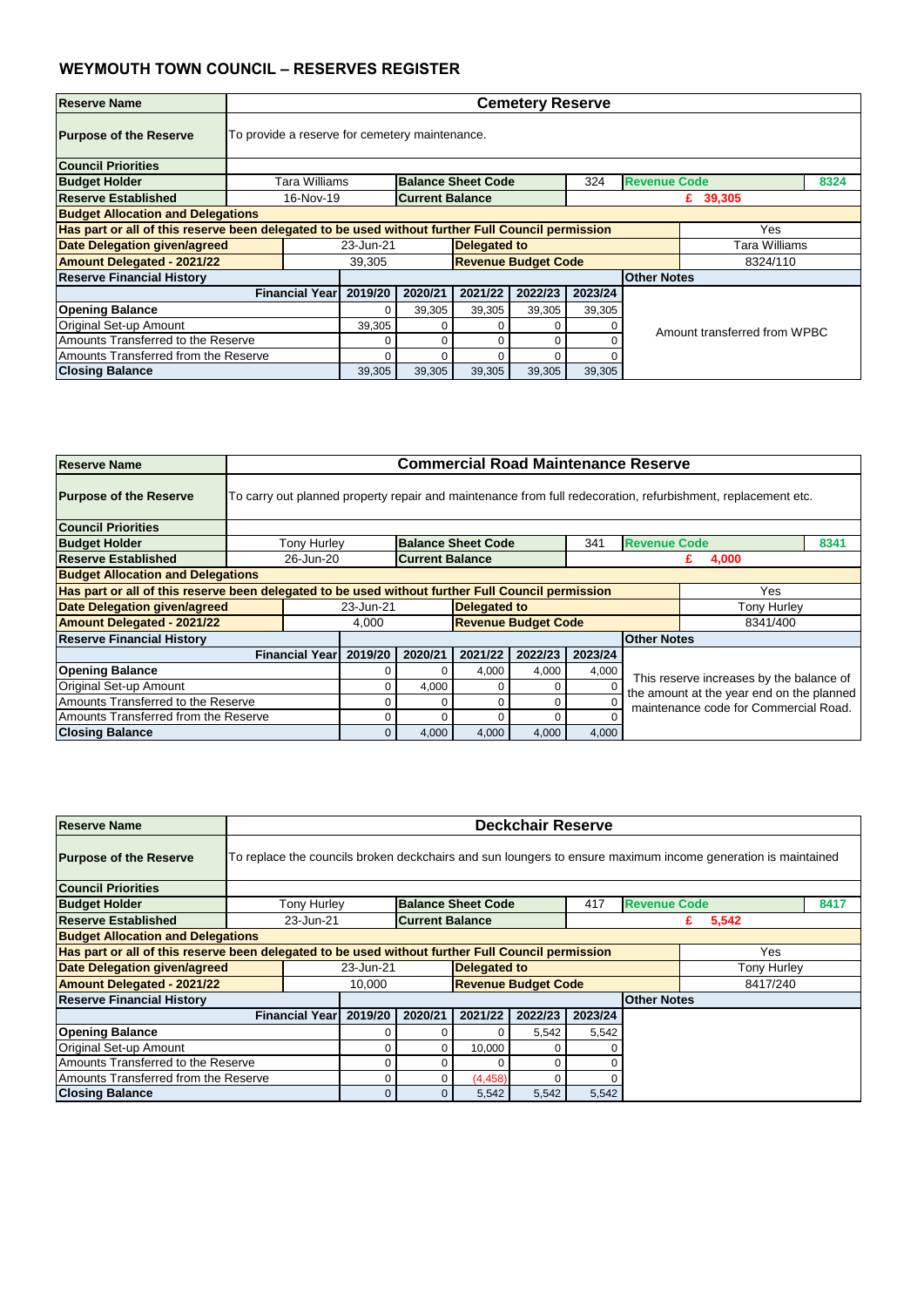| <b>Reserve Name</b>                      |                                                | <b>Cemetery Reserve</b>                                                                                  |         |                           |                            |         |                     |                              |      |  |  |  |
|------------------------------------------|------------------------------------------------|----------------------------------------------------------------------------------------------------------|---------|---------------------------|----------------------------|---------|---------------------|------------------------------|------|--|--|--|
| <b>Purpose of the Reserve</b>            | To provide a reserve for cemetery maintenance. |                                                                                                          |         |                           |                            |         |                     |                              |      |  |  |  |
| <b>Council Priorities</b>                |                                                |                                                                                                          |         |                           |                            |         |                     |                              |      |  |  |  |
| <b>Budget Holder</b>                     | Tara Williams                                  |                                                                                                          |         | <b>Balance Sheet Code</b> |                            | 324     | <b>Revenue Code</b> |                              | 8324 |  |  |  |
| <b>Reserve Established</b>               |                                                | 16-Nov-19<br><b>Current Balance</b><br>£ 39,305                                                          |         |                           |                            |         |                     |                              |      |  |  |  |
| <b>Budget Allocation and Delegations</b> |                                                |                                                                                                          |         |                           |                            |         |                     |                              |      |  |  |  |
|                                          |                                                | Has part or all of this reserve been delegated to be used without further Full Council permission<br>Yes |         |                           |                            |         |                     |                              |      |  |  |  |
| <b>Date Delegation given/agreed</b>      |                                                | 23-Jun-21                                                                                                |         | <b>Delegated to</b>       |                            |         |                     | Tara Williams                |      |  |  |  |
| <b>Amount Delegated - 2021/22</b>        |                                                | 39,305                                                                                                   |         |                           | <b>Revenue Budget Code</b> |         |                     | 8324/110                     |      |  |  |  |
| <b>Reserve Financial History</b>         |                                                |                                                                                                          |         |                           |                            |         | <b>Other Notes</b>  |                              |      |  |  |  |
|                                          | <b>Financial Year</b>                          | 2019/20                                                                                                  | 2020/21 | 2021/22                   | 2022/23                    | 2023/24 |                     |                              |      |  |  |  |
| <b>Opening Balance</b>                   |                                                | 0                                                                                                        | 39,305  | 39,305                    | 39,305                     | 39,305  |                     |                              |      |  |  |  |
| Original Set-up Amount                   |                                                | 39,305                                                                                                   | 0       |                           | 0                          |         |                     | Amount transferred from WPBC |      |  |  |  |
| Amounts Transferred to the Reserve       |                                                | 0<br>0                                                                                                   |         |                           |                            |         |                     |                              |      |  |  |  |
| Amounts Transferred from the Reserve     |                                                | 0<br>n                                                                                                   |         |                           |                            |         |                     |                              |      |  |  |  |
| <b>Closing Balance</b>                   |                                                | 39,305                                                                                                   | 39,305  | 39,305                    | 39,305                     | 39,305  |                     |                              |      |  |  |  |

| <b>Reserve Name</b>                      |                       | <b>Commercial Road Maintenance Reserve</b>                                                               |                        |                            |         |         |                                                                                       |                                                                                                              |      |  |  |  |
|------------------------------------------|-----------------------|----------------------------------------------------------------------------------------------------------|------------------------|----------------------------|---------|---------|---------------------------------------------------------------------------------------|--------------------------------------------------------------------------------------------------------------|------|--|--|--|
| <b>Purpose of the Reserve</b>            |                       |                                                                                                          |                        |                            |         |         |                                                                                       | To carry out planned property repair and maintenance from full redecoration, refurbishment, replacement etc. |      |  |  |  |
| <b>Council Priorities</b>                |                       |                                                                                                          |                        |                            |         |         |                                                                                       |                                                                                                              |      |  |  |  |
| <b>Budget Holder</b>                     | <b>Tony Hurley</b>    |                                                                                                          |                        | <b>Balance Sheet Code</b>  |         | 341     | <b>Revenue Code</b>                                                                   |                                                                                                              | 8341 |  |  |  |
| <b>Reserve Established</b>               | 26-Jun-20             |                                                                                                          | <b>Current Balance</b> |                            |         |         |                                                                                       | 4,000<br>£                                                                                                   |      |  |  |  |
| <b>Budget Allocation and Delegations</b> |                       |                                                                                                          |                        |                            |         |         |                                                                                       |                                                                                                              |      |  |  |  |
|                                          |                       | Has part or all of this reserve been delegated to be used without further Full Council permission<br>Yes |                        |                            |         |         |                                                                                       |                                                                                                              |      |  |  |  |
| Date Delegation given/agreed             |                       | 23-Jun-21                                                                                                |                        | <b>Delegated to</b>        |         |         |                                                                                       | <b>Tony Hurley</b>                                                                                           |      |  |  |  |
| <b>Amount Delegated - 2021/22</b>        |                       | 4,000                                                                                                    |                        | <b>Revenue Budget Code</b> |         |         |                                                                                       | 8341/400                                                                                                     |      |  |  |  |
| <b>Reserve Financial History</b>         |                       |                                                                                                          |                        |                            |         |         | <b>Other Notes</b>                                                                    |                                                                                                              |      |  |  |  |
|                                          | <b>Financial Year</b> | 2019/20                                                                                                  | 2020/21                | 2021/22                    | 2022/23 | 2023/24 |                                                                                       |                                                                                                              |      |  |  |  |
| <b>Opening Balance</b>                   |                       |                                                                                                          |                        | 4,000                      | 4,000   | 4,000   |                                                                                       |                                                                                                              |      |  |  |  |
| Original Set-up Amount                   |                       | 0                                                                                                        | 4,000                  | 0                          | 0       |         | This reserve increases by the balance of<br>the amount at the year end on the planned |                                                                                                              |      |  |  |  |
| Amounts Transferred to the Reserve       |                       | 0<br>ი<br>maintenance code for Commercial Road.                                                          |                        |                            |         |         |                                                                                       |                                                                                                              |      |  |  |  |
| Amounts Transferred from the Reserve     |                       |                                                                                                          |                        |                            | 0       |         |                                                                                       |                                                                                                              |      |  |  |  |
| <b>Closing Balance</b>                   |                       | $\overline{0}$                                                                                           | 4,000                  | 4,000                      | 4,000   | 4,000   |                                                                                       |                                                                                                              |      |  |  |  |

| <b>Reserve Name</b>                                                                               | <b>Deckchair Reserve</b>                          |           |         |                           |                            |         |                     |                                                                                                              |      |  |
|---------------------------------------------------------------------------------------------------|---------------------------------------------------|-----------|---------|---------------------------|----------------------------|---------|---------------------|--------------------------------------------------------------------------------------------------------------|------|--|
| <b>Purpose of the Reserve</b>                                                                     |                                                   |           |         |                           |                            |         |                     | To replace the councils broken deckchairs and sun loungers to ensure maximum income generation is maintained |      |  |
| <b>Council Priorities</b>                                                                         |                                                   |           |         |                           |                            |         |                     |                                                                                                              |      |  |
| <b>Budget Holder</b>                                                                              | Tony Hurley                                       |           |         | <b>Balance Sheet Code</b> |                            | 417     | <b>Revenue Code</b> |                                                                                                              | 8417 |  |
| <b>Reserve Established</b>                                                                        | 23-Jun-21<br><b>Current Balance</b><br>5,542<br>£ |           |         |                           |                            |         |                     |                                                                                                              |      |  |
| <b>Budget Allocation and Delegations</b>                                                          |                                                   |           |         |                           |                            |         |                     |                                                                                                              |      |  |
| Has part or all of this reserve been delegated to be used without further Full Council permission |                                                   |           |         |                           |                            |         |                     | Yes                                                                                                          |      |  |
| <b>Date Delegation given/agreed</b>                                                               |                                                   | 23-Jun-21 |         | Delegated to              |                            |         |                     | Tony Hurley                                                                                                  |      |  |
| <b>Amount Delegated - 2021/22</b>                                                                 |                                                   | 10,000    |         |                           | <b>Revenue Budget Code</b> |         |                     | 8417/240                                                                                                     |      |  |
| <b>Reserve Financial History</b>                                                                  |                                                   |           |         |                           |                            |         | <b>Other Notes</b>  |                                                                                                              |      |  |
|                                                                                                   | <b>Financial Year</b>                             | 2019/20   | 2020/21 | 2021/22                   | 2022/23                    | 2023/24 |                     |                                                                                                              |      |  |
| <b>Opening Balance</b>                                                                            |                                                   |           |         | 0                         | 5,542                      | 5,542   |                     |                                                                                                              |      |  |
| <b>Original Set-up Amount</b>                                                                     |                                                   |           |         | 10,000                    |                            |         |                     |                                                                                                              |      |  |
| Amounts Transferred to the Reserve                                                                |                                                   |           |         | 0                         |                            |         |                     |                                                                                                              |      |  |
| Amounts Transferred from the Reserve                                                              |                                                   |           |         | (4, 458)                  | $\Omega$                   |         |                     |                                                                                                              |      |  |
| <b>Closing Balance</b>                                                                            |                                                   | 0         | 0       | 5,542                     | 5,542                      | 5,542   |                     |                                                                                                              |      |  |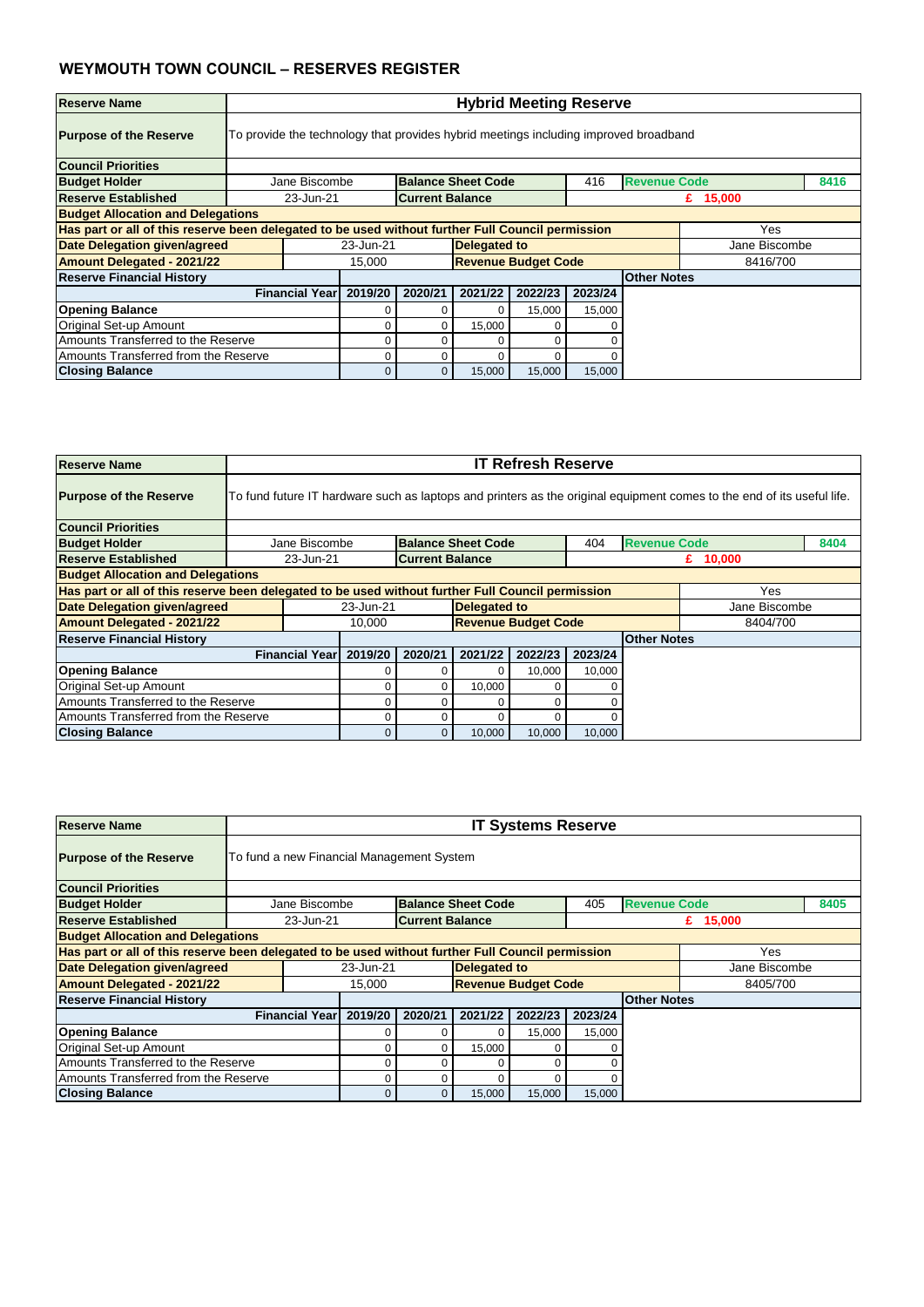| <b>Reserve Name</b>                      |                                                                                      | <b>Hybrid Meeting Reserve</b>                                                                            |                        |                            |         |         |                     |               |      |  |  |  |
|------------------------------------------|--------------------------------------------------------------------------------------|----------------------------------------------------------------------------------------------------------|------------------------|----------------------------|---------|---------|---------------------|---------------|------|--|--|--|
| <b>Purpose of the Reserve</b>            | To provide the technology that provides hybrid meetings including improved broadband |                                                                                                          |                        |                            |         |         |                     |               |      |  |  |  |
| <b>Council Priorities</b>                |                                                                                      |                                                                                                          |                        |                            |         |         |                     |               |      |  |  |  |
| <b>Budget Holder</b>                     | Jane Biscombe                                                                        |                                                                                                          |                        | <b>Balance Sheet Code</b>  |         | 416     | <b>Revenue Code</b> |               | 8416 |  |  |  |
| Reserve Established                      | 23-Jun-21                                                                            |                                                                                                          | <b>Current Balance</b> |                            |         |         |                     | £ $15,000$    |      |  |  |  |
| <b>Budget Allocation and Delegations</b> |                                                                                      |                                                                                                          |                        |                            |         |         |                     |               |      |  |  |  |
|                                          |                                                                                      | Has part or all of this reserve been delegated to be used without further Full Council permission<br>Yes |                        |                            |         |         |                     |               |      |  |  |  |
| <b>Date Delegation given/agreed</b>      |                                                                                      | 23-Jun-21                                                                                                |                        | <b>Delegated to</b>        |         |         |                     | Jane Biscombe |      |  |  |  |
| <b>Amount Delegated - 2021/22</b>        |                                                                                      | 15,000                                                                                                   |                        | <b>Revenue Budget Code</b> |         |         |                     | 8416/700      |      |  |  |  |
| <b>Reserve Financial History</b>         |                                                                                      |                                                                                                          |                        |                            |         |         | <b>Other Notes</b>  |               |      |  |  |  |
|                                          | <b>Financial Yearl</b>                                                               | 2019/20                                                                                                  | 2020/21                | 2021/22                    | 2022/23 | 2023/24 |                     |               |      |  |  |  |
| <b>Opening Balance</b>                   |                                                                                      |                                                                                                          |                        |                            | 15,000  | 15,000  |                     |               |      |  |  |  |
| Original Set-up Amount                   |                                                                                      |                                                                                                          |                        | 15,000                     | 0       |         |                     |               |      |  |  |  |
| Amounts Transferred to the Reserve       |                                                                                      | 0                                                                                                        |                        |                            |         |         |                     |               |      |  |  |  |
| Amounts Transferred from the Reserve     |                                                                                      |                                                                                                          |                        |                            |         |         |                     |               |      |  |  |  |
| <b>Closing Balance</b>                   |                                                                                      |                                                                                                          | $\overline{0}$         | 15,000                     | 15,000  | 15,000  |                     |               |      |  |  |  |

| <b>Reserve Name</b>                      |                       | <b>IT Refresh Reserve</b>                                                                                |                        |                            |         |          |                     |                                                                                                                        |      |  |  |  |
|------------------------------------------|-----------------------|----------------------------------------------------------------------------------------------------------|------------------------|----------------------------|---------|----------|---------------------|------------------------------------------------------------------------------------------------------------------------|------|--|--|--|
| <b>Purpose of the Reserve</b>            |                       |                                                                                                          |                        |                            |         |          |                     | To fund future IT hardware such as laptops and printers as the original equipment comes to the end of its useful life. |      |  |  |  |
| <b>Council Priorities</b>                |                       |                                                                                                          |                        |                            |         |          |                     |                                                                                                                        |      |  |  |  |
| <b>Budget Holder</b>                     | Jane Biscombe         |                                                                                                          |                        | <b>Balance Sheet Code</b>  |         | 404      | <b>Revenue Code</b> |                                                                                                                        | 8404 |  |  |  |
| <b>Reserve Established</b>               | 23-Jun-21             |                                                                                                          | <b>Current Balance</b> |                            |         |          |                     | £ $10,000$                                                                                                             |      |  |  |  |
| <b>Budget Allocation and Delegations</b> |                       |                                                                                                          |                        |                            |         |          |                     |                                                                                                                        |      |  |  |  |
|                                          |                       | Has part or all of this reserve been delegated to be used without further Full Council permission<br>Yes |                        |                            |         |          |                     |                                                                                                                        |      |  |  |  |
| Date Delegation given/agreed             |                       | 23-Jun-21                                                                                                |                        | <b>Delegated to</b>        |         |          |                     | Jane Biscombe                                                                                                          |      |  |  |  |
| <b>Amount Delegated - 2021/22</b>        |                       | 10,000                                                                                                   |                        | <b>Revenue Budget Code</b> |         | 8404/700 |                     |                                                                                                                        |      |  |  |  |
| <b>Reserve Financial History</b>         |                       |                                                                                                          |                        |                            |         |          | <b>Other Notes</b>  |                                                                                                                        |      |  |  |  |
|                                          | <b>Financial Year</b> | 2019/20                                                                                                  | 2020/21                | 2021/22                    | 2022/23 | 2023/24  |                     |                                                                                                                        |      |  |  |  |
| <b>Opening Balance</b>                   |                       |                                                                                                          |                        |                            | 10,000  | 10,000   |                     |                                                                                                                        |      |  |  |  |
| Original Set-up Amount                   |                       | 0                                                                                                        | 0                      | 10,000                     |         |          |                     |                                                                                                                        |      |  |  |  |
| Amounts Transferred to the Reserve       |                       | 0                                                                                                        |                        |                            |         |          |                     |                                                                                                                        |      |  |  |  |
| Amounts Transferred from the Reserve     |                       |                                                                                                          |                        |                            |         |          |                     |                                                                                                                        |      |  |  |  |
| <b>Closing Balance</b>                   |                       | $\overline{0}$                                                                                           | 0                      | 10,000                     | 10,000  | 10,000   |                     |                                                                                                                        |      |  |  |  |

| <b>Reserve Name</b>                                                                               |                    | <b>IT Systems Reserve</b><br>To fund a new Financial Management System           |         |                        |          |                            |         |                    |            |  |  |
|---------------------------------------------------------------------------------------------------|--------------------|----------------------------------------------------------------------------------|---------|------------------------|----------|----------------------------|---------|--------------------|------------|--|--|
| <b>Purpose of the Reserve</b>                                                                     |                    |                                                                                  |         |                        |          |                            |         |                    |            |  |  |
| <b>Council Priorities</b>                                                                         |                    |                                                                                  |         |                        |          |                            |         |                    |            |  |  |
| <b>Budget Holder</b>                                                                              |                    | <b>Revenue Code</b><br><b>Balance Sheet Code</b><br>8405<br>Jane Biscombe<br>405 |         |                        |          |                            |         |                    |            |  |  |
| <b>Reserve Established</b>                                                                        |                    | 23-Jun-21                                                                        |         | <b>Current Balance</b> |          |                            |         |                    | £ $15,000$ |  |  |
| <b>Budget Allocation and Delegations</b>                                                          |                    |                                                                                  |         |                        |          |                            |         |                    |            |  |  |
| Has part or all of this reserve been delegated to be used without further Full Council permission |                    |                                                                                  |         |                        |          |                            |         |                    | Yes        |  |  |
| <b>Date Delegation given/agreed</b>                                                               |                    | Delegated to<br>23-Jun-21<br>Jane Biscombe                                       |         |                        |          |                            |         |                    |            |  |  |
| <b>Amount Delegated - 2021/22</b>                                                                 |                    |                                                                                  | 15,000  |                        |          | <b>Revenue Budget Code</b> |         |                    | 8405/700   |  |  |
| <b>Reserve Financial History</b>                                                                  |                    |                                                                                  |         |                        |          |                            |         | <b>Other Notes</b> |            |  |  |
|                                                                                                   |                    | <b>Financial Year</b>                                                            | 2019/20 | 2020/21                | 2021/22  | 2022/23                    | 2023/24 |                    |            |  |  |
| <b>Opening Balance</b>                                                                            |                    |                                                                                  |         |                        | $\Omega$ | 15,000                     | 15,000  |                    |            |  |  |
| <b>Original Set-up Amount</b>                                                                     |                    |                                                                                  |         | 0                      | 15,000   |                            |         |                    |            |  |  |
| Amounts Transferred to the Reserve                                                                |                    |                                                                                  |         |                        | 0        | $\Omega$                   |         |                    |            |  |  |
| Amounts Transferred from the Reserve                                                              | 0<br>$\Omega$<br>∩ |                                                                                  |         |                        |          |                            |         |                    |            |  |  |
| <b>Closing Balance</b>                                                                            |                    |                                                                                  | 0       | $\overline{0}$         | 15,000   | 15,000                     | 15,000  |                    |            |  |  |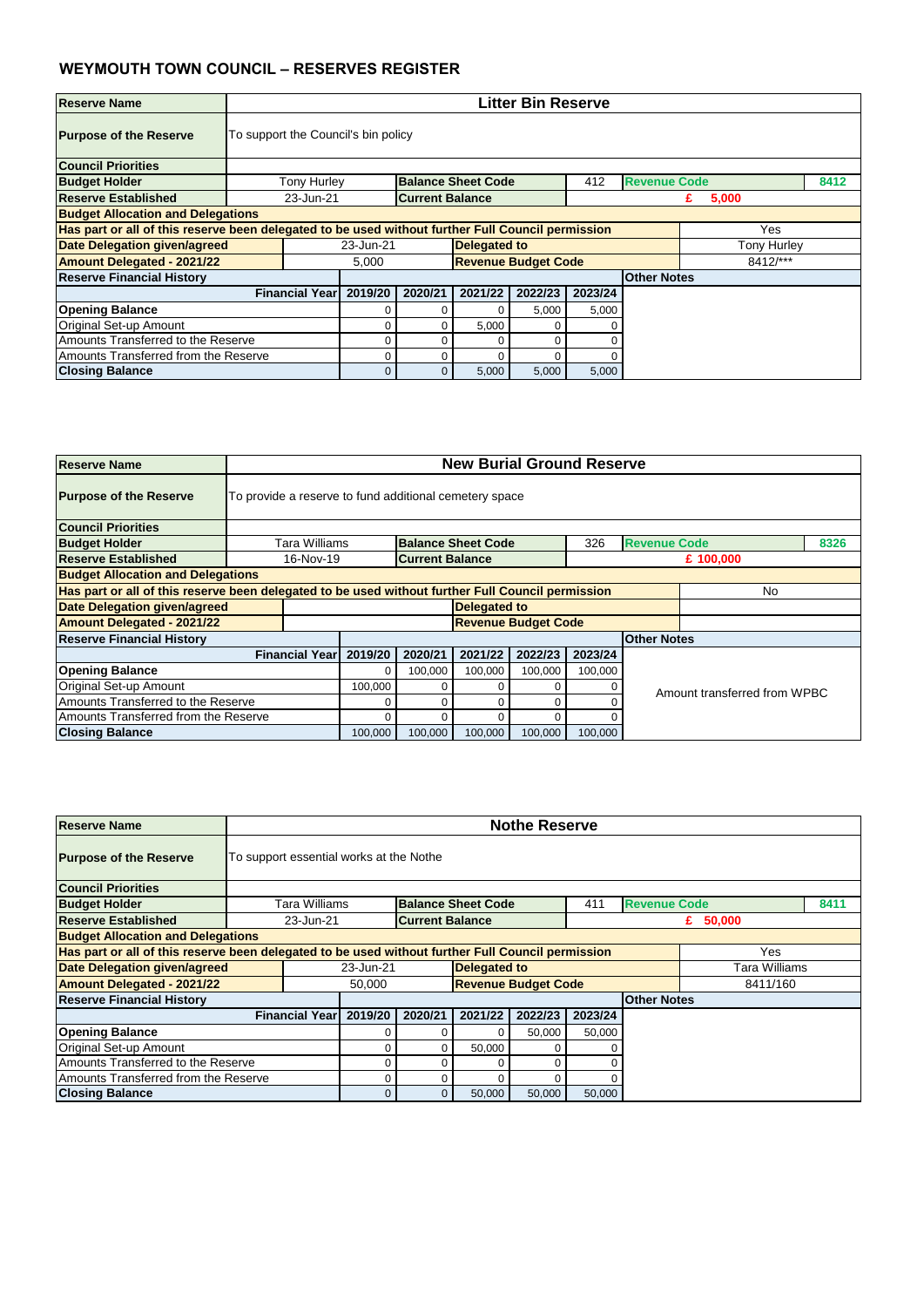| <b>Reserve Name</b>                      |                                                                                                          | <b>Litter Bin Reserve</b>                                                             |              |                            |         |         |                    |                    |  |  |  |  |  |
|------------------------------------------|----------------------------------------------------------------------------------------------------------|---------------------------------------------------------------------------------------|--------------|----------------------------|---------|---------|--------------------|--------------------|--|--|--|--|--|
| <b>Purpose of the Reserve</b>            |                                                                                                          | To support the Council's bin policy                                                   |              |                            |         |         |                    |                    |  |  |  |  |  |
| <b>Council Priorities</b>                |                                                                                                          |                                                                                       |              |                            |         |         |                    |                    |  |  |  |  |  |
| <b>Budget Holder</b>                     |                                                                                                          | <b>Revenue Code</b><br><b>Tony Hurley</b><br><b>Balance Sheet Code</b><br>412<br>8412 |              |                            |         |         |                    |                    |  |  |  |  |  |
| <b>Reserve Established</b>               |                                                                                                          | 23-Jun-21<br><b>Current Balance</b><br>5,000<br>£.                                    |              |                            |         |         |                    |                    |  |  |  |  |  |
| <b>Budget Allocation and Delegations</b> |                                                                                                          |                                                                                       |              |                            |         |         |                    |                    |  |  |  |  |  |
|                                          | Has part or all of this reserve been delegated to be used without further Full Council permission<br>Yes |                                                                                       |              |                            |         |         |                    |                    |  |  |  |  |  |
| <b>Date Delegation given/agreed</b>      |                                                                                                          | 23-Jun-21                                                                             |              | <b>Delegated to</b>        |         |         |                    | <b>Tony Hurley</b> |  |  |  |  |  |
| <b>Amount Delegated - 2021/22</b>        |                                                                                                          | 5,000                                                                                 |              | <b>Revenue Budget Code</b> |         |         |                    | 8412/***           |  |  |  |  |  |
| <b>Reserve Financial History</b>         |                                                                                                          |                                                                                       |              |                            |         |         | <b>Other Notes</b> |                    |  |  |  |  |  |
|                                          | <b>Financial Year</b>                                                                                    | 2019/20                                                                               | 2020/21      | 2021/22                    | 2022/23 | 2023/24 |                    |                    |  |  |  |  |  |
| <b>Opening Balance</b>                   |                                                                                                          |                                                                                       |              |                            | 5,000   | 5,000   |                    |                    |  |  |  |  |  |
| Original Set-up Amount                   |                                                                                                          | 5,000<br>O<br>0                                                                       |              |                            |         |         |                    |                    |  |  |  |  |  |
| Amounts Transferred to the Reserve       | 0<br>0                                                                                                   |                                                                                       |              |                            |         |         |                    |                    |  |  |  |  |  |
| Amounts Transferred from the Reserve     |                                                                                                          |                                                                                       | 0            |                            |         |         |                    |                    |  |  |  |  |  |
| <b>Closing Balance</b>                   |                                                                                                          |                                                                                       | $\mathbf{0}$ | 5,000                      | 5,000   | 5,000   |                    |                    |  |  |  |  |  |

| <b>Reserve Name</b>                      |                       | <b>New Burial Ground Reserve</b>                                                                        |                        |                           |                            |         |                     |                              |      |  |  |  |  |
|------------------------------------------|-----------------------|---------------------------------------------------------------------------------------------------------|------------------------|---------------------------|----------------------------|---------|---------------------|------------------------------|------|--|--|--|--|
| <b>Purpose of the Reserve</b>            |                       | To provide a reserve to fund additional cemetery space                                                  |                        |                           |                            |         |                     |                              |      |  |  |  |  |
| <b>Council Priorities</b>                |                       |                                                                                                         |                        |                           |                            |         |                     |                              |      |  |  |  |  |
| <b>Budget Holder</b>                     | Tara Williams         |                                                                                                         |                        | <b>Balance Sheet Code</b> |                            | 326     | <b>Revenue Code</b> |                              | 8326 |  |  |  |  |
| <b>Reserve Established</b>               | 16-Nov-19             |                                                                                                         | <b>Current Balance</b> |                           |                            |         |                     | £ 100,000                    |      |  |  |  |  |
| <b>Budget Allocation and Delegations</b> |                       |                                                                                                         |                        |                           |                            |         |                     |                              |      |  |  |  |  |
|                                          |                       | Has part or all of this reserve been delegated to be used without further Full Council permission<br>No |                        |                           |                            |         |                     |                              |      |  |  |  |  |
| Date Delegation given/agreed             |                       |                                                                                                         |                        | <b>Delegated to</b>       |                            |         |                     |                              |      |  |  |  |  |
| <b>Amount Delegated - 2021/22</b>        |                       |                                                                                                         |                        |                           | <b>Revenue Budget Code</b> |         |                     |                              |      |  |  |  |  |
| <b>Reserve Financial History</b>         |                       |                                                                                                         |                        |                           |                            |         | <b>Other Notes</b>  |                              |      |  |  |  |  |
|                                          | <b>Financial Year</b> | 2019/20                                                                                                 | 2020/21                | 2021/22                   | 2022/23                    | 2023/24 |                     |                              |      |  |  |  |  |
| <b>Opening Balance</b>                   |                       | 0                                                                                                       | 100,000                | 100,000                   | 100,000                    | 100,000 |                     |                              |      |  |  |  |  |
| Original Set-up Amount                   |                       | 100,000                                                                                                 |                        |                           | 0                          |         |                     | Amount transferred from WPBC |      |  |  |  |  |
| Amounts Transferred to the Reserve       |                       |                                                                                                         |                        |                           | ი                          |         |                     |                              |      |  |  |  |  |
| Amounts Transferred from the Reserve     |                       |                                                                                                         |                        |                           | 0                          |         |                     |                              |      |  |  |  |  |
| <b>Closing Balance</b>                   |                       | 100,000                                                                                                 | 100,000                | 100,000                   | 100,000                    | 100,000 |                     |                              |      |  |  |  |  |

| <b>Reserve Name</b>                                                                               |  | <b>Nothe Reserve</b><br>To support essential works at the Nothe                  |         |                        |          |                            |         |  |            |  |  |
|---------------------------------------------------------------------------------------------------|--|----------------------------------------------------------------------------------|---------|------------------------|----------|----------------------------|---------|--|------------|--|--|
| <b>Purpose of the Reserve</b>                                                                     |  |                                                                                  |         |                        |          |                            |         |  |            |  |  |
| <b>Council Priorities</b>                                                                         |  |                                                                                  |         |                        |          |                            |         |  |            |  |  |
| <b>Budget Holder</b>                                                                              |  | <b>Revenue Code</b><br>8411<br>Tara Williams<br><b>Balance Sheet Code</b><br>411 |         |                        |          |                            |         |  |            |  |  |
| <b>Reserve Established</b>                                                                        |  | 23-Jun-21                                                                        |         | <b>Current Balance</b> |          |                            |         |  | £ $50,000$ |  |  |
| <b>Budget Allocation and Delegations</b>                                                          |  |                                                                                  |         |                        |          |                            |         |  |            |  |  |
| Has part or all of this reserve been delegated to be used without further Full Council permission |  |                                                                                  |         |                        |          |                            |         |  | Yes        |  |  |
| <b>Date Delegation given/agreed</b>                                                               |  | 23-Jun-21<br><b>Delegated to</b><br>Tara Williams                                |         |                        |          |                            |         |  |            |  |  |
| <b>Amount Delegated - 2021/22</b>                                                                 |  |                                                                                  | 50,000  |                        |          | <b>Revenue Budget Code</b> |         |  | 8411/160   |  |  |
| <b>Reserve Financial History</b>                                                                  |  |                                                                                  |         |                        |          | <b>Other Notes</b>         |         |  |            |  |  |
|                                                                                                   |  | <b>Financial Year</b>                                                            | 2019/20 | 2020/21                | 2021/22  | 2022/23                    | 2023/24 |  |            |  |  |
| <b>Opening Balance</b>                                                                            |  |                                                                                  |         |                        | $\Omega$ | 50,000                     | 50,000  |  |            |  |  |
| <b>Original Set-up Amount</b>                                                                     |  |                                                                                  |         |                        | 50,000   |                            |         |  |            |  |  |
| Amounts Transferred to the Reserve                                                                |  |                                                                                  |         | ∩                      | 0        |                            |         |  |            |  |  |
| Amounts Transferred from the Reserve                                                              |  |                                                                                  | 0       | ∩                      | $\Omega$ |                            |         |  |            |  |  |
| <b>Closing Balance</b>                                                                            |  |                                                                                  | 0       | $\overline{0}$         | 50,000   | 50,000                     | 50,000  |  |            |  |  |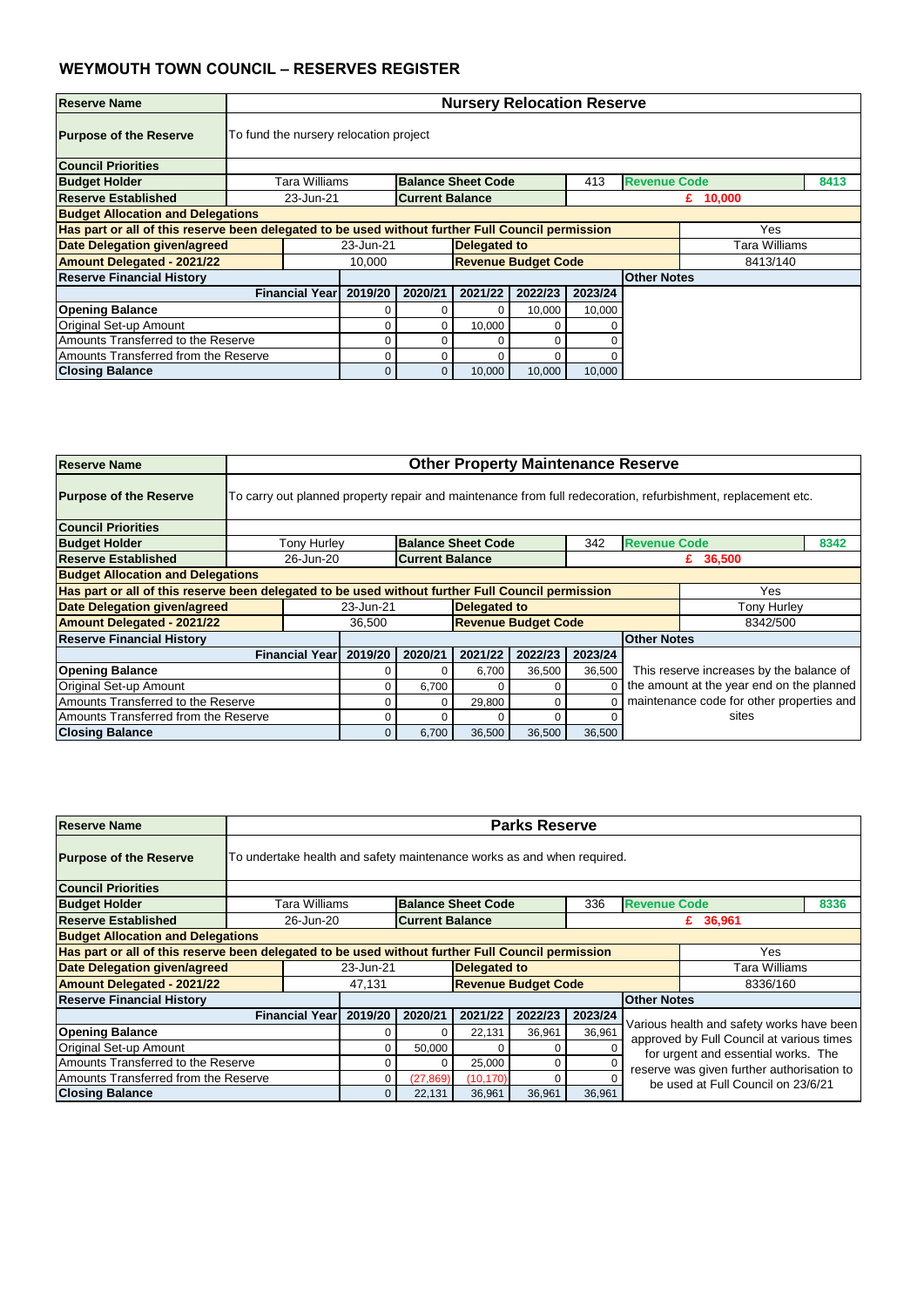| <b>Reserve Name</b>                      |                                                                                                                 | <b>Nursery Relocation Reserve</b>                                                |         |                            |         |         |                    |               |  |  |  |  |  |
|------------------------------------------|-----------------------------------------------------------------------------------------------------------------|----------------------------------------------------------------------------------|---------|----------------------------|---------|---------|--------------------|---------------|--|--|--|--|--|
| <b>Purpose of the Reserve</b>            |                                                                                                                 | To fund the nursery relocation project                                           |         |                            |         |         |                    |               |  |  |  |  |  |
| <b>Council Priorities</b>                |                                                                                                                 |                                                                                  |         |                            |         |         |                    |               |  |  |  |  |  |
| <b>Budget Holder</b>                     |                                                                                                                 | <b>Revenue Code</b><br>8413<br><b>Balance Sheet Code</b><br>Tara Williams<br>413 |         |                            |         |         |                    |               |  |  |  |  |  |
| <b>Reserve Established</b>               |                                                                                                                 | <b>Current Balance</b><br>23-Jun-21<br>£ $10,000$                                |         |                            |         |         |                    |               |  |  |  |  |  |
| <b>Budget Allocation and Delegations</b> |                                                                                                                 |                                                                                  |         |                            |         |         |                    |               |  |  |  |  |  |
|                                          | Has part or all of this reserve been delegated to be used without further Full Council permission<br><b>Yes</b> |                                                                                  |         |                            |         |         |                    |               |  |  |  |  |  |
| Date Delegation given/agreed             |                                                                                                                 | 23-Jun-21                                                                        |         | <b>Delegated to</b>        |         |         |                    | Tara Williams |  |  |  |  |  |
| <b>Amount Delegated - 2021/22</b>        |                                                                                                                 | 10,000                                                                           |         | <b>Revenue Budget Code</b> |         |         |                    | 8413/140      |  |  |  |  |  |
| <b>Reserve Financial History</b>         |                                                                                                                 |                                                                                  |         |                            |         |         | <b>Other Notes</b> |               |  |  |  |  |  |
|                                          | <b>Financial Year</b>                                                                                           | 2019/20                                                                          | 2020/21 | 2021/22                    | 2022/23 | 2023/24 |                    |               |  |  |  |  |  |
| <b>Opening Balance</b>                   |                                                                                                                 |                                                                                  |         | 0                          | 10,000  | 10,000  |                    |               |  |  |  |  |  |
| <b>Original Set-up Amount</b>            | 10,000<br>0<br>$\Omega$<br>∩                                                                                    |                                                                                  |         |                            |         |         |                    |               |  |  |  |  |  |
| Amounts Transferred to the Reserve       | 0<br>O                                                                                                          |                                                                                  |         |                            |         |         |                    |               |  |  |  |  |  |
| Amounts Transferred from the Reserve     |                                                                                                                 | $\Omega$                                                                         | 0       |                            | O       |         |                    |               |  |  |  |  |  |
| <b>Closing Balance</b>                   |                                                                                                                 | $\overline{0}$                                                                   | 0       | 10,000                     | 10,000  | 10,000  |                    |               |  |  |  |  |  |

| <b>Reserve Name</b>                      |                                                                                                          | <b>Other Property Maintenance Reserve</b>                                                                    |         |                           |                            |         |                                           |                                           |      |  |  |  |  |
|------------------------------------------|----------------------------------------------------------------------------------------------------------|--------------------------------------------------------------------------------------------------------------|---------|---------------------------|----------------------------|---------|-------------------------------------------|-------------------------------------------|------|--|--|--|--|
| <b>Purpose of the Reserve</b>            |                                                                                                          | To carry out planned property repair and maintenance from full redecoration, refurbishment, replacement etc. |         |                           |                            |         |                                           |                                           |      |  |  |  |  |
| <b>Council Priorities</b>                |                                                                                                          |                                                                                                              |         |                           |                            |         |                                           |                                           |      |  |  |  |  |
| <b>Budget Holder</b>                     | <b>Tony Hurley</b>                                                                                       |                                                                                                              |         | <b>Balance Sheet Code</b> |                            | 342     | <b>Revenue Code</b>                       |                                           | 8342 |  |  |  |  |
| <b>Reserve Established</b>               |                                                                                                          | 26-Jun-20<br><b>Current Balance</b><br>£ $36,500$                                                            |         |                           |                            |         |                                           |                                           |      |  |  |  |  |
| <b>Budget Allocation and Delegations</b> |                                                                                                          |                                                                                                              |         |                           |                            |         |                                           |                                           |      |  |  |  |  |
|                                          | Has part or all of this reserve been delegated to be used without further Full Council permission<br>Yes |                                                                                                              |         |                           |                            |         |                                           |                                           |      |  |  |  |  |
| Date Delegation given/agreed             |                                                                                                          | 23-Jun-21                                                                                                    |         | <b>Delegated to</b>       |                            |         |                                           | <b>Tony Hurley</b>                        |      |  |  |  |  |
| <b>Amount Delegated - 2021/22</b>        |                                                                                                          | 36,500                                                                                                       |         |                           | <b>Revenue Budget Code</b> |         |                                           | 8342/500                                  |      |  |  |  |  |
| <b>Reserve Financial History</b>         |                                                                                                          |                                                                                                              |         |                           |                            |         | <b>Other Notes</b>                        |                                           |      |  |  |  |  |
|                                          | <b>Financial Year</b>                                                                                    | 2019/20                                                                                                      | 2020/21 | 2021/22                   | 2022/23                    | 2023/24 |                                           |                                           |      |  |  |  |  |
| <b>Opening Balance</b>                   |                                                                                                          |                                                                                                              |         | 6,700                     | 36,500                     | 36,500  |                                           | This reserve increases by the balance of  |      |  |  |  |  |
| Original Set-up Amount                   |                                                                                                          | 0                                                                                                            | 6,700   | 0                         | 0                          |         |                                           | the amount at the year end on the planned |      |  |  |  |  |
| Amounts Transferred to the Reserve       |                                                                                                          | 0                                                                                                            |         | 29,800                    | 0                          |         | maintenance code for other properties and |                                           |      |  |  |  |  |
| Amounts Transferred from the Reserve     |                                                                                                          |                                                                                                              |         |                           | 0                          |         |                                           | sites                                     |      |  |  |  |  |
| <b>Closing Balance</b>                   |                                                                                                          | 6,700<br>36,500<br>36,500<br>36,500<br>$\overline{0}$                                                        |         |                           |                            |         |                                           |                                           |      |  |  |  |  |

| <b>Reserve Name</b>                                                                               |                       | <b>Parks Reserve</b>                                                             |           |                     |                            |         |                                            |                                                                                        |  |  |  |  |  |
|---------------------------------------------------------------------------------------------------|-----------------------|----------------------------------------------------------------------------------|-----------|---------------------|----------------------------|---------|--------------------------------------------|----------------------------------------------------------------------------------------|--|--|--|--|--|
| <b>Purpose of the Reserve</b>                                                                     |                       | To undertake health and safety maintenance works as and when required.           |           |                     |                            |         |                                            |                                                                                        |  |  |  |  |  |
| <b>Council Priorities</b>                                                                         |                       |                                                                                  |           |                     |                            |         |                                            |                                                                                        |  |  |  |  |  |
| <b>Budget Holder</b>                                                                              |                       | <b>Balance Sheet Code</b><br>Tara Williams<br>336<br><b>Revenue Code</b><br>8336 |           |                     |                            |         |                                            |                                                                                        |  |  |  |  |  |
| <b>Reserve Established</b>                                                                        |                       | <b>Current Balance</b><br>26-Jun-20<br>£ 36,961                                  |           |                     |                            |         |                                            |                                                                                        |  |  |  |  |  |
| <b>Budget Allocation and Delegations</b>                                                          |                       |                                                                                  |           |                     |                            |         |                                            |                                                                                        |  |  |  |  |  |
| Has part or all of this reserve been delegated to be used without further Full Council permission |                       |                                                                                  |           |                     |                            |         |                                            | Yes                                                                                    |  |  |  |  |  |
| <b>Date Delegation given/agreed</b>                                                               |                       | 23-Jun-21                                                                        |           | <b>Delegated to</b> |                            |         |                                            | Tara Williams                                                                          |  |  |  |  |  |
| <b>Amount Delegated - 2021/22</b>                                                                 |                       | 47,131                                                                           |           |                     | <b>Revenue Budget Code</b> |         | 8336/160                                   |                                                                                        |  |  |  |  |  |
| <b>Reserve Financial History</b>                                                                  |                       |                                                                                  |           |                     |                            |         | <b>Other Notes</b>                         |                                                                                        |  |  |  |  |  |
|                                                                                                   | <b>Financial Year</b> | 2019/20                                                                          | 2020/21   | 2021/22             | 2022/23                    | 2023/24 |                                            |                                                                                        |  |  |  |  |  |
| <b>Opening Balance</b>                                                                            |                       |                                                                                  | $\Omega$  | 22,131              | 36,961                     | 36,961  |                                            | Various health and safety works have been<br>approved by Full Council at various times |  |  |  |  |  |
| Original Set-up Amount                                                                            |                       |                                                                                  | 50,000    |                     | 0                          |         |                                            |                                                                                        |  |  |  |  |  |
| Amounts Transferred to the Reserve                                                                |                       |                                                                                  | 0         | 25,000              | 0                          |         |                                            | for urgent and essential works. The                                                    |  |  |  |  |  |
| Amounts Transferred from the Reserve                                                              |                       | 0                                                                                | (27, 869) | (10, 170)           | 0                          |         | reserve was given further authorisation to |                                                                                        |  |  |  |  |  |
| <b>Closing Balance</b>                                                                            |                       | be used at Full Council on 23/6/21<br>22,131<br>36,961<br>36,961<br>36,961<br>0  |           |                     |                            |         |                                            |                                                                                        |  |  |  |  |  |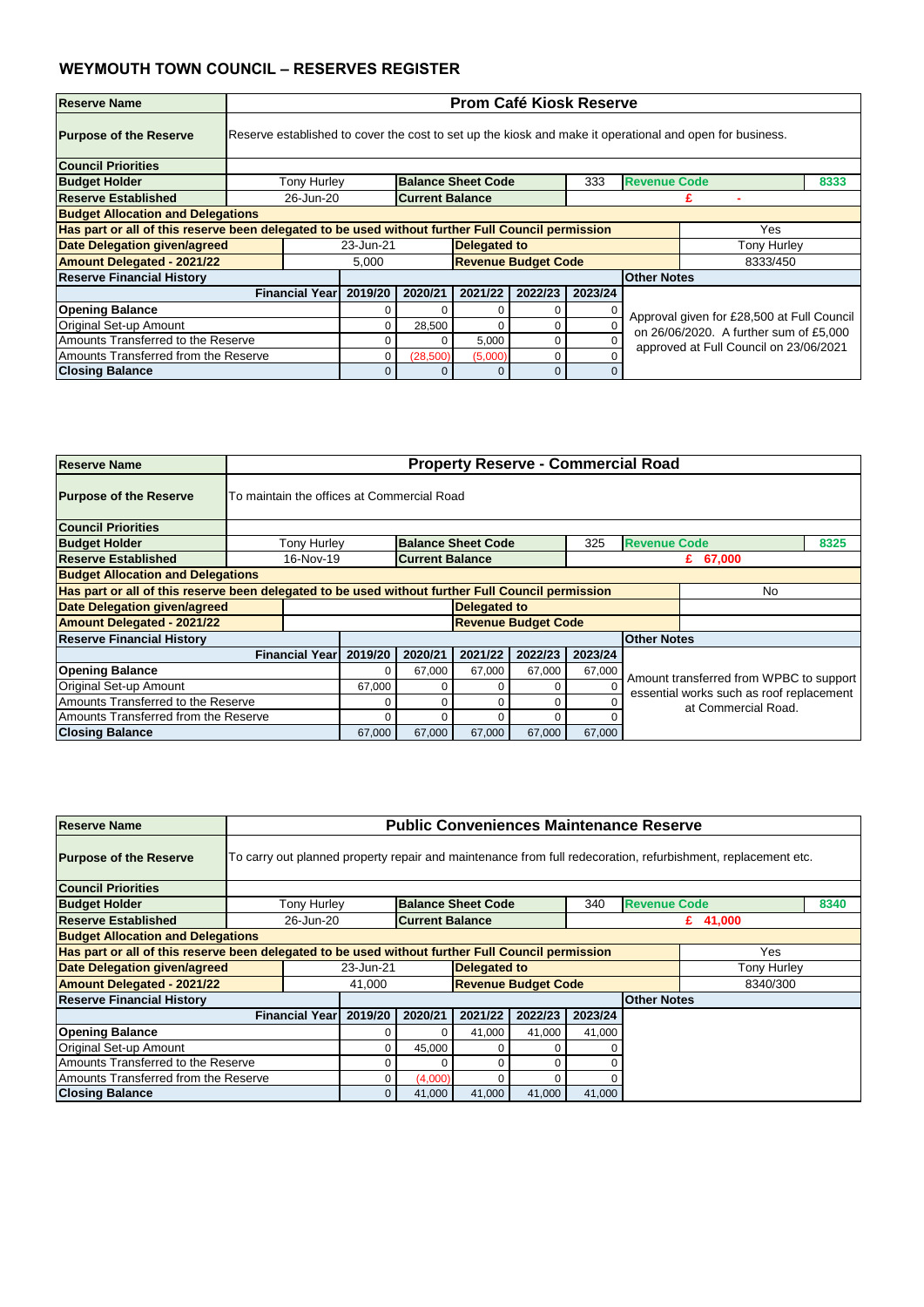| <b>Reserve Name</b>                      |                                                                                                          | <b>Prom Café Kiosk Reserve</b>                                                                           |          |                            |          |         |                    |                                        |  |  |  |  |  |
|------------------------------------------|----------------------------------------------------------------------------------------------------------|----------------------------------------------------------------------------------------------------------|----------|----------------------------|----------|---------|--------------------|----------------------------------------|--|--|--|--|--|
| <b>Purpose of the Reserve</b>            |                                                                                                          | Reserve established to cover the cost to set up the kiosk and make it operational and open for business. |          |                            |          |         |                    |                                        |  |  |  |  |  |
| <b>Council Priorities</b>                |                                                                                                          |                                                                                                          |          |                            |          |         |                    |                                        |  |  |  |  |  |
| <b>Budget Holder</b>                     |                                                                                                          | <b>Revenue Code</b><br><b>Tony Hurley</b><br><b>Balance Sheet Code</b><br>333<br>8333                    |          |                            |          |         |                    |                                        |  |  |  |  |  |
| <b>Reserve Established</b>               |                                                                                                          | 26-Jun-20<br><b>Current Balance</b>                                                                      |          |                            |          |         |                    |                                        |  |  |  |  |  |
| <b>Budget Allocation and Delegations</b> |                                                                                                          |                                                                                                          |          |                            |          |         |                    |                                        |  |  |  |  |  |
|                                          | Has part or all of this reserve been delegated to be used without further Full Council permission<br>Yes |                                                                                                          |          |                            |          |         |                    |                                        |  |  |  |  |  |
| <b>Date Delegation given/agreed</b>      |                                                                                                          | 23-Jun-21                                                                                                |          | <b>Delegated to</b>        |          |         |                    | <b>Tony Hurley</b>                     |  |  |  |  |  |
| <b>Amount Delegated - 2021/22</b>        |                                                                                                          | 5,000                                                                                                    |          | <b>Revenue Budget Code</b> |          |         |                    | 8333/450                               |  |  |  |  |  |
| <b>Reserve Financial History</b>         |                                                                                                          |                                                                                                          |          |                            |          |         | <b>Other Notes</b> |                                        |  |  |  |  |  |
|                                          | <b>Financial Year</b>                                                                                    | 2019/20                                                                                                  | 2020/21  | 2021/22                    | 2022/23  | 2023/24 |                    |                                        |  |  |  |  |  |
| <b>Opening Balance</b>                   |                                                                                                          |                                                                                                          | 0        |                            | 0        |         |                    |                                        |  |  |  |  |  |
| Original Set-up Amount                   | Approval given for £28,500 at Full Council<br>28,500<br>0<br>0<br>on 26/06/2020. A further sum of £5,000 |                                                                                                          |          |                            |          |         |                    |                                        |  |  |  |  |  |
| Amounts Transferred to the Reserve       |                                                                                                          |                                                                                                          | 0        | 5,000                      | 0        |         |                    | approved at Full Council on 23/06/2021 |  |  |  |  |  |
| Amounts Transferred from the Reserve     |                                                                                                          |                                                                                                          | (28,500) | (5,000)                    | 0        |         |                    |                                        |  |  |  |  |  |
| <b>Closing Balance</b>                   |                                                                                                          |                                                                                                          | 0        |                            | $\Omega$ |         |                    |                                        |  |  |  |  |  |

| <b>Reserve Name</b>                      |                       | <b>Property Reserve - Commercial Road</b>                                                               |                        |                     |                            |         |                    |                                          |  |  |  |  |  |
|------------------------------------------|-----------------------|---------------------------------------------------------------------------------------------------------|------------------------|---------------------|----------------------------|---------|--------------------|------------------------------------------|--|--|--|--|--|
| <b>Purpose of the Reserve</b>            |                       | To maintain the offices at Commercial Road                                                              |                        |                     |                            |         |                    |                                          |  |  |  |  |  |
| <b>Council Priorities</b>                |                       |                                                                                                         |                        |                     |                            |         |                    |                                          |  |  |  |  |  |
| <b>Budget Holder</b>                     |                       | <b>Balance Sheet Code</b><br><b>Revenue Code</b><br><b>Tony Hurley</b><br>325<br>8325                   |                        |                     |                            |         |                    |                                          |  |  |  |  |  |
| <b>Reserve Established</b>               | 16-Nov-19             |                                                                                                         | <b>Current Balance</b> |                     |                            |         |                    | £ $67,000$                               |  |  |  |  |  |
| <b>Budget Allocation and Delegations</b> |                       |                                                                                                         |                        |                     |                            |         |                    |                                          |  |  |  |  |  |
|                                          |                       | Has part or all of this reserve been delegated to be used without further Full Council permission<br>No |                        |                     |                            |         |                    |                                          |  |  |  |  |  |
| Date Delegation given/agreed             |                       |                                                                                                         |                        | <b>Delegated to</b> |                            |         |                    |                                          |  |  |  |  |  |
| <b>Amount Delegated - 2021/22</b>        |                       |                                                                                                         |                        |                     | <b>Revenue Budget Code</b> |         |                    |                                          |  |  |  |  |  |
| <b>Reserve Financial History</b>         |                       |                                                                                                         |                        |                     |                            |         | <b>Other Notes</b> |                                          |  |  |  |  |  |
|                                          | <b>Financial Year</b> | 2019/20                                                                                                 | 2020/21                | 2021/22             | 2022/23                    | 2023/24 |                    |                                          |  |  |  |  |  |
| <b>Opening Balance</b>                   |                       | 0                                                                                                       | 67,000                 | 67,000              | 67,000                     | 67,000  |                    | Amount transferred from WPBC to support  |  |  |  |  |  |
| <b>Original Set-up Amount</b>            |                       | 67,000                                                                                                  |                        | 0                   | 0                          |         |                    | essential works such as roof replacement |  |  |  |  |  |
| Amounts Transferred to the Reserve       |                       |                                                                                                         |                        |                     |                            |         |                    | at Commercial Road.                      |  |  |  |  |  |
| Amounts Transferred from the Reserve     |                       |                                                                                                         |                        |                     | 0                          |         |                    |                                          |  |  |  |  |  |
| <b>Closing Balance</b>                   |                       | 67,000                                                                                                  | 67,000                 | 67,000              | 67,000                     | 67,000  |                    |                                          |  |  |  |  |  |

| <b>Purpose of the Reserve</b>                                                                     |  | To carry out planned property repair and maintenance from full redecoration, refurbishment, replacement etc. |           |                        |              |                            |         |                    |             |  |  |
|---------------------------------------------------------------------------------------------------|--|--------------------------------------------------------------------------------------------------------------|-----------|------------------------|--------------|----------------------------|---------|--------------------|-------------|--|--|
| <b>Council Priorities</b>                                                                         |  |                                                                                                              |           |                        |              |                            |         |                    |             |  |  |
| <b>Budget Holder</b>                                                                              |  | <b>Revenue Code</b><br>Tony Hurley<br><b>Balance Sheet Code</b><br>340<br>8340                               |           |                        |              |                            |         |                    |             |  |  |
| <b>Reserve Established</b>                                                                        |  | 26-Jun-20                                                                                                    |           | <b>Current Balance</b> |              |                            |         |                    | £ $41,000$  |  |  |
| <b>Budget Allocation and Delegations</b>                                                          |  |                                                                                                              |           |                        |              |                            |         |                    |             |  |  |
| Has part or all of this reserve been delegated to be used without further Full Council permission |  |                                                                                                              |           |                        |              |                            |         |                    | Yes         |  |  |
| <b>Date Delegation given/agreed</b>                                                               |  |                                                                                                              | 23-Jun-21 |                        | Delegated to |                            |         |                    | Tony Hurley |  |  |
| <b>Amount Delegated - 2021/22</b>                                                                 |  |                                                                                                              | 41,000    |                        |              | <b>Revenue Budget Code</b> |         |                    | 8340/300    |  |  |
| <b>Reserve Financial History</b>                                                                  |  |                                                                                                              |           |                        |              |                            |         | <b>Other Notes</b> |             |  |  |
|                                                                                                   |  | <b>Financial Year</b>                                                                                        | 2019/20   | 2020/21                | 2021/22      | 2022/23                    | 2023/24 |                    |             |  |  |
| <b>Opening Balance</b>                                                                            |  |                                                                                                              |           |                        | 41,000       | 41,000                     | 41,000  |                    |             |  |  |
| <b>Original Set-up Amount</b>                                                                     |  |                                                                                                              |           | 45,000                 | $\Omega$     |                            |         |                    |             |  |  |
| Amounts Transferred to the Reserve                                                                |  |                                                                                                              |           |                        | 0            |                            |         |                    |             |  |  |
| Amounts Transferred from the Reserve                                                              |  |                                                                                                              | 0         | (4,000)                | $\Omega$     |                            |         |                    |             |  |  |
| <b>Closing Balance</b>                                                                            |  |                                                                                                              |           |                        |              | 41,000                     | 41,000  |                    |             |  |  |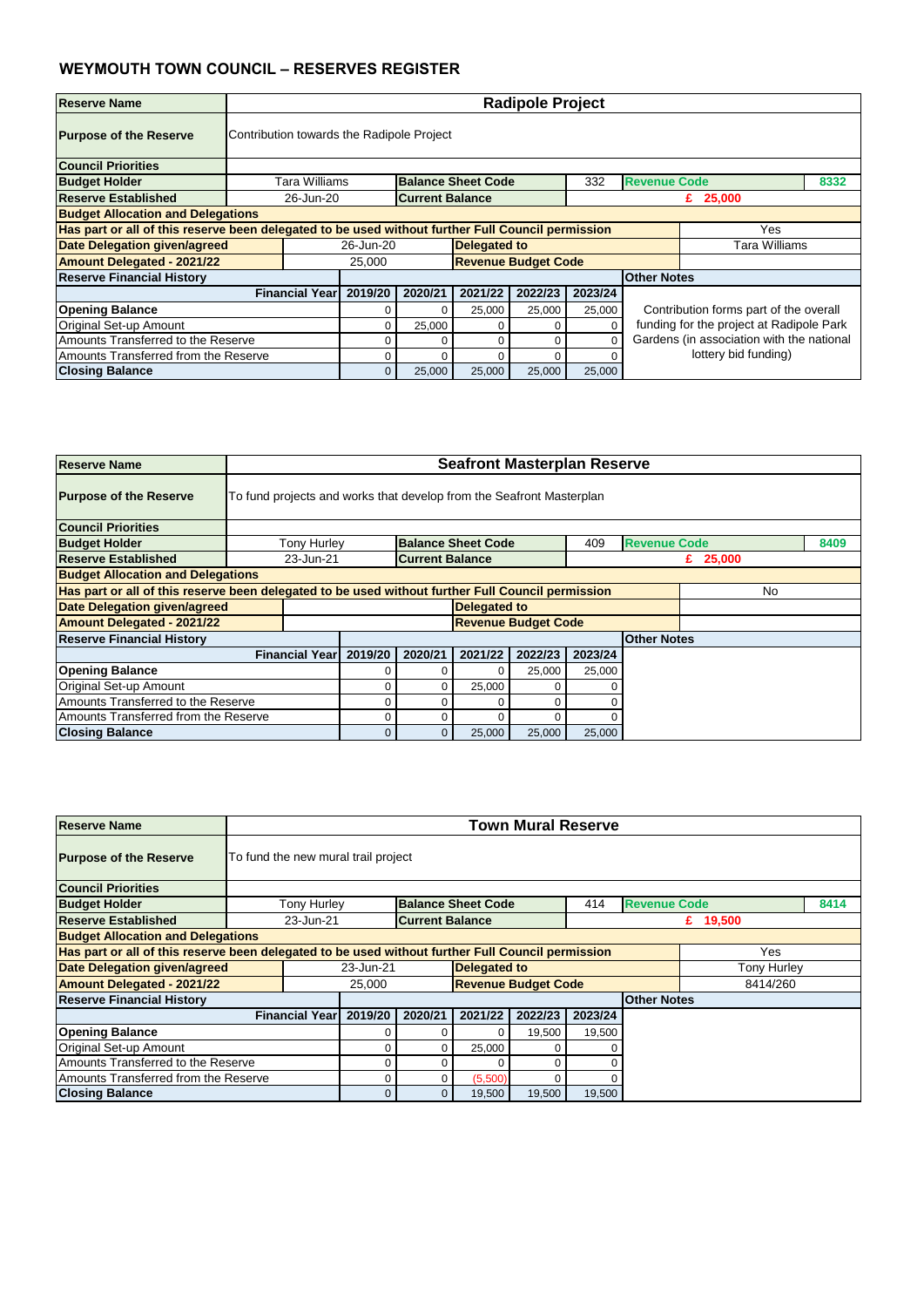| <b>Reserve Name</b>                      |                                                                                                          | <b>Radipole Project</b>                                                          |         |                     |                            |         |                    |                                        |  |  |  |  |
|------------------------------------------|----------------------------------------------------------------------------------------------------------|----------------------------------------------------------------------------------|---------|---------------------|----------------------------|---------|--------------------|----------------------------------------|--|--|--|--|
| <b>Purpose of the Reserve</b>            | Contribution towards the Radipole Project                                                                |                                                                                  |         |                     |                            |         |                    |                                        |  |  |  |  |
| <b>Council Priorities</b>                |                                                                                                          |                                                                                  |         |                     |                            |         |                    |                                        |  |  |  |  |
| <b>Budget Holder</b>                     |                                                                                                          | <b>Revenue Code</b><br>Tara Williams<br><b>Balance Sheet Code</b><br>332<br>8332 |         |                     |                            |         |                    |                                        |  |  |  |  |
| <b>Reserve Established</b>               |                                                                                                          | <b>Current Balance</b><br>26-Jun-20<br>£ $25,000$                                |         |                     |                            |         |                    |                                        |  |  |  |  |
| <b>Budget Allocation and Delegations</b> |                                                                                                          |                                                                                  |         |                     |                            |         |                    |                                        |  |  |  |  |
|                                          | Has part or all of this reserve been delegated to be used without further Full Council permission<br>Yes |                                                                                  |         |                     |                            |         |                    |                                        |  |  |  |  |
| <b>Date Delegation given/agreed</b>      |                                                                                                          | 26-Jun-20                                                                        |         | <b>Delegated to</b> |                            |         |                    | <b>Tara Williams</b>                   |  |  |  |  |
| <b>Amount Delegated - 2021/22</b>        |                                                                                                          | 25,000                                                                           |         |                     | <b>Revenue Budget Code</b> |         |                    |                                        |  |  |  |  |
| <b>Reserve Financial History</b>         |                                                                                                          |                                                                                  |         |                     |                            |         | <b>Other Notes</b> |                                        |  |  |  |  |
|                                          | <b>Financial Year</b>                                                                                    | 2019/20                                                                          | 2020/21 | 2021/22             | 2022/23                    | 2023/24 |                    |                                        |  |  |  |  |
| <b>Opening Balance</b>                   |                                                                                                          |                                                                                  | 0       | 25,000              | 25,000                     | 25,000  |                    | Contribution forms part of the overall |  |  |  |  |
| Original Set-up Amount                   | funding for the project at Radipole Park<br>25,000<br>$\Omega$                                           |                                                                                  |         |                     |                            |         |                    |                                        |  |  |  |  |
| Amounts Transferred to the Reserve       | Gardens (in association with the national<br>0<br>0                                                      |                                                                                  |         |                     |                            |         |                    |                                        |  |  |  |  |
| Amounts Transferred from the Reserve     |                                                                                                          |                                                                                  | Ω       |                     | $\Omega$                   |         |                    | lottery bid funding)                   |  |  |  |  |
| <b>Closing Balance</b>                   |                                                                                                          | 0                                                                                | 25,000  | 25,000              | 25,000                     | 25,000  |                    |                                        |  |  |  |  |

| <b>Reserve Name</b>                      |                       | <b>Seafront Masterplan Reserve</b>                                                                       |                        |                            |         |         |                     |            |      |  |  |  |
|------------------------------------------|-----------------------|----------------------------------------------------------------------------------------------------------|------------------------|----------------------------|---------|---------|---------------------|------------|------|--|--|--|
| <b>Purpose of the Reserve</b>            |                       | To fund projects and works that develop from the Seafront Masterplan                                     |                        |                            |         |         |                     |            |      |  |  |  |
| <b>Council Priorities</b>                |                       |                                                                                                          |                        |                            |         |         |                     |            |      |  |  |  |
| <b>Budget Holder</b>                     | <b>Tony Hurley</b>    |                                                                                                          |                        | <b>Balance Sheet Code</b>  |         | 409     | <b>Revenue Code</b> |            | 8409 |  |  |  |
| <b>Reserve Established</b>               | 23-Jun-21             |                                                                                                          | <b>Current Balance</b> |                            |         |         |                     | £ $25,000$ |      |  |  |  |
| <b>Budget Allocation and Delegations</b> |                       |                                                                                                          |                        |                            |         |         |                     |            |      |  |  |  |
|                                          |                       | Has part or all of this reserve been delegated to be used without further Full Council permission<br>No. |                        |                            |         |         |                     |            |      |  |  |  |
| Date Delegation given/agreed             |                       |                                                                                                          |                        | <b>Delegated to</b>        |         |         |                     |            |      |  |  |  |
| <b>Amount Delegated - 2021/22</b>        |                       |                                                                                                          |                        | <b>Revenue Budget Code</b> |         |         |                     |            |      |  |  |  |
| <b>Reserve Financial History</b>         |                       |                                                                                                          |                        |                            |         |         | <b>Other Notes</b>  |            |      |  |  |  |
|                                          | <b>Financial Year</b> | 2019/20                                                                                                  | 2020/21                | 2021/22                    | 2022/23 | 2023/24 |                     |            |      |  |  |  |
| <b>Opening Balance</b>                   |                       |                                                                                                          |                        | 0                          | 25,000  | 25,000  |                     |            |      |  |  |  |
| <b>Original Set-up Amount</b>            |                       | 0                                                                                                        | 0                      | 25,000                     | 0       |         |                     |            |      |  |  |  |
| Amounts Transferred to the Reserve       | 0<br>0<br>0           |                                                                                                          |                        |                            |         |         |                     |            |      |  |  |  |
| Amounts Transferred from the Reserve     |                       |                                                                                                          | 0                      |                            |         |         |                     |            |      |  |  |  |
| <b>Closing Balance</b>                   |                       | 0                                                                                                        | 0 <sup>1</sup>         | 25,000                     | 25,000  | 25,000  |                     |            |      |  |  |  |

| <b>Reserve Name</b>                                                                               |  | <b>Town Mural Reserve</b><br>To fund the new mural trail project |         |                        |                           |                            |         |                     |            |          |  |  |
|---------------------------------------------------------------------------------------------------|--|------------------------------------------------------------------|---------|------------------------|---------------------------|----------------------------|---------|---------------------|------------|----------|--|--|
| <b>Purpose of the Reserve</b>                                                                     |  |                                                                  |         |                        |                           |                            |         |                     |            |          |  |  |
| <b>Council Priorities</b>                                                                         |  |                                                                  |         |                        |                           |                            |         |                     |            |          |  |  |
| <b>Budget Holder</b>                                                                              |  | <b>Tony Hurley</b>                                               |         |                        | <b>Balance Sheet Code</b> |                            | 414     | <b>Revenue Code</b> |            | 8414     |  |  |
| <b>Reserve Established</b>                                                                        |  | 23-Jun-21                                                        |         | <b>Current Balance</b> |                           |                            |         |                     | £ $19,500$ |          |  |  |
| <b>Budget Allocation and Delegations</b>                                                          |  |                                                                  |         |                        |                           |                            |         |                     |            |          |  |  |
| Has part or all of this reserve been delegated to be used without further Full Council permission |  |                                                                  |         |                        |                           |                            |         |                     |            | Yes      |  |  |
| <b>Date Delegation given/agreed</b>                                                               |  | <b>Delegated to</b><br>23-Jun-21<br>Tony Hurley                  |         |                        |                           |                            |         |                     |            |          |  |  |
| <b>Amount Delegated - 2021/22</b>                                                                 |  |                                                                  | 25,000  |                        |                           | <b>Revenue Budget Code</b> |         |                     |            | 8414/260 |  |  |
| <b>Reserve Financial History</b>                                                                  |  |                                                                  |         |                        |                           |                            |         | <b>Other Notes</b>  |            |          |  |  |
|                                                                                                   |  | <b>Financial Year</b>                                            | 2019/20 | 2020/21                | 2021/22                   | 2022/23                    | 2023/24 |                     |            |          |  |  |
| <b>Opening Balance</b>                                                                            |  |                                                                  |         |                        | $\Omega$                  | 19,500                     | 19,500  |                     |            |          |  |  |
| <b>Original Set-up Amount</b>                                                                     |  |                                                                  |         |                        | 25,000                    |                            |         |                     |            |          |  |  |
| Amounts Transferred to the Reserve                                                                |  |                                                                  |         |                        | 0                         | $\Omega$                   |         |                     |            |          |  |  |
| Amounts Transferred from the Reserve                                                              |  | (5,500)<br>0<br>0<br>$\Omega$                                    |         |                        |                           |                            |         |                     |            |          |  |  |
| <b>Closing Balance</b>                                                                            |  |                                                                  | 0       | 0                      | 19,500                    | 19,500                     | 19,500  |                     |            |          |  |  |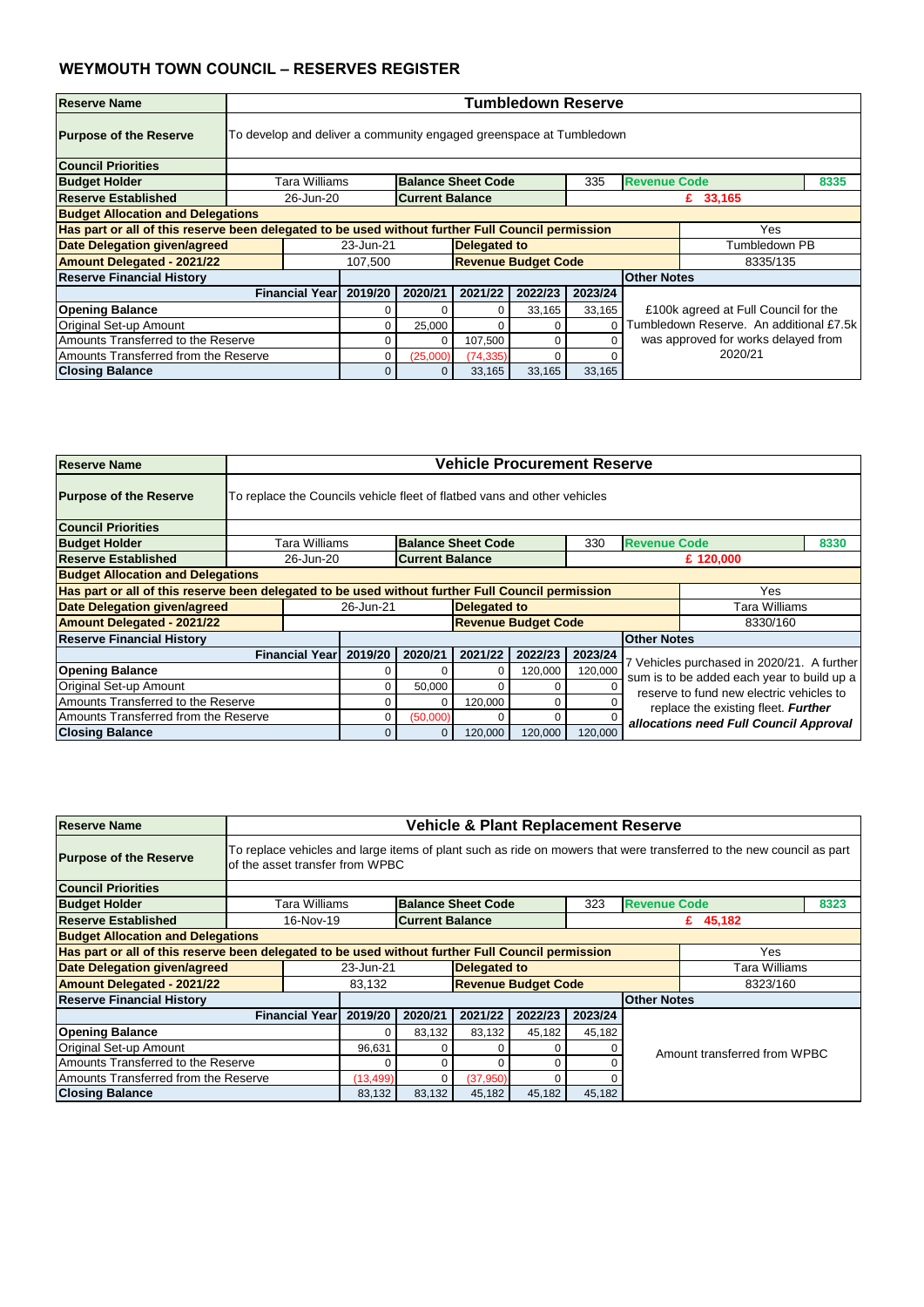| Reserve Name                                                                                      |                       | <b>Tumbledown Reserve</b>                                           |          |                            |         |         |                     |                                         |      |  |  |  |
|---------------------------------------------------------------------------------------------------|-----------------------|---------------------------------------------------------------------|----------|----------------------------|---------|---------|---------------------|-----------------------------------------|------|--|--|--|
| <b>Purpose of the Reserve</b>                                                                     |                       | To develop and deliver a community engaged greenspace at Tumbledown |          |                            |         |         |                     |                                         |      |  |  |  |
| <b>Council Priorities</b>                                                                         |                       |                                                                     |          |                            |         |         |                     |                                         |      |  |  |  |
| <b>Budget Holder</b>                                                                              | Tara Williams         |                                                                     |          | <b>Balance Sheet Code</b>  |         | 335     | <b>Revenue Code</b> |                                         | 8335 |  |  |  |
| Reserve Established                                                                               |                       | <b>Current Balance</b><br>26-Jun-20<br>£ $33,165$                   |          |                            |         |         |                     |                                         |      |  |  |  |
| <b>Budget Allocation and Delegations</b>                                                          |                       |                                                                     |          |                            |         |         |                     |                                         |      |  |  |  |
| Has part or all of this reserve been delegated to be used without further Full Council permission |                       |                                                                     |          |                            |         |         |                     | Yes                                     |      |  |  |  |
| <b>Date Delegation given/agreed</b>                                                               |                       | 23-Jun-21                                                           |          | <b>Delegated to</b>        |         |         |                     | Tumbledown PB                           |      |  |  |  |
| <b>Amount Delegated - 2021/22</b>                                                                 |                       | 107,500                                                             |          | <b>Revenue Budget Code</b> |         |         |                     | 8335/135                                |      |  |  |  |
| <b>Reserve Financial History</b>                                                                  |                       |                                                                     |          |                            |         |         | <b>Other Notes</b>  |                                         |      |  |  |  |
|                                                                                                   | <b>Financial Year</b> | 2019/20                                                             | 2020/21  | 2021/22                    | 2022/23 | 2023/24 |                     |                                         |      |  |  |  |
| <b>Opening Balance</b>                                                                            |                       |                                                                     |          |                            | 33,165  | 33,165  |                     | £100k agreed at Full Council for the    |      |  |  |  |
| Original Set-up Amount                                                                            |                       |                                                                     | 25,000   |                            | 0       |         |                     | Tumbledown Reserve. An additional £7.5k |      |  |  |  |
| Amounts Transferred to the Reserve                                                                |                       |                                                                     | 0        | 107,500                    | 0       |         |                     | was approved for works delayed from     |      |  |  |  |
| Amounts Transferred from the Reserve                                                              |                       |                                                                     | (25,000) | (74, 335)                  | O       |         |                     | 2020/21                                 |      |  |  |  |
| <b>Closing Balance</b>                                                                            |                       | 0                                                                   | 0        | 33,165                     | 33,165  | 33,165  |                     |                                         |      |  |  |  |

| <b>Reserve Name</b>                                                                               |                       | <b>Vehicle Procurement Reserve</b>                                       |                |                            |         |         |                                                                                 |                                                                                        |      |  |  |  |
|---------------------------------------------------------------------------------------------------|-----------------------|--------------------------------------------------------------------------|----------------|----------------------------|---------|---------|---------------------------------------------------------------------------------|----------------------------------------------------------------------------------------|------|--|--|--|
| <b>Purpose of the Reserve</b>                                                                     |                       | To replace the Councils vehicle fleet of flatbed vans and other vehicles |                |                            |         |         |                                                                                 |                                                                                        |      |  |  |  |
| <b>Council Priorities</b>                                                                         |                       |                                                                          |                |                            |         |         |                                                                                 |                                                                                        |      |  |  |  |
| <b>Budget Holder</b>                                                                              | Tara Williams         |                                                                          |                | <b>Balance Sheet Code</b>  |         | 330     | <b>Revenue Code</b>                                                             |                                                                                        | 8330 |  |  |  |
| <b>Reserve Established</b>                                                                        |                       | 26-Jun-20<br><b>Current Balance</b><br>£ 120,000                         |                |                            |         |         |                                                                                 |                                                                                        |      |  |  |  |
| <b>Budget Allocation and Delegations</b>                                                          |                       |                                                                          |                |                            |         |         |                                                                                 |                                                                                        |      |  |  |  |
| Has part or all of this reserve been delegated to be used without further Full Council permission |                       |                                                                          |                |                            |         |         |                                                                                 | Yes                                                                                    |      |  |  |  |
| Date Delegation given/agreed                                                                      |                       | 26-Jun-21                                                                |                | <b>Delegated to</b>        |         |         |                                                                                 | Tara Williams                                                                          |      |  |  |  |
| <b>Amount Delegated - 2021/22</b>                                                                 |                       |                                                                          |                | <b>Revenue Budget Code</b> |         |         |                                                                                 | 8330/160                                                                               |      |  |  |  |
| <b>Reserve Financial History</b>                                                                  |                       |                                                                          |                |                            |         |         | <b>Other Notes</b>                                                              |                                                                                        |      |  |  |  |
|                                                                                                   | <b>Financial Year</b> | 2019/20                                                                  | 2020/21        | 2021/22                    | 2022/23 | 2023/24 |                                                                                 |                                                                                        |      |  |  |  |
| <b>Opening Balance</b>                                                                            |                       |                                                                          |                | 0                          | 120,000 | 120,000 |                                                                                 | Vehicles purchased in 2020/21. A further<br>sum is to be added each year to build up a |      |  |  |  |
| Original Set-up Amount                                                                            |                       |                                                                          | 50,000         | 0                          | 0       |         |                                                                                 |                                                                                        |      |  |  |  |
| Amounts Transferred to the Reserve                                                                |                       | 0                                                                        |                | 120,000                    | 0       |         | reserve to fund new electric vehicles to<br>replace the existing fleet. Further |                                                                                        |      |  |  |  |
| Amounts Transferred from the Reserve                                                              |                       | 0                                                                        | (50,000)       |                            | 0       |         |                                                                                 | allocations need Full Council Approval                                                 |      |  |  |  |
| <b>Closing Balance</b>                                                                            |                       | $\overline{0}$                                                           | $\overline{0}$ | 120,000                    | 120,000 | 120,000 |                                                                                 |                                                                                        |      |  |  |  |

| <b>Reserve Name</b>                                                                               |                       | <b>Vehicle &amp; Plant Replacement Reserve</b>                                                                                                          |                        |                            |         |         |                    |                              |  |  |  |  |
|---------------------------------------------------------------------------------------------------|-----------------------|---------------------------------------------------------------------------------------------------------------------------------------------------------|------------------------|----------------------------|---------|---------|--------------------|------------------------------|--|--|--|--|
| <b>Purpose of the Reserve</b>                                                                     |                       | To replace vehicles and large items of plant such as ride on mowers that were transferred to the new council as part<br>of the asset transfer from WPBC |                        |                            |         |         |                    |                              |  |  |  |  |
| <b>Council Priorities</b>                                                                         |                       |                                                                                                                                                         |                        |                            |         |         |                    |                              |  |  |  |  |
| <b>Budget Holder</b>                                                                              |                       | <b>Balance Sheet Code</b><br>323<br><b>Revenue Code</b><br>8323<br>Tara Williams                                                                        |                        |                            |         |         |                    |                              |  |  |  |  |
| <b>Reserve Established</b>                                                                        | 16-Nov-19             |                                                                                                                                                         | <b>Current Balance</b> |                            |         |         |                    | £ $45,182$                   |  |  |  |  |
| <b>Budget Allocation and Delegations</b>                                                          |                       |                                                                                                                                                         |                        |                            |         |         |                    |                              |  |  |  |  |
| Has part or all of this reserve been delegated to be used without further Full Council permission |                       |                                                                                                                                                         |                        |                            |         |         |                    | Yes                          |  |  |  |  |
| <b>Date Delegation given/agreed</b>                                                               |                       | 23-Jun-21                                                                                                                                               |                        | <b>Delegated to</b>        |         |         |                    | <b>Tara Williams</b>         |  |  |  |  |
| <b>Amount Delegated - 2021/22</b>                                                                 |                       | 83,132                                                                                                                                                  |                        | <b>Revenue Budget Code</b> |         |         |                    | 8323/160                     |  |  |  |  |
| <b>Reserve Financial History</b>                                                                  |                       |                                                                                                                                                         |                        |                            |         |         | <b>Other Notes</b> |                              |  |  |  |  |
|                                                                                                   | <b>Financial Year</b> | 2019/20                                                                                                                                                 | 2020/21                | 2021/22                    | 2022/23 | 2023/24 |                    |                              |  |  |  |  |
| <b>Opening Balance</b>                                                                            |                       |                                                                                                                                                         | 83,132                 | 83,132                     | 45,182  | 45,182  |                    |                              |  |  |  |  |
| <b>Original Set-up Amount</b>                                                                     |                       | 96,631                                                                                                                                                  |                        |                            | 0       |         |                    | Amount transferred from WPBC |  |  |  |  |
| Amounts Transferred to the Reserve                                                                |                       | 0<br>0                                                                                                                                                  |                        |                            |         |         |                    |                              |  |  |  |  |
| Amounts Transferred from the Reserve                                                              |                       | (37, 950)<br>(13, 499)<br>0<br>∩                                                                                                                        |                        |                            |         |         |                    |                              |  |  |  |  |
| <b>Closing Balance</b>                                                                            |                       | 83,132                                                                                                                                                  | 83,132                 | 45,182                     | 45,182  | 45,182  |                    |                              |  |  |  |  |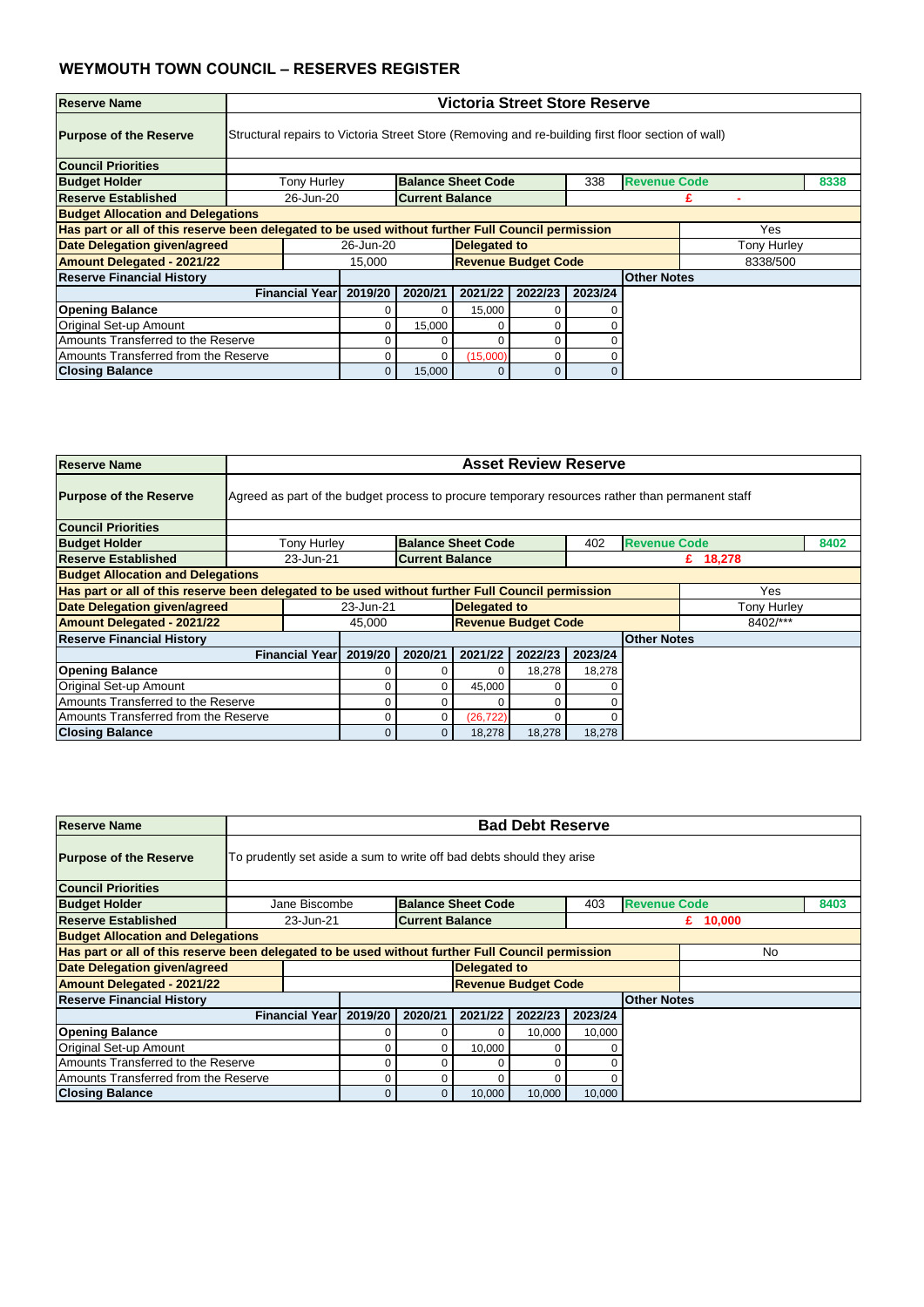| <b>Reserve Name</b>                      |                       | <b>Victoria Street Store Reserve</b>                                                                     |                        |                            |         |         |                    |                    |  |  |  |  |
|------------------------------------------|-----------------------|----------------------------------------------------------------------------------------------------------|------------------------|----------------------------|---------|---------|--------------------|--------------------|--|--|--|--|
| <b>Purpose of the Reserve</b>            |                       | Structural repairs to Victoria Street Store (Removing and re-building first floor section of wall)       |                        |                            |         |         |                    |                    |  |  |  |  |
| <b>Council Priorities</b>                |                       |                                                                                                          |                        |                            |         |         |                    |                    |  |  |  |  |
| <b>Budget Holder</b>                     |                       | <b>Revenue Code</b><br><b>Balance Sheet Code</b><br><b>Tony Hurley</b><br>338<br>8338                    |                        |                            |         |         |                    |                    |  |  |  |  |
| Reserve Established                      | 26-Jun-20             |                                                                                                          | <b>Current Balance</b> |                            |         |         |                    |                    |  |  |  |  |
| <b>Budget Allocation and Delegations</b> |                       |                                                                                                          |                        |                            |         |         |                    |                    |  |  |  |  |
|                                          |                       | Has part or all of this reserve been delegated to be used without further Full Council permission<br>Yes |                        |                            |         |         |                    |                    |  |  |  |  |
| <b>Date Delegation given/agreed</b>      |                       | 26-Jun-20                                                                                                |                        | <b>Delegated to</b>        |         |         |                    | <b>Tony Hurley</b> |  |  |  |  |
| <b>Amount Delegated - 2021/22</b>        |                       | 15,000                                                                                                   |                        | <b>Revenue Budget Code</b> |         |         |                    | 8338/500           |  |  |  |  |
| <b>Reserve Financial History</b>         |                       |                                                                                                          |                        |                            |         |         | <b>Other Notes</b> |                    |  |  |  |  |
|                                          | <b>Financial Year</b> | 2019/20                                                                                                  | 2020/21                | 2021/22                    | 2022/23 | 2023/24 |                    |                    |  |  |  |  |
| <b>Opening Balance</b>                   |                       |                                                                                                          |                        | 15,000                     |         |         |                    |                    |  |  |  |  |
| Original Set-up Amount                   |                       |                                                                                                          | 15,000                 |                            | 0       |         |                    |                    |  |  |  |  |
| Amounts Transferred to the Reserve       |                       | 0<br>0                                                                                                   |                        |                            |         |         |                    |                    |  |  |  |  |
| Amounts Transferred from the Reserve     |                       | (15,000)<br>0<br>0                                                                                       |                        |                            |         |         |                    |                    |  |  |  |  |
| <b>Closing Balance</b>                   |                       | 0                                                                                                        | 15,000                 |                            | 0       |         |                    |                    |  |  |  |  |

| <b>Reserve Name</b>                      |                       | <b>Asset Review Reserve</b>                                                                              |                        |                            |         |         |                     |             |      |  |  |  |
|------------------------------------------|-----------------------|----------------------------------------------------------------------------------------------------------|------------------------|----------------------------|---------|---------|---------------------|-------------|------|--|--|--|
| <b>Purpose of the Reserve</b>            |                       | Agreed as part of the budget process to procure temporary resources rather than permanent staff          |                        |                            |         |         |                     |             |      |  |  |  |
| <b>Council Priorities</b>                |                       |                                                                                                          |                        |                            |         |         |                     |             |      |  |  |  |
| <b>Budget Holder</b>                     | <b>Tony Hurley</b>    |                                                                                                          |                        | <b>Balance Sheet Code</b>  |         | 402     | <b>Revenue Code</b> |             | 8402 |  |  |  |
| <b>Reserve Established</b>               | 23-Jun-21             |                                                                                                          | <b>Current Balance</b> |                            |         |         |                     | £ 18,278    |      |  |  |  |
| <b>Budget Allocation and Delegations</b> |                       |                                                                                                          |                        |                            |         |         |                     |             |      |  |  |  |
|                                          |                       | Has part or all of this reserve been delegated to be used without further Full Council permission<br>Yes |                        |                            |         |         |                     |             |      |  |  |  |
| Date Delegation given/agreed             |                       | 23-Jun-21                                                                                                |                        | <b>Delegated to</b>        |         |         |                     | Tony Hurley |      |  |  |  |
| <b>Amount Delegated - 2021/22</b>        |                       | 45,000                                                                                                   |                        | <b>Revenue Budget Code</b> |         |         |                     | 8402/***    |      |  |  |  |
| <b>Reserve Financial History</b>         |                       |                                                                                                          |                        |                            |         |         | <b>Other Notes</b>  |             |      |  |  |  |
|                                          | <b>Financial Year</b> | 2019/20                                                                                                  | 2020/21                | 2021/22                    | 2022/23 | 2023/24 |                     |             |      |  |  |  |
| <b>Opening Balance</b>                   |                       |                                                                                                          |                        |                            | 18,278  | 18,278  |                     |             |      |  |  |  |
| <b>Original Set-up Amount</b>            |                       |                                                                                                          | 0                      | 45,000                     |         |         |                     |             |      |  |  |  |
| Amounts Transferred to the Reserve       |                       |                                                                                                          |                        |                            |         |         |                     |             |      |  |  |  |
| Amounts Transferred from the Reserve     |                       | (26, 722)<br>0                                                                                           |                        |                            |         |         |                     |             |      |  |  |  |
| <b>Closing Balance</b>                   |                       |                                                                                                          | 0                      | 18,278                     | 18,278  | 18,278  |                     |             |      |  |  |  |

| <b>Reserve Name</b>                                                                               |               | <b>Bad Debt Reserve</b><br>To prudently set aside a sum to write off bad debts should they arise |         |         |                           |                            |         |                     |  |           |  |  |
|---------------------------------------------------------------------------------------------------|---------------|--------------------------------------------------------------------------------------------------|---------|---------|---------------------------|----------------------------|---------|---------------------|--|-----------|--|--|
| <b>Purpose of the Reserve</b>                                                                     |               |                                                                                                  |         |         |                           |                            |         |                     |  |           |  |  |
| <b>Council Priorities</b>                                                                         |               |                                                                                                  |         |         |                           |                            |         |                     |  |           |  |  |
| <b>Budget Holder</b>                                                                              |               | Jane Biscombe                                                                                    |         |         | <b>Balance Sheet Code</b> |                            | 403     | <b>Revenue Code</b> |  | 8403      |  |  |
| <b>Reserve Established</b>                                                                        |               | 23-Jun-21<br><b>Current Balance</b><br>£ $10,000$                                                |         |         |                           |                            |         |                     |  |           |  |  |
| <b>Budget Allocation and Delegations</b>                                                          |               |                                                                                                  |         |         |                           |                            |         |                     |  |           |  |  |
| Has part or all of this reserve been delegated to be used without further Full Council permission |               |                                                                                                  |         |         |                           |                            |         |                     |  | <b>No</b> |  |  |
| <b>Date Delegation given/agreed</b>                                                               |               | Delegated to                                                                                     |         |         |                           |                            |         |                     |  |           |  |  |
| <b>Amount Delegated - 2021/22</b>                                                                 |               |                                                                                                  |         |         |                           | <b>Revenue Budget Code</b> |         |                     |  |           |  |  |
| <b>Reserve Financial History</b>                                                                  |               |                                                                                                  |         |         |                           |                            |         | <b>Other Notes</b>  |  |           |  |  |
|                                                                                                   |               | <b>Financial Yearl</b>                                                                           | 2019/20 | 2020/21 | 2021/22                   | 2022/23                    | 2023/24 |                     |  |           |  |  |
| <b>Opening Balance</b>                                                                            |               |                                                                                                  |         |         | $\Omega$                  | 10,000                     | 10,000  |                     |  |           |  |  |
| <b>Original Set-up Amount</b>                                                                     |               |                                                                                                  |         |         | 10,000                    |                            |         |                     |  |           |  |  |
| Amounts Transferred to the Reserve                                                                |               |                                                                                                  |         |         | 0                         |                            |         |                     |  |           |  |  |
| Amounts Transferred from the Reserve                                                              | $\Omega$<br>∩ |                                                                                                  |         |         |                           |                            |         |                     |  |           |  |  |
| <b>Closing Balance</b>                                                                            |               |                                                                                                  |         |         |                           | 10,000                     | 10,000  |                     |  |           |  |  |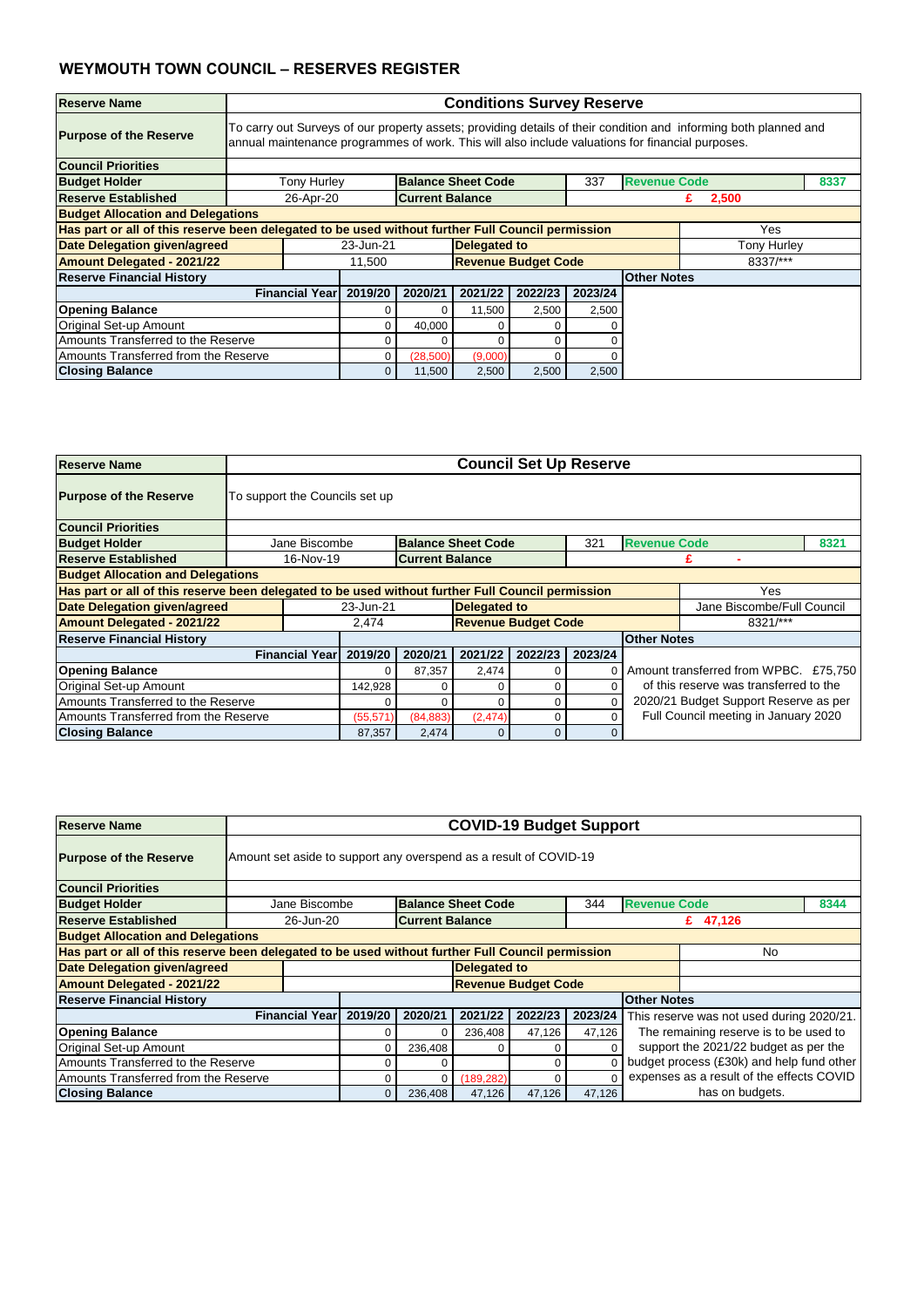| <b>Reserve Name</b>                                                                               |                       | <b>Conditions Survey Reserve</b>                                                                                                                                                                                     |          |                            |         |         |                    |                    |  |  |  |  |
|---------------------------------------------------------------------------------------------------|-----------------------|----------------------------------------------------------------------------------------------------------------------------------------------------------------------------------------------------------------------|----------|----------------------------|---------|---------|--------------------|--------------------|--|--|--|--|
| <b>Purpose of the Reserve</b>                                                                     |                       | To carry out Surveys of our property assets; providing details of their condition and informing both planned and<br>annual maintenance programmes of work. This will also include valuations for financial purposes. |          |                            |         |         |                    |                    |  |  |  |  |
| <b>Council Priorities</b>                                                                         |                       |                                                                                                                                                                                                                      |          |                            |         |         |                    |                    |  |  |  |  |
| <b>Budget Holder</b>                                                                              |                       | <b>Revenue Code</b><br><b>Tony Hurley</b><br><b>Balance Sheet Code</b><br>337<br>8337                                                                                                                                |          |                            |         |         |                    |                    |  |  |  |  |
| Reserve Established                                                                               |                       | 26-Apr-20<br><b>Current Balance</b><br>2,500<br>£.                                                                                                                                                                   |          |                            |         |         |                    |                    |  |  |  |  |
| <b>Budget Allocation and Delegations</b>                                                          |                       |                                                                                                                                                                                                                      |          |                            |         |         |                    |                    |  |  |  |  |
| Has part or all of this reserve been delegated to be used without further Full Council permission |                       |                                                                                                                                                                                                                      |          |                            |         |         |                    | Yes                |  |  |  |  |
| <b>Date Delegation given/agreed</b>                                                               |                       | 23-Jun-21                                                                                                                                                                                                            |          | <b>Delegated to</b>        |         |         |                    | <b>Tony Hurley</b> |  |  |  |  |
| <b>Amount Delegated - 2021/22</b>                                                                 |                       | 11,500                                                                                                                                                                                                               |          | <b>Revenue Budget Code</b> |         |         |                    | 8337/***           |  |  |  |  |
| <b>Reserve Financial History</b>                                                                  |                       |                                                                                                                                                                                                                      |          |                            |         |         | <b>Other Notes</b> |                    |  |  |  |  |
|                                                                                                   | <b>Financial Year</b> | 2019/20                                                                                                                                                                                                              | 2020/21  | 2021/22                    | 2022/23 | 2023/24 |                    |                    |  |  |  |  |
| <b>Opening Balance</b>                                                                            |                       |                                                                                                                                                                                                                      |          | 11,500                     | 2,500   | 2,500   |                    |                    |  |  |  |  |
| <b>Original Set-up Amount</b>                                                                     |                       |                                                                                                                                                                                                                      | 40,000   |                            |         |         |                    |                    |  |  |  |  |
| Amounts Transferred to the Reserve                                                                |                       | 0                                                                                                                                                                                                                    |          |                            |         |         |                    |                    |  |  |  |  |
| Amounts Transferred from the Reserve                                                              |                       |                                                                                                                                                                                                                      | (28,500) | (9,000)                    | ი       |         |                    |                    |  |  |  |  |
| <b>Closing Balance</b>                                                                            |                       | $\overline{0}$                                                                                                                                                                                                       | 11,500   | 2,500                      | 2,500   | 2,500   |                    |                    |  |  |  |  |

| <b>Reserve Name</b>                                                                               |                                            | <b>Council Set Up Reserve</b> |                        |                            |         |         |                     |                                        |      |  |  |
|---------------------------------------------------------------------------------------------------|--------------------------------------------|-------------------------------|------------------------|----------------------------|---------|---------|---------------------|----------------------------------------|------|--|--|
| <b>Purpose of the Reserve</b>                                                                     | To support the Councils set up             |                               |                        |                            |         |         |                     |                                        |      |  |  |
| <b>Council Priorities</b>                                                                         |                                            |                               |                        |                            |         |         |                     |                                        |      |  |  |
| <b>Budget Holder</b>                                                                              | Jane Biscombe                              |                               |                        | <b>Balance Sheet Code</b>  |         | 321     | <b>Revenue Code</b> |                                        | 8321 |  |  |
| <b>Reserve Established</b>                                                                        | 16-Nov-19                                  |                               | <b>Current Balance</b> |                            |         |         |                     |                                        |      |  |  |
| <b>Budget Allocation and Delegations</b>                                                          |                                            |                               |                        |                            |         |         |                     |                                        |      |  |  |
| Has part or all of this reserve been delegated to be used without further Full Council permission |                                            |                               |                        |                            |         |         |                     | Yes                                    |      |  |  |
| Date Delegation given/agreed                                                                      |                                            | 23-Jun-21                     |                        | <b>Delegated to</b>        |         |         |                     | Jane Biscombe/Full Council             |      |  |  |
| <b>Amount Delegated - 2021/22</b>                                                                 |                                            | 2,474                         |                        | <b>Revenue Budget Code</b> |         |         |                     | 8321/***                               |      |  |  |
| <b>Reserve Financial History</b>                                                                  |                                            |                               |                        |                            |         |         | <b>Other Notes</b>  |                                        |      |  |  |
|                                                                                                   | <b>Financial Year</b>                      | 2019/20                       | 2020/21                | 2021/22                    | 2022/23 | 2023/24 |                     |                                        |      |  |  |
| <b>Opening Balance</b>                                                                            |                                            | 0                             | 87,357                 | 2,474                      | 0       |         |                     | Amount transferred from WPBC. £75,750  |      |  |  |
| Original Set-up Amount                                                                            | 142,928<br>0<br>0                          |                               |                        |                            |         |         |                     | of this reserve was transferred to the |      |  |  |
| Amounts Transferred to the Reserve                                                                | 2020/21 Budget Support Reserve as per<br>0 |                               |                        |                            |         |         |                     |                                        |      |  |  |
| Amounts Transferred from the Reserve                                                              |                                            | (55, 571)                     | (84, 883)              | (2, 474)                   | 0       |         |                     | Full Council meeting in January 2020   |      |  |  |
| <b>Closing Balance</b>                                                                            |                                            | 87,357                        | 2,474                  | $\overline{0}$             | 0       |         |                     |                                        |      |  |  |

| <b>Reserve Name</b>                                                                               |                                                     | <b>COVID-19 Budget Support</b>                                                   |         |         |                     |                            |         |                    |                                           |  |  |  |
|---------------------------------------------------------------------------------------------------|-----------------------------------------------------|----------------------------------------------------------------------------------|---------|---------|---------------------|----------------------------|---------|--------------------|-------------------------------------------|--|--|--|
| <b>Purpose of the Reserve</b>                                                                     |                                                     | Amount set aside to support any overspend as a result of COVID-19                |         |         |                     |                            |         |                    |                                           |  |  |  |
| <b>Council Priorities</b>                                                                         |                                                     |                                                                                  |         |         |                     |                            |         |                    |                                           |  |  |  |
| <b>Budget Holder</b>                                                                              |                                                     | <b>Balance Sheet Code</b><br><b>Revenue Code</b><br>8344<br>Jane Biscombe<br>344 |         |         |                     |                            |         |                    |                                           |  |  |  |
| <b>Reserve Established</b>                                                                        |                                                     | <b>Current Balance</b><br>26-Jun-20<br>£ 47,126                                  |         |         |                     |                            |         |                    |                                           |  |  |  |
| <b>Budget Allocation and Delegations</b>                                                          |                                                     |                                                                                  |         |         |                     |                            |         |                    |                                           |  |  |  |
| Has part or all of this reserve been delegated to be used without further Full Council permission |                                                     |                                                                                  |         |         |                     |                            |         |                    | No.                                       |  |  |  |
| <b>Date Delegation given/agreed</b>                                                               |                                                     |                                                                                  |         |         | <b>Delegated to</b> |                            |         |                    |                                           |  |  |  |
| <b>Amount Delegated - 2021/22</b>                                                                 |                                                     |                                                                                  |         |         |                     | <b>Revenue Budget Code</b> |         |                    |                                           |  |  |  |
| <b>Reserve Financial History</b>                                                                  |                                                     |                                                                                  |         |         |                     |                            |         | <b>Other Notes</b> |                                           |  |  |  |
|                                                                                                   |                                                     | <b>Financial Year</b>                                                            | 2019/20 | 2020/21 | 2021/22             | 2022/23                    | 2023/24 |                    | This reserve was not used during 2020/21. |  |  |  |
| <b>Opening Balance</b>                                                                            |                                                     |                                                                                  |         | 0       | 236,408             | 47,126                     | 47,126  |                    | The remaining reserve is to be used to    |  |  |  |
| Original Set-up Amount                                                                            |                                                     |                                                                                  |         | 236,408 |                     | 0                          |         |                    | support the 2021/22 budget as per the     |  |  |  |
| Amounts Transferred to the Reserve                                                                | budget process (£30k) and help fund other<br>0<br>0 |                                                                                  |         |         |                     |                            |         |                    |                                           |  |  |  |
| Amounts Transferred from the Reserve                                                              |                                                     |                                                                                  |         | 0       | (189, 282)          | 0                          |         |                    | expenses as a result of the effects COVID |  |  |  |
| <b>Closing Balance</b>                                                                            |                                                     |                                                                                  | 0       | 236,408 | 47,126              | 47,126                     | 47,126  |                    | has on budgets.                           |  |  |  |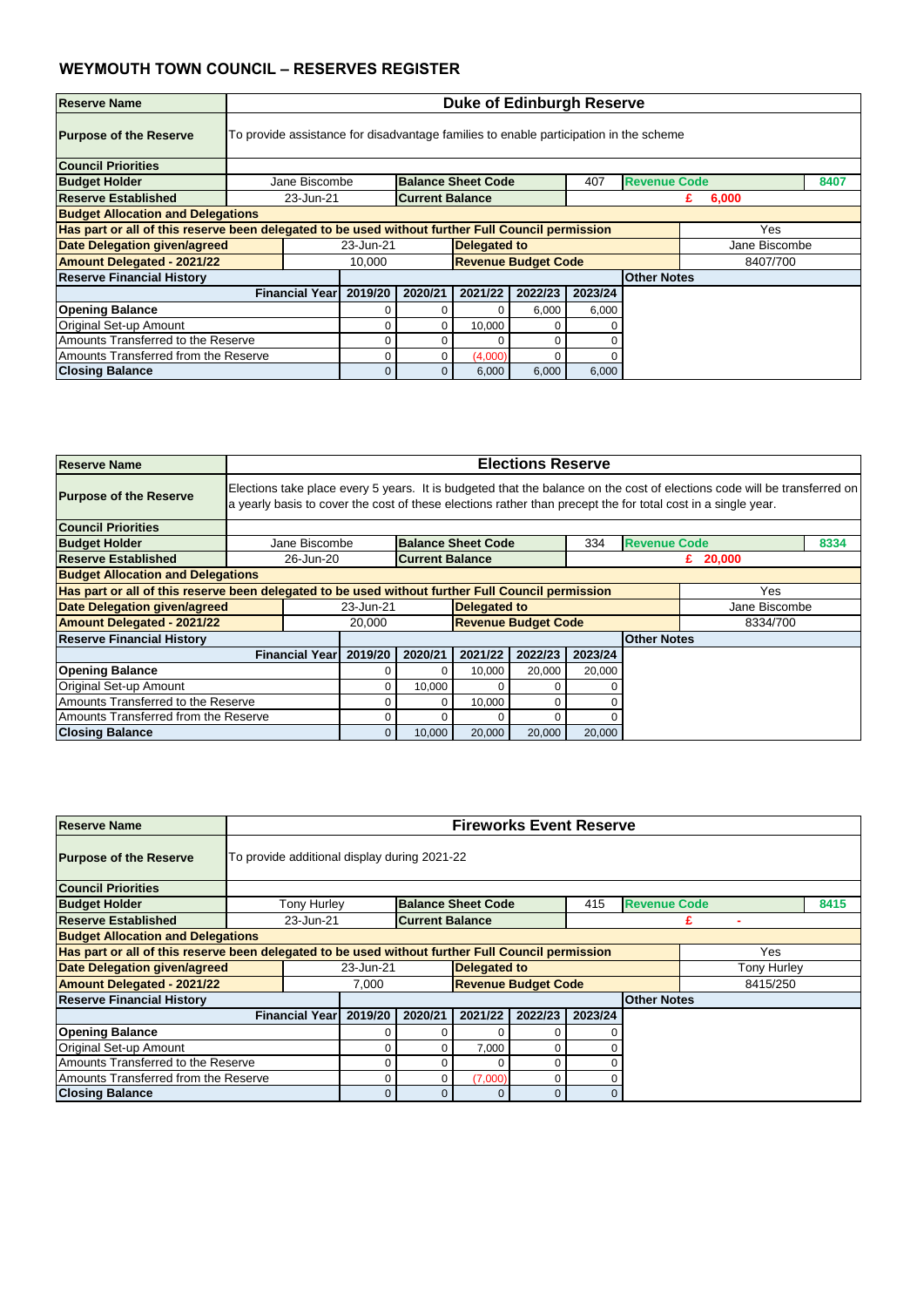| <b>Reserve Name</b>                      |                                                                                                          | <b>Duke of Edinburgh Reserve</b>                                                      |         |                            |         |         |                     |               |      |  |  |  |
|------------------------------------------|----------------------------------------------------------------------------------------------------------|---------------------------------------------------------------------------------------|---------|----------------------------|---------|---------|---------------------|---------------|------|--|--|--|
| <b>Purpose of the Reserve</b>            |                                                                                                          | To provide assistance for disadvantage families to enable participation in the scheme |         |                            |         |         |                     |               |      |  |  |  |
| <b>Council Priorities</b>                |                                                                                                          |                                                                                       |         |                            |         |         |                     |               |      |  |  |  |
| <b>Budget Holder</b>                     | Jane Biscombe                                                                                            |                                                                                       |         | <b>Balance Sheet Code</b>  |         | 407     | <b>Revenue Code</b> |               | 8407 |  |  |  |
| Reserve Established                      |                                                                                                          | <b>Current Balance</b><br>23-Jun-21<br>6,000<br>£.                                    |         |                            |         |         |                     |               |      |  |  |  |
| <b>Budget Allocation and Delegations</b> |                                                                                                          |                                                                                       |         |                            |         |         |                     |               |      |  |  |  |
|                                          | Has part or all of this reserve been delegated to be used without further Full Council permission<br>Yes |                                                                                       |         |                            |         |         |                     |               |      |  |  |  |
| <b>Date Delegation given/agreed</b>      |                                                                                                          | 23-Jun-21                                                                             |         | <b>Delegated to</b>        |         |         |                     | Jane Biscombe |      |  |  |  |
| <b>Amount Delegated - 2021/22</b>        |                                                                                                          | 10,000                                                                                |         | <b>Revenue Budget Code</b> |         |         |                     | 8407/700      |      |  |  |  |
| <b>Reserve Financial History</b>         |                                                                                                          |                                                                                       |         |                            |         |         | <b>Other Notes</b>  |               |      |  |  |  |
|                                          | <b>Financial Yearl</b>                                                                                   | 2019/20                                                                               | 2020/21 | 2021/22                    | 2022/23 | 2023/24 |                     |               |      |  |  |  |
| <b>Opening Balance</b>                   |                                                                                                          |                                                                                       |         |                            | 6,000   | 6,000   |                     |               |      |  |  |  |
| Original Set-up Amount                   |                                                                                                          |                                                                                       |         | 10,000                     | O       |         |                     |               |      |  |  |  |
| Amounts Transferred to the Reserve       | 0                                                                                                        |                                                                                       |         |                            |         |         |                     |               |      |  |  |  |
| Amounts Transferred from the Reserve     |                                                                                                          | (4,000)<br>0                                                                          |         |                            |         |         |                     |               |      |  |  |  |
| <b>Closing Balance</b>                   |                                                                                                          |                                                                                       | 0       | 6,000                      | 6,000   | 6,000   |                     |               |      |  |  |  |

| <b>Reserve Name</b>                      |                                                                                                          | <b>Elections Reserve</b>                                                                                                                                                                                                                 |         |                            |         |         |                     |               |      |  |  |  |  |
|------------------------------------------|----------------------------------------------------------------------------------------------------------|------------------------------------------------------------------------------------------------------------------------------------------------------------------------------------------------------------------------------------------|---------|----------------------------|---------|---------|---------------------|---------------|------|--|--|--|--|
| <b>Purpose of the Reserve</b>            |                                                                                                          | Elections take place every 5 years. It is budgeted that the balance on the cost of elections code will be transferred on<br>a yearly basis to cover the cost of these elections rather than precept the for total cost in a single year. |         |                            |         |         |                     |               |      |  |  |  |  |
| <b>Council Priorities</b>                |                                                                                                          |                                                                                                                                                                                                                                          |         |                            |         |         |                     |               |      |  |  |  |  |
| <b>Budget Holder</b>                     | Jane Biscombe                                                                                            |                                                                                                                                                                                                                                          |         | <b>Balance Sheet Code</b>  |         | 334     | <b>Revenue Code</b> |               | 8334 |  |  |  |  |
| <b>Reserve Established</b>               |                                                                                                          | <b>Current Balance</b><br>26-Jun-20<br>£ $20,000$                                                                                                                                                                                        |         |                            |         |         |                     |               |      |  |  |  |  |
| <b>Budget Allocation and Delegations</b> |                                                                                                          |                                                                                                                                                                                                                                          |         |                            |         |         |                     |               |      |  |  |  |  |
|                                          | Has part or all of this reserve been delegated to be used without further Full Council permission<br>Yes |                                                                                                                                                                                                                                          |         |                            |         |         |                     |               |      |  |  |  |  |
| Date Delegation given/agreed             |                                                                                                          | 23-Jun-21                                                                                                                                                                                                                                |         | <b>Delegated to</b>        |         |         |                     | Jane Biscombe |      |  |  |  |  |
| <b>Amount Delegated - 2021/22</b>        |                                                                                                          | 20,000                                                                                                                                                                                                                                   |         | <b>Revenue Budget Code</b> |         |         |                     | 8334/700      |      |  |  |  |  |
| <b>Reserve Financial History</b>         |                                                                                                          |                                                                                                                                                                                                                                          |         |                            |         |         | <b>Other Notes</b>  |               |      |  |  |  |  |
|                                          | <b>Financial Year</b>                                                                                    | 2019/20                                                                                                                                                                                                                                  | 2020/21 | 2021/22                    | 2022/23 | 2023/24 |                     |               |      |  |  |  |  |
| <b>Opening Balance</b>                   |                                                                                                          |                                                                                                                                                                                                                                          |         | 10,000                     | 20,000  | 20,000  |                     |               |      |  |  |  |  |
| <b>Original Set-up Amount</b>            |                                                                                                          |                                                                                                                                                                                                                                          | 10,000  | 0                          | 0       |         |                     |               |      |  |  |  |  |
| Amounts Transferred to the Reserve       |                                                                                                          | 0                                                                                                                                                                                                                                        |         | 10,000                     | 0       |         |                     |               |      |  |  |  |  |
| Amounts Transferred from the Reserve     |                                                                                                          | 0                                                                                                                                                                                                                                        |         |                            |         |         |                     |               |      |  |  |  |  |
| <b>Closing Balance</b>                   |                                                                                                          | 0                                                                                                                                                                                                                                        | 10,000  | 20,000                     | 20,000  | 20,000  |                     |               |      |  |  |  |  |

| <b>Reserve Name</b>                                                                               |                                              | <b>Fireworks Event Reserve</b> |           |                        |                            |          |         |                     |             |      |  |  |
|---------------------------------------------------------------------------------------------------|----------------------------------------------|--------------------------------|-----------|------------------------|----------------------------|----------|---------|---------------------|-------------|------|--|--|
| <b>Purpose of the Reserve</b>                                                                     | To provide additional display during 2021-22 |                                |           |                        |                            |          |         |                     |             |      |  |  |
| <b>Council Priorities</b>                                                                         |                                              |                                |           |                        |                            |          |         |                     |             |      |  |  |
| <b>Budget Holder</b>                                                                              |                                              | <b>Tony Hurley</b>             |           |                        | <b>Balance Sheet Code</b>  |          | 415     | <b>Revenue Code</b> |             | 8415 |  |  |
| <b>Reserve Established</b>                                                                        |                                              | 23-Jun-21                      |           | <b>Current Balance</b> |                            |          |         |                     |             |      |  |  |
| <b>Budget Allocation and Delegations</b>                                                          |                                              |                                |           |                        |                            |          |         |                     |             |      |  |  |
| Has part or all of this reserve been delegated to be used without further Full Council permission |                                              |                                |           |                        |                            |          |         |                     | Yes         |      |  |  |
| <b>Date Delegation given/agreed</b>                                                               |                                              |                                | 23-Jun-21 |                        | Delegated to               |          |         |                     | Tony Hurley |      |  |  |
| <b>Amount Delegated - 2021/22</b>                                                                 |                                              |                                | 7,000     |                        | <b>Revenue Budget Code</b> |          |         |                     | 8415/250    |      |  |  |
| <b>Reserve Financial History</b>                                                                  |                                              |                                |           |                        |                            |          |         | <b>Other Notes</b>  |             |      |  |  |
|                                                                                                   |                                              | <b>Financial Year</b>          | 2019/20   | 2020/21                | 2021/22                    | 2022/23  | 2023/24 |                     |             |      |  |  |
| <b>Opening Balance</b>                                                                            |                                              |                                |           |                        | $\Omega$                   |          |         |                     |             |      |  |  |
| <b>Original Set-up Amount</b>                                                                     |                                              |                                |           |                        | 7,000                      | $\Omega$ |         |                     |             |      |  |  |
| Amounts Transferred to the Reserve                                                                |                                              |                                |           |                        | 0                          | $\Omega$ |         |                     |             |      |  |  |
| Amounts Transferred from the Reserve                                                              |                                              |                                | 0         | 0                      | (7,000)                    | $\Omega$ |         |                     |             |      |  |  |
| <b>Closing Balance</b>                                                                            |                                              |                                | 0         | $\overline{0}$         | $\overline{0}$             | $\Omega$ | 0       |                     |             |      |  |  |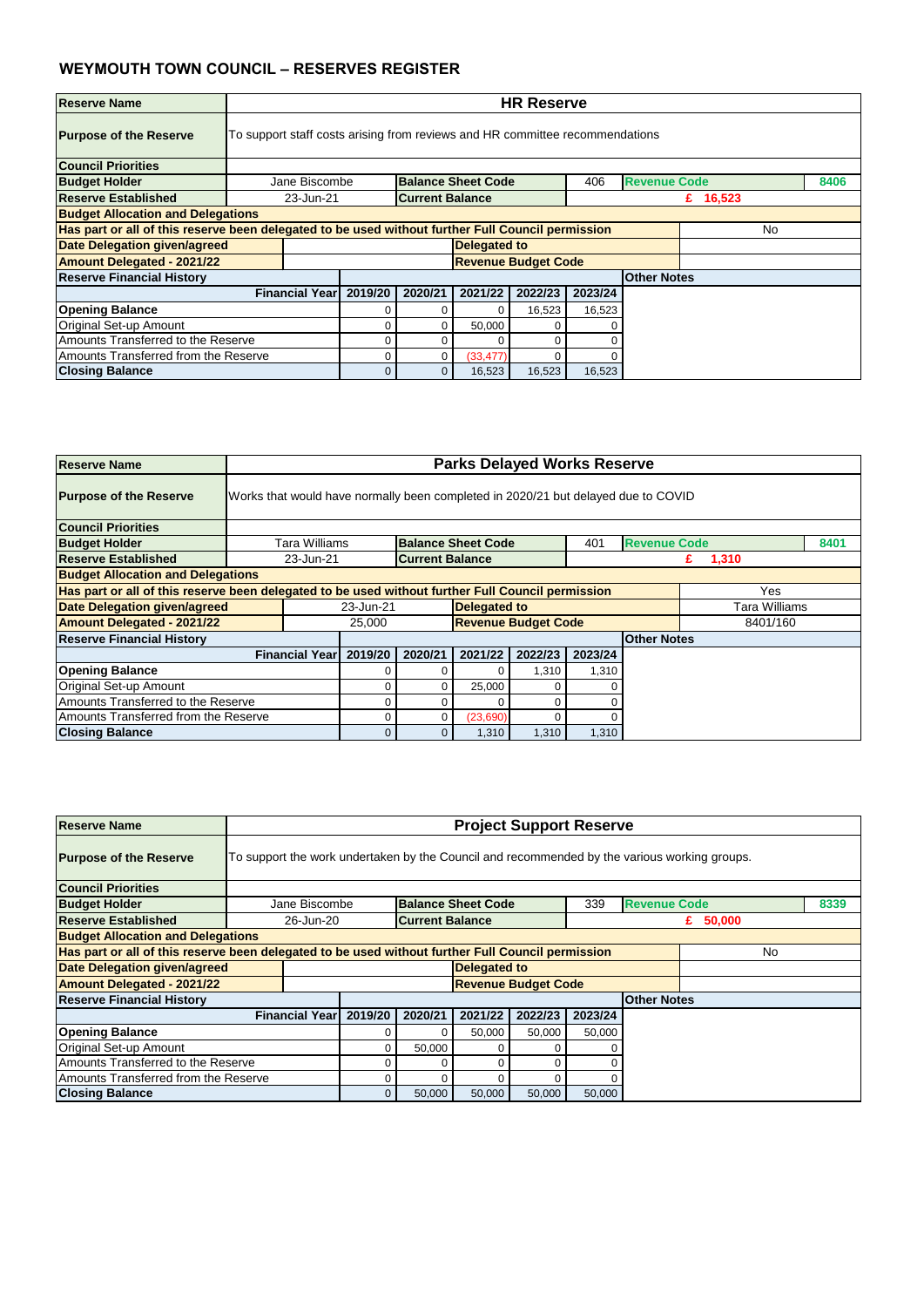| <b>Reserve Name</b>                      |                       | <b>HR Reserve</b>                                                                                       |         |                     |                            |         |                    |  |  |  |  |  |
|------------------------------------------|-----------------------|---------------------------------------------------------------------------------------------------------|---------|---------------------|----------------------------|---------|--------------------|--|--|--|--|--|
| <b>Purpose of the Reserve</b>            |                       | To support staff costs arising from reviews and HR committee recommendations                            |         |                     |                            |         |                    |  |  |  |  |  |
| <b>Council Priorities</b>                |                       |                                                                                                         |         |                     |                            |         |                    |  |  |  |  |  |
| <b>Budget Holder</b>                     |                       | <b>Revenue Code</b><br><b>Balance Sheet Code</b><br>8406<br>Jane Biscombe<br>406                        |         |                     |                            |         |                    |  |  |  |  |  |
| Reserve Established                      |                       | <b>Current Balance</b><br>23-Jun-21<br>£ $16,523$                                                       |         |                     |                            |         |                    |  |  |  |  |  |
| <b>Budget Allocation and Delegations</b> |                       |                                                                                                         |         |                     |                            |         |                    |  |  |  |  |  |
|                                          |                       | Has part or all of this reserve been delegated to be used without further Full Council permission<br>No |         |                     |                            |         |                    |  |  |  |  |  |
| <b>Date Delegation given/agreed</b>      |                       |                                                                                                         |         | <b>Delegated to</b> |                            |         |                    |  |  |  |  |  |
| <b>Amount Delegated - 2021/22</b>        |                       |                                                                                                         |         |                     | <b>Revenue Budget Code</b> |         |                    |  |  |  |  |  |
| <b>Reserve Financial History</b>         |                       |                                                                                                         |         |                     |                            |         | <b>Other Notes</b> |  |  |  |  |  |
|                                          | <b>Financial Year</b> | 2019/20                                                                                                 | 2020/21 | 2021/22             | 2022/23                    | 2023/24 |                    |  |  |  |  |  |
| <b>Opening Balance</b>                   |                       |                                                                                                         |         |                     | 16,523                     | 16,523  |                    |  |  |  |  |  |
| Original Set-up Amount                   |                       | 50,000<br>0<br>C                                                                                        |         |                     |                            |         |                    |  |  |  |  |  |
| Amounts Transferred to the Reserve       |                       |                                                                                                         |         |                     | C                          |         |                    |  |  |  |  |  |
| Amounts Transferred from the Reserve     |                       | (33, 477)<br>0                                                                                          |         |                     |                            |         |                    |  |  |  |  |  |
| <b>Closing Balance</b>                   |                       |                                                                                                         | 0       | 16,523              | 16,523                     | 16,523  |                    |  |  |  |  |  |

| <b>Reserve Name</b>                      |                                                                                   | <b>Parks Delayed Works Reserve</b>                                                                       |                            |                           |         |         |                     |               |      |  |  |
|------------------------------------------|-----------------------------------------------------------------------------------|----------------------------------------------------------------------------------------------------------|----------------------------|---------------------------|---------|---------|---------------------|---------------|------|--|--|
| <b>Purpose of the Reserve</b>            | Works that would have normally been completed in 2020/21 but delayed due to COVID |                                                                                                          |                            |                           |         |         |                     |               |      |  |  |
| <b>Council Priorities</b>                |                                                                                   |                                                                                                          |                            |                           |         |         |                     |               |      |  |  |
| <b>Budget Holder</b>                     | Tara Williams                                                                     |                                                                                                          |                            | <b>Balance Sheet Code</b> |         | 401     | <b>Revenue Code</b> |               | 8401 |  |  |
| <b>Reserve Established</b>               | 23-Jun-21                                                                         |                                                                                                          | <b>Current Balance</b>     |                           |         |         |                     | 1,310<br>£.   |      |  |  |
| <b>Budget Allocation and Delegations</b> |                                                                                   |                                                                                                          |                            |                           |         |         |                     |               |      |  |  |
|                                          |                                                                                   | Has part or all of this reserve been delegated to be used without further Full Council permission<br>Yes |                            |                           |         |         |                     |               |      |  |  |
| Date Delegation given/agreed             |                                                                                   | 23-Jun-21                                                                                                |                            | <b>Delegated to</b>       |         |         |                     | Tara Williams |      |  |  |
| <b>Amount Delegated - 2021/22</b>        |                                                                                   | 25,000                                                                                                   | <b>Revenue Budget Code</b> |                           |         |         |                     | 8401/160      |      |  |  |
| <b>Reserve Financial History</b>         |                                                                                   |                                                                                                          |                            |                           |         |         | <b>Other Notes</b>  |               |      |  |  |
|                                          | <b>Financial Year</b>                                                             | 2019/20                                                                                                  | 2020/21                    | 2021/22                   | 2022/23 | 2023/24 |                     |               |      |  |  |
| <b>Opening Balance</b>                   |                                                                                   |                                                                                                          |                            |                           | 1,310   | 1,310   |                     |               |      |  |  |
| Original Set-up Amount                   |                                                                                   |                                                                                                          |                            | 25,000                    |         |         |                     |               |      |  |  |
| Amounts Transferred to the Reserve       |                                                                                   |                                                                                                          |                            | C                         |         |         |                     |               |      |  |  |
| Amounts Transferred from the Reserve     |                                                                                   | (23,690)                                                                                                 |                            |                           |         |         |                     |               |      |  |  |
| <b>Closing Balance</b>                   |                                                                                   |                                                                                                          | 0                          | 1,310                     | 1,310   | 1,310   |                     |               |      |  |  |

| <b>Reserve Name</b>                                                                               |             | <b>Project Support Reserve</b>                                                               |         |         |                           |                            |         |                     |     |      |  |  |
|---------------------------------------------------------------------------------------------------|-------------|----------------------------------------------------------------------------------------------|---------|---------|---------------------------|----------------------------|---------|---------------------|-----|------|--|--|
| <b>Purpose of the Reserve</b>                                                                     |             | To support the work undertaken by the Council and recommended by the various working groups. |         |         |                           |                            |         |                     |     |      |  |  |
| <b>Council Priorities</b>                                                                         |             |                                                                                              |         |         |                           |                            |         |                     |     |      |  |  |
| <b>Budget Holder</b>                                                                              |             | Jane Biscombe                                                                                |         |         | <b>Balance Sheet Code</b> |                            | 339     | <b>Revenue Code</b> |     | 8339 |  |  |
| Reserve Established                                                                               |             | <b>Current Balance</b><br>26-Jun-20<br>£ $50,000$                                            |         |         |                           |                            |         |                     |     |      |  |  |
| <b>Budget Allocation and Delegations</b>                                                          |             |                                                                                              |         |         |                           |                            |         |                     |     |      |  |  |
| Has part or all of this reserve been delegated to be used without further Full Council permission |             |                                                                                              |         |         |                           |                            |         |                     | No. |      |  |  |
| <b>Date Delegation given/agreed</b>                                                               |             |                                                                                              |         |         | <b>Delegated to</b>       |                            |         |                     |     |      |  |  |
| <b>Amount Delegated - 2021/22</b>                                                                 |             |                                                                                              |         |         |                           | <b>Revenue Budget Code</b> |         |                     |     |      |  |  |
| <b>Reserve Financial History</b>                                                                  |             |                                                                                              |         |         |                           |                            |         | <b>Other Notes</b>  |     |      |  |  |
|                                                                                                   |             | <b>Financial Year</b>                                                                        | 2019/20 | 2020/21 | 2021/22                   | 2022/23                    | 2023/24 |                     |     |      |  |  |
| <b>Opening Balance</b>                                                                            |             |                                                                                              | 0       | 0       | 50,000                    | 50,000                     | 50,000  |                     |     |      |  |  |
| <b>Original Set-up Amount</b>                                                                     |             |                                                                                              | 0       | 50,000  |                           | 0                          |         |                     |     |      |  |  |
| Amounts Transferred to the Reserve                                                                | 0<br>0<br>0 |                                                                                              |         |         |                           |                            |         |                     |     |      |  |  |
| Amounts Transferred from the Reserve                                                              |             |                                                                                              |         |         |                           |                            |         |                     |     |      |  |  |
| <b>Closing Balance</b>                                                                            |             |                                                                                              | 0       | 50,000  | 50,000                    | 50,000                     | 50,000  |                     |     |      |  |  |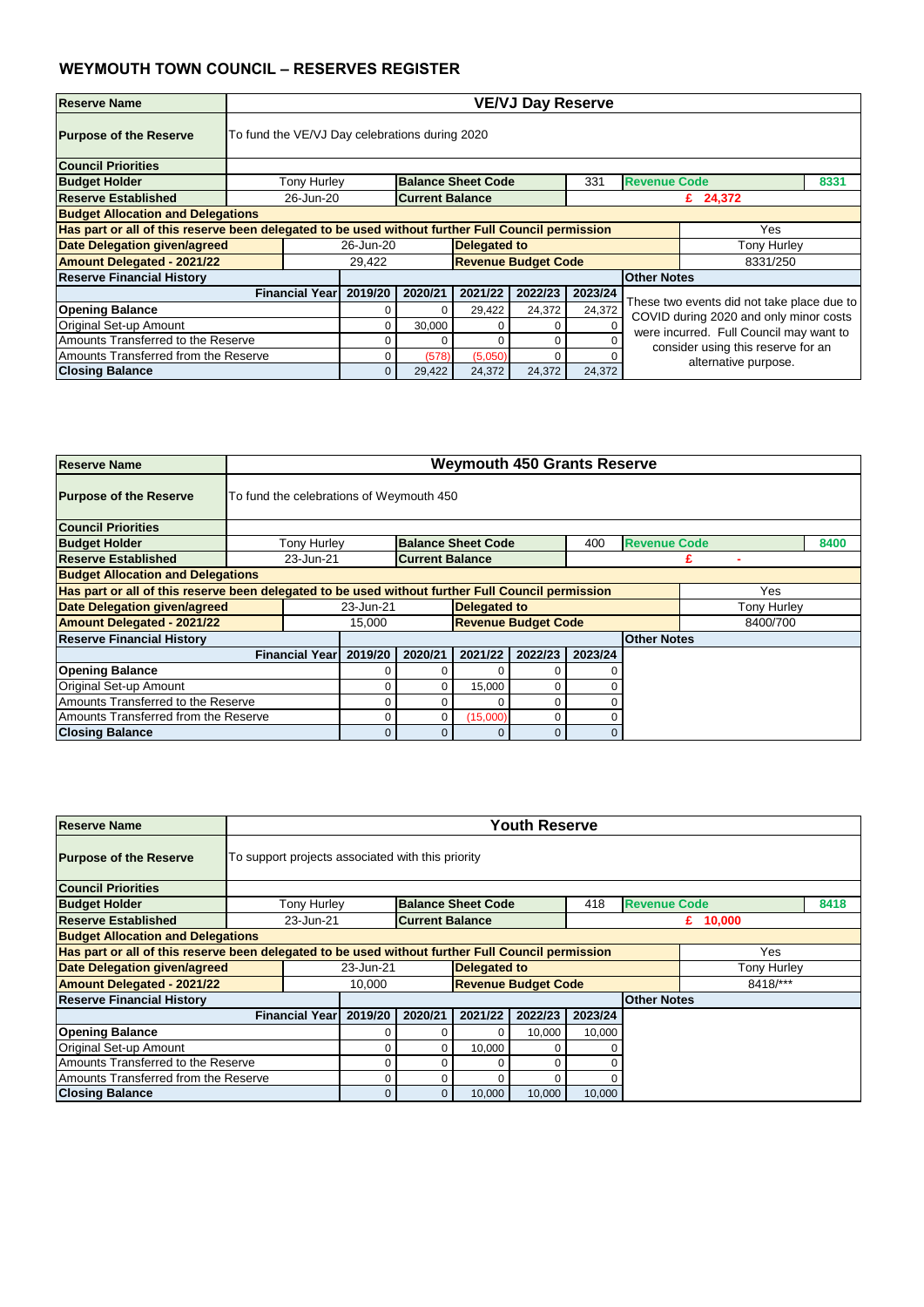| <b>Reserve Name</b>                                                                               |                                                | <b>VE/VJ Day Reserve</b>                        |         |                            |         |         |                                                            |                                                                                      |      |  |  |  |
|---------------------------------------------------------------------------------------------------|------------------------------------------------|-------------------------------------------------|---------|----------------------------|---------|---------|------------------------------------------------------------|--------------------------------------------------------------------------------------|------|--|--|--|
| <b>Purpose of the Reserve</b>                                                                     | To fund the VE/VJ Day celebrations during 2020 |                                                 |         |                            |         |         |                                                            |                                                                                      |      |  |  |  |
| <b>Council Priorities</b>                                                                         |                                                |                                                 |         |                            |         |         |                                                            |                                                                                      |      |  |  |  |
| <b>Budget Holder</b>                                                                              | <b>Tony Hurley</b>                             |                                                 |         | <b>Balance Sheet Code</b>  |         | 331     | <b>Revenue Code</b>                                        |                                                                                      | 8331 |  |  |  |
| <b>Reserve Established</b>                                                                        |                                                | 26-Jun-20<br><b>Current Balance</b><br>£ 24,372 |         |                            |         |         |                                                            |                                                                                      |      |  |  |  |
| <b>Budget Allocation and Delegations</b>                                                          |                                                |                                                 |         |                            |         |         |                                                            |                                                                                      |      |  |  |  |
| Has part or all of this reserve been delegated to be used without further Full Council permission |                                                |                                                 |         |                            |         |         |                                                            | Yes                                                                                  |      |  |  |  |
| <b>Date Delegation given/agreed</b>                                                               |                                                | 26-Jun-20                                       |         | <b>Delegated to</b>        |         |         |                                                            | <b>Tony Hurley</b>                                                                   |      |  |  |  |
| <b>Amount Delegated - 2021/22</b>                                                                 |                                                | 29,422                                          |         | <b>Revenue Budget Code</b> |         |         |                                                            | 8331/250                                                                             |      |  |  |  |
| <b>Reserve Financial History</b>                                                                  |                                                |                                                 |         |                            |         |         | <b>Other Notes</b>                                         |                                                                                      |      |  |  |  |
|                                                                                                   | <b>Financial Year</b>                          | 2019/20                                         | 2020/21 | 2021/22                    | 2022/23 | 2023/24 |                                                            |                                                                                      |      |  |  |  |
| <b>Opening Balance</b>                                                                            |                                                |                                                 | 0       | 29,422                     | 24,372  | 24,372  |                                                            | These two events did not take place due to<br>COVID during 2020 and only minor costs |      |  |  |  |
| Original Set-up Amount                                                                            |                                                |                                                 | 30,000  |                            | 0       |         |                                                            | were incurred. Full Council may want to                                              |      |  |  |  |
| Amounts Transferred to the Reserve                                                                |                                                |                                                 | 0       |                            | 0       |         |                                                            |                                                                                      |      |  |  |  |
| Amounts Transferred from the Reserve                                                              |                                                |                                                 | (578)   | (5,050)                    | 0       |         | consider using this reserve for an<br>alternative purpose. |                                                                                      |      |  |  |  |
| <b>Closing Balance</b>                                                                            |                                                | $\Omega$                                        | 29,422  | 24,372                     | 24,372  | 24,372  |                                                            |                                                                                      |      |  |  |  |

| <b>Reserve Name</b>                                                                               |                       | <b>Weymouth 450 Grants Reserve</b>       |                        |                            |         |         |                     |             |      |  |  |  |
|---------------------------------------------------------------------------------------------------|-----------------------|------------------------------------------|------------------------|----------------------------|---------|---------|---------------------|-------------|------|--|--|--|
| <b>Purpose of the Reserve</b>                                                                     |                       | To fund the celebrations of Weymouth 450 |                        |                            |         |         |                     |             |      |  |  |  |
| <b>Council Priorities</b>                                                                         |                       |                                          |                        |                            |         |         |                     |             |      |  |  |  |
| <b>Budget Holder</b>                                                                              | <b>Tony Hurley</b>    |                                          |                        | <b>Balance Sheet Code</b>  |         | 400     | <b>Revenue Code</b> |             | 8400 |  |  |  |
| <b>Reserve Established</b>                                                                        | 23-Jun-21             |                                          | <b>Current Balance</b> |                            |         |         |                     |             |      |  |  |  |
| <b>Budget Allocation and Delegations</b>                                                          |                       |                                          |                        |                            |         |         |                     |             |      |  |  |  |
| Has part or all of this reserve been delegated to be used without further Full Council permission |                       |                                          |                        |                            |         |         |                     | Yes         |      |  |  |  |
| Date Delegation given/agreed                                                                      |                       | 23-Jun-21                                |                        | <b>Delegated to</b>        |         |         |                     | Tony Hurley |      |  |  |  |
| <b>Amount Delegated - 2021/22</b>                                                                 |                       | 15,000                                   |                        | <b>Revenue Budget Code</b> |         |         |                     | 8400/700    |      |  |  |  |
| <b>Reserve Financial History</b>                                                                  |                       |                                          |                        |                            |         |         | <b>Other Notes</b>  |             |      |  |  |  |
|                                                                                                   | <b>Financial Year</b> | 2019/20                                  | 2020/21                | 2021/22                    | 2022/23 | 2023/24 |                     |             |      |  |  |  |
| <b>Opening Balance</b>                                                                            |                       |                                          |                        |                            | 0       |         |                     |             |      |  |  |  |
| <b>Original Set-up Amount</b>                                                                     |                       | 0                                        | 0                      | 15,000                     | 0       |         |                     |             |      |  |  |  |
| Amounts Transferred to the Reserve                                                                |                       |                                          |                        | 0                          |         |         |                     |             |      |  |  |  |
| Amounts Transferred from the Reserve                                                              |                       | (15,000)<br>0<br>0                       |                        |                            |         |         |                     |             |      |  |  |  |
| <b>Closing Balance</b>                                                                            |                       | 0                                        | $\mathbf{0}$           | $\overline{0}$             | 0       |         |                     |             |      |  |  |  |

| <b>Reserve Name</b>                                                                               |                                                   |           |                        |                           | <b>Youth Reserve</b> |             |                     |            |      |  |  |  |  |
|---------------------------------------------------------------------------------------------------|---------------------------------------------------|-----------|------------------------|---------------------------|----------------------|-------------|---------------------|------------|------|--|--|--|--|
| <b>Purpose of the Reserve</b>                                                                     | To support projects associated with this priority |           |                        |                           |                      |             |                     |            |      |  |  |  |  |
| <b>Council Priorities</b>                                                                         |                                                   |           |                        |                           |                      |             |                     |            |      |  |  |  |  |
| <b>Budget Holder</b>                                                                              | <b>Tony Hurley</b>                                |           |                        | <b>Balance Sheet Code</b> |                      | 418         | <b>Revenue Code</b> |            | 8418 |  |  |  |  |
| <b>Reserve Established</b>                                                                        | 23-Jun-21                                         |           | <b>Current Balance</b> |                           |                      |             |                     | £ $10,000$ |      |  |  |  |  |
| <b>Budget Allocation and Delegations</b>                                                          |                                                   |           |                        |                           |                      |             |                     |            |      |  |  |  |  |
| Has part or all of this reserve been delegated to be used without further Full Council permission |                                                   |           |                        |                           |                      |             |                     |            | Yes  |  |  |  |  |
| <b>Date Delegation given/agreed</b>                                                               |                                                   | 23-Jun-21 |                        | <b>Delegated to</b>       |                      | Tony Hurley |                     |            |      |  |  |  |  |
| <b>Amount Delegated - 2021/22</b>                                                                 | 8418/***<br><b>Revenue Budget Code</b><br>10,000  |           |                        |                           |                      |             |                     |            |      |  |  |  |  |
| <b>Reserve Financial History</b>                                                                  |                                                   |           |                        |                           |                      |             | <b>Other Notes</b>  |            |      |  |  |  |  |
|                                                                                                   | <b>Financial Year</b>                             | 2019/20   | 2020/21                | 2021/22                   | 2022/23              | 2023/24     |                     |            |      |  |  |  |  |
| <b>Opening Balance</b>                                                                            |                                                   |           |                        | $\Omega$                  | 10,000               | 10,000      |                     |            |      |  |  |  |  |
| <b>Original Set-up Amount</b>                                                                     |                                                   |           | 0                      | 10,000                    |                      |             |                     |            |      |  |  |  |  |
| Amounts Transferred to the Reserve                                                                |                                                   |           |                        | 0                         | $\Omega$             |             |                     |            |      |  |  |  |  |
| Amounts Transferred from the Reserve                                                              |                                                   | 0         | 0                      | 0                         |                      |             |                     |            |      |  |  |  |  |
| <b>Closing Balance</b>                                                                            |                                                   | 0         | 0                      | 10,000                    | 10,000               | 10,000      |                     |            |      |  |  |  |  |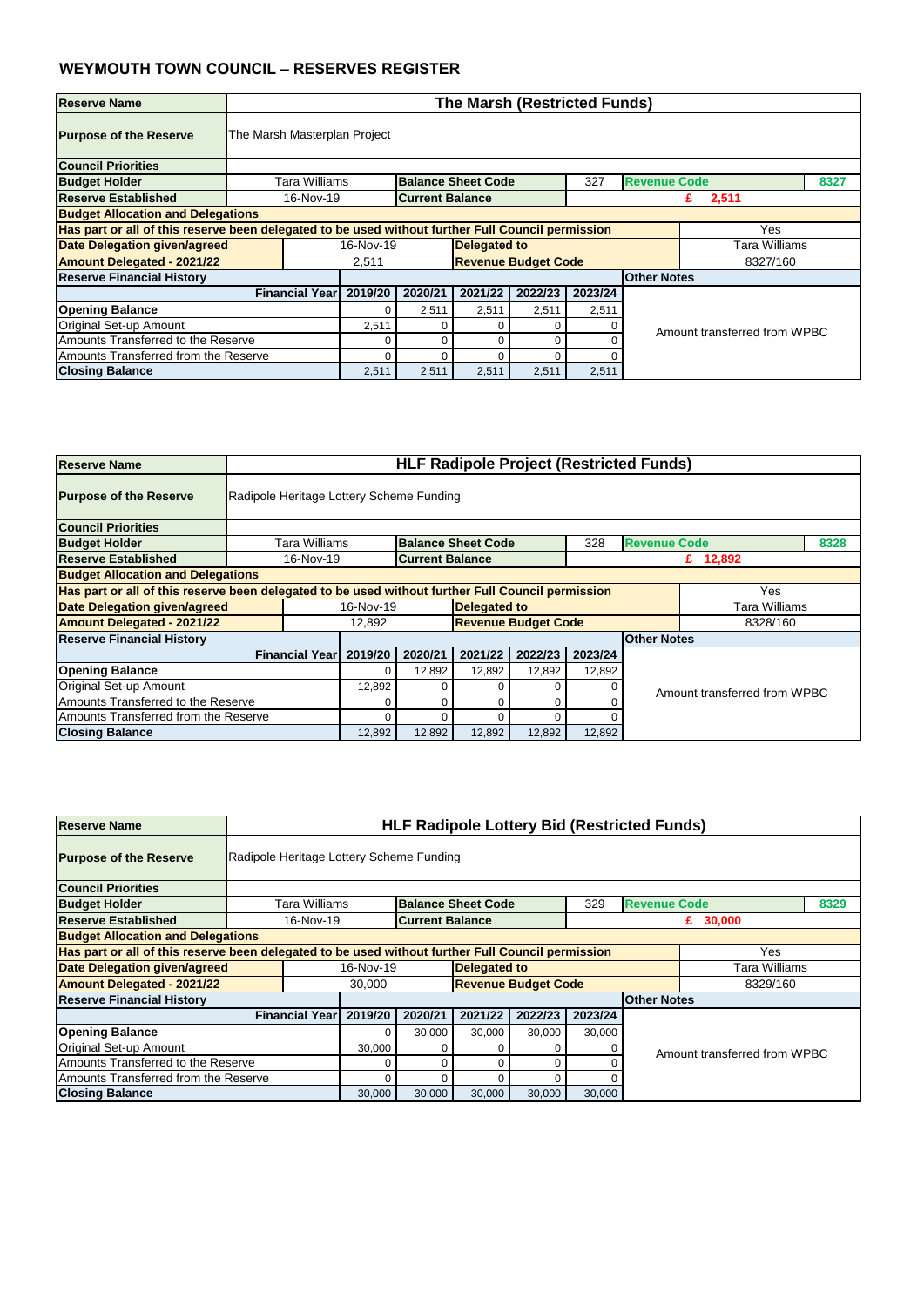| <b>Reserve Name</b>                                                                               |                              | <b>The Marsh (Restricted Funds)</b>                |         |                            |         |         |                     |                              |      |  |  |  |
|---------------------------------------------------------------------------------------------------|------------------------------|----------------------------------------------------|---------|----------------------------|---------|---------|---------------------|------------------------------|------|--|--|--|
| <b>Purpose of the Reserve</b>                                                                     | The Marsh Masterplan Project |                                                    |         |                            |         |         |                     |                              |      |  |  |  |
| <b>Council Priorities</b>                                                                         |                              |                                                    |         |                            |         |         |                     |                              |      |  |  |  |
| <b>Budget Holder</b>                                                                              | Tara Williams                |                                                    |         | <b>Balance Sheet Code</b>  |         | 327     | <b>Revenue Code</b> |                              | 8327 |  |  |  |
| <b>Reserve Established</b>                                                                        |                              | 16-Nov-19<br><b>Current Balance</b><br>2,511<br>£. |         |                            |         |         |                     |                              |      |  |  |  |
| <b>Budget Allocation and Delegations</b>                                                          |                              |                                                    |         |                            |         |         |                     |                              |      |  |  |  |
| Has part or all of this reserve been delegated to be used without further Full Council permission |                              |                                                    |         |                            |         |         |                     | Yes                          |      |  |  |  |
| Date Delegation given/agreed                                                                      |                              | 16-Nov-19                                          |         | <b>Delegated to</b>        |         |         |                     | Tara Williams                |      |  |  |  |
| <b>Amount Delegated - 2021/22</b>                                                                 |                              | 2,511                                              |         | <b>Revenue Budget Code</b> |         |         |                     | 8327/160                     |      |  |  |  |
| <b>Reserve Financial History</b>                                                                  |                              |                                                    |         |                            |         |         | <b>Other Notes</b>  |                              |      |  |  |  |
|                                                                                                   | <b>Financial Year</b>        | 2019/20                                            | 2020/21 | 2021/22                    | 2022/23 | 2023/24 |                     |                              |      |  |  |  |
| <b>Opening Balance</b>                                                                            |                              |                                                    | 2,511   | 2,511                      | 2,511   | 2,511   |                     |                              |      |  |  |  |
| <b>Original Set-up Amount</b>                                                                     |                              | 2,511                                              |         |                            | ∩       |         |                     | Amount transferred from WPBC |      |  |  |  |
| Amounts Transferred to the Reserve                                                                |                              |                                                    |         |                            | ∩       |         |                     |                              |      |  |  |  |
| Amounts Transferred from the Reserve                                                              |                              | ∩                                                  |         |                            | O       |         |                     |                              |      |  |  |  |
| <b>Closing Balance</b>                                                                            |                              | 2,511                                              | 2,511   | 2,511                      | 2,511   | 2,511   |                     |                              |      |  |  |  |

| <b>Reserve Name</b>                                                                               |                                          | <b>HLF Radipole Project (Restricted Funds)</b> |                        |                            |         |         |                     |                              |      |  |  |
|---------------------------------------------------------------------------------------------------|------------------------------------------|------------------------------------------------|------------------------|----------------------------|---------|---------|---------------------|------------------------------|------|--|--|
| <b>Purpose of the Reserve</b>                                                                     | Radipole Heritage Lottery Scheme Funding |                                                |                        |                            |         |         |                     |                              |      |  |  |
| <b>Council Priorities</b>                                                                         |                                          |                                                |                        |                            |         |         |                     |                              |      |  |  |
| <b>Budget Holder</b>                                                                              | Tara Williams                            |                                                |                        | <b>Balance Sheet Code</b>  |         | 328     | <b>Revenue Code</b> |                              | 8328 |  |  |
| <b>Reserve Established</b>                                                                        | 16-Nov-19                                |                                                | <b>Current Balance</b> |                            |         |         |                     | £ 12,892                     |      |  |  |
| <b>Budget Allocation and Delegations</b>                                                          |                                          |                                                |                        |                            |         |         |                     |                              |      |  |  |
| Has part or all of this reserve been delegated to be used without further Full Council permission |                                          |                                                |                        |                            |         |         |                     | Yes                          |      |  |  |
| Date Delegation given/agreed                                                                      |                                          | 16-Nov-19                                      |                        | <b>Delegated to</b>        |         |         |                     | Tara Williams                |      |  |  |
| <b>Amount Delegated - 2021/22</b>                                                                 |                                          | 12,892                                         |                        | <b>Revenue Budget Code</b> |         |         |                     | 8328/160                     |      |  |  |
| <b>Reserve Financial History</b>                                                                  |                                          |                                                |                        |                            |         |         | <b>Other Notes</b>  |                              |      |  |  |
|                                                                                                   | <b>Financial Year</b>                    | 2019/20                                        | 2020/21                | 2021/22                    | 2022/23 | 2023/24 |                     |                              |      |  |  |
| <b>Opening Balance</b>                                                                            |                                          | 0                                              | 12,892                 | 12,892                     | 12,892  | 12,892  |                     |                              |      |  |  |
| Original Set-up Amount                                                                            |                                          | 12,892                                         |                        | 0                          |         |         |                     | Amount transferred from WPBC |      |  |  |
| Amounts Transferred to the Reserve                                                                |                                          |                                                |                        |                            |         |         |                     |                              |      |  |  |
| Amounts Transferred from the Reserve                                                              |                                          | $\Omega$                                       |                        |                            |         |         |                     |                              |      |  |  |
| <b>Closing Balance</b>                                                                            |                                          | 12,892                                         | 12,892                 | 12,892                     | 12,892  | 12,892  |                     |                              |      |  |  |

| <b>Reserve Name</b>                      |                                                                                                          | <b>HLF Radipole Lottery Bid (Restricted Funds)</b> |           |                        |                           |                            |         |                     |                              |      |  |
|------------------------------------------|----------------------------------------------------------------------------------------------------------|----------------------------------------------------|-----------|------------------------|---------------------------|----------------------------|---------|---------------------|------------------------------|------|--|
| <b>Purpose of the Reserve</b>            | Radipole Heritage Lottery Scheme Funding                                                                 |                                                    |           |                        |                           |                            |         |                     |                              |      |  |
| <b>Council Priorities</b>                |                                                                                                          |                                                    |           |                        |                           |                            |         |                     |                              |      |  |
| <b>Budget Holder</b>                     |                                                                                                          | Tara Williams                                      |           |                        | <b>Balance Sheet Code</b> |                            | 329     | <b>Revenue Code</b> |                              | 8329 |  |
| <b>Reserve Established</b>               |                                                                                                          | 16-Nov-19                                          |           | <b>Current Balance</b> |                           |                            |         |                     | £ $30,000$                   |      |  |
| <b>Budget Allocation and Delegations</b> |                                                                                                          |                                                    |           |                        |                           |                            |         |                     |                              |      |  |
|                                          | Has part or all of this reserve been delegated to be used without further Full Council permission<br>Yes |                                                    |           |                        |                           |                            |         |                     |                              |      |  |
| <b>Date Delegation given/agreed</b>      |                                                                                                          |                                                    | 16-Nov-19 |                        | <b>Delegated to</b>       |                            |         |                     | Tara Williams                |      |  |
| <b>Amount Delegated - 2021/22</b>        |                                                                                                          |                                                    | 30,000    |                        |                           | <b>Revenue Budget Code</b> |         |                     | 8329/160                     |      |  |
| <b>Reserve Financial History</b>         |                                                                                                          |                                                    |           |                        |                           |                            |         | <b>Other Notes</b>  |                              |      |  |
|                                          |                                                                                                          | <b>Financial Year</b>                              | 2019/20   | 2020/21                | 2021/22                   | 2022/23                    | 2023/24 |                     |                              |      |  |
| <b>Opening Balance</b>                   |                                                                                                          |                                                    |           | 30,000                 | 30,000                    | 30,000                     | 30,000  |                     |                              |      |  |
| <b>Original Set-up Amount</b>            |                                                                                                          |                                                    | 30,000    | 0                      |                           | 0                          |         |                     | Amount transferred from WPBC |      |  |
| Amounts Transferred to the Reserve       | 0<br>0                                                                                                   |                                                    |           |                        |                           |                            |         |                     |                              |      |  |
| Amounts Transferred from the Reserve     |                                                                                                          |                                                    |           | 0                      |                           | 0                          |         |                     |                              |      |  |
| <b>Closing Balance</b>                   |                                                                                                          |                                                    | 30,000    | 30,000                 | 30,000                    | 30,000                     | 30,000  |                     |                              |      |  |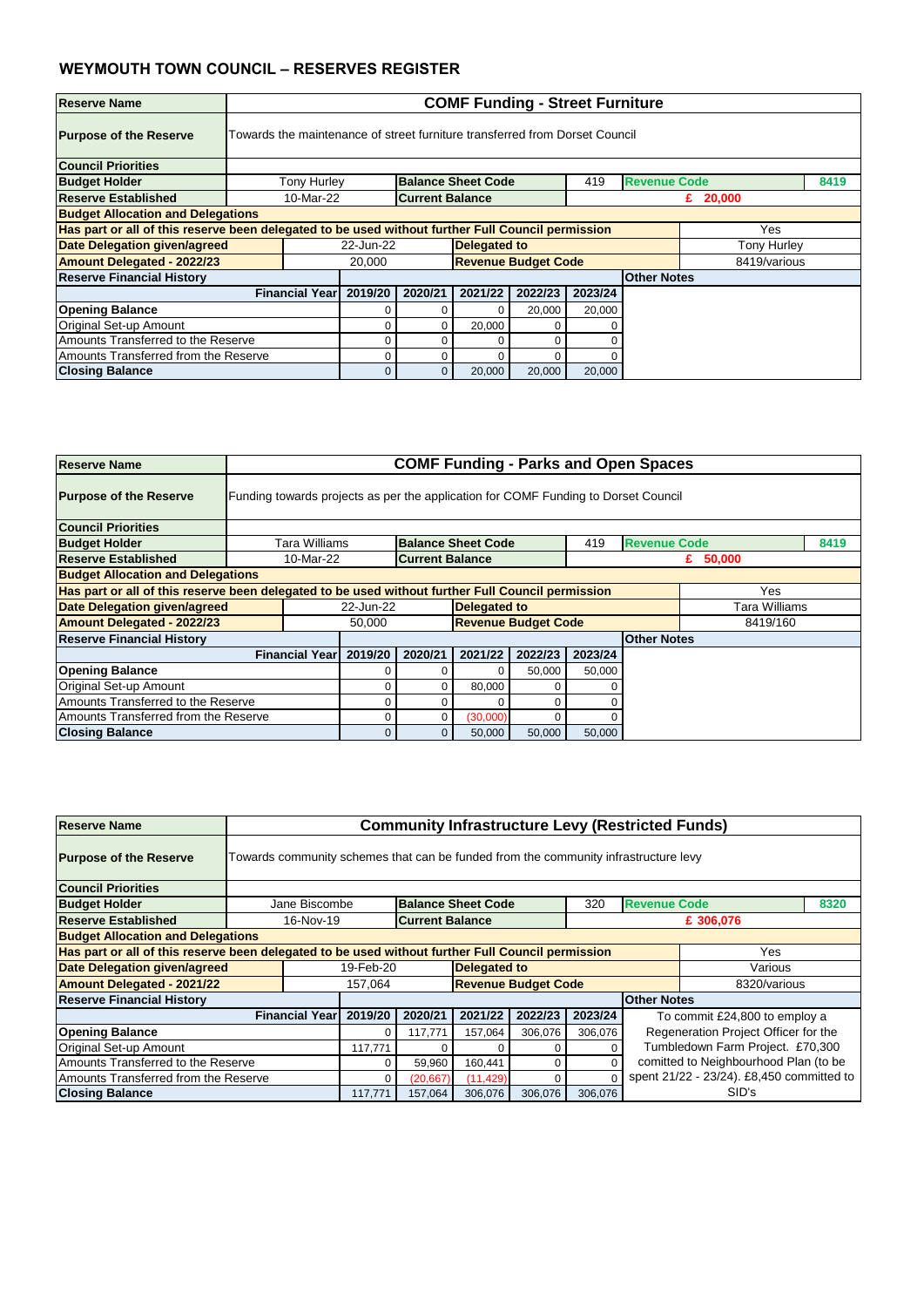| <b>Reserve Name</b>                                                                               |                       | <b>COMF Funding - Street Furniture</b>                                      |                        |                            |         |         |                     |                    |      |  |  |  |
|---------------------------------------------------------------------------------------------------|-----------------------|-----------------------------------------------------------------------------|------------------------|----------------------------|---------|---------|---------------------|--------------------|------|--|--|--|
| <b>Purpose of the Reserve</b>                                                                     |                       | Towards the maintenance of street furniture transferred from Dorset Council |                        |                            |         |         |                     |                    |      |  |  |  |
| <b>Council Priorities</b>                                                                         |                       |                                                                             |                        |                            |         |         |                     |                    |      |  |  |  |
| <b>Budget Holder</b>                                                                              | <b>Tony Hurley</b>    |                                                                             |                        | <b>Balance Sheet Code</b>  |         | 419     | <b>Revenue Code</b> |                    | 8419 |  |  |  |
| <b>Reserve Established</b>                                                                        | 10-Mar-22             |                                                                             | <b>Current Balance</b> |                            |         |         |                     | £ $20,000$         |      |  |  |  |
| <b>Budget Allocation and Delegations</b>                                                          |                       |                                                                             |                        |                            |         |         |                     |                    |      |  |  |  |
| Has part or all of this reserve been delegated to be used without further Full Council permission |                       |                                                                             |                        |                            |         |         |                     | Yes                |      |  |  |  |
| Date Delegation given/agreed                                                                      |                       | 22-Jun-22                                                                   |                        | <b>Delegated to</b>        |         |         |                     | <b>Tony Hurley</b> |      |  |  |  |
| <b>Amount Delegated - 2022/23</b>                                                                 |                       | 20,000                                                                      |                        | <b>Revenue Budget Code</b> |         |         |                     | 8419/various       |      |  |  |  |
| <b>Reserve Financial History</b>                                                                  |                       |                                                                             |                        |                            |         |         | <b>Other Notes</b>  |                    |      |  |  |  |
|                                                                                                   | <b>Financial Year</b> | 2019/20                                                                     | 2020/21                | 2021/22                    | 2022/23 | 2023/24 |                     |                    |      |  |  |  |
| <b>Opening Balance</b>                                                                            |                       |                                                                             |                        |                            | 20,000  | 20,000  |                     |                    |      |  |  |  |
| Original Set-up Amount                                                                            | 20,000<br>∩           |                                                                             |                        |                            |         |         |                     |                    |      |  |  |  |
| Amounts Transferred to the Reserve                                                                |                       |                                                                             |                        |                            |         |         |                     |                    |      |  |  |  |
| Amounts Transferred from the Reserve                                                              |                       |                                                                             |                        |                            |         |         |                     |                    |      |  |  |  |
| <b>Closing Balance</b>                                                                            |                       |                                                                             | 0                      | 20,000                     | 20,000  | 20,000  |                     |                    |      |  |  |  |

| <b>Reserve Name</b>                      |                                                                                    | <b>COMF Funding - Parks and Open Spaces</b>                                                              |                        |                            |         |         |                     |               |      |  |  |
|------------------------------------------|------------------------------------------------------------------------------------|----------------------------------------------------------------------------------------------------------|------------------------|----------------------------|---------|---------|---------------------|---------------|------|--|--|
| <b>Purpose of the Reserve</b>            | Funding towards projects as per the application for COMF Funding to Dorset Council |                                                                                                          |                        |                            |         |         |                     |               |      |  |  |
| <b>Council Priorities</b>                |                                                                                    |                                                                                                          |                        |                            |         |         |                     |               |      |  |  |
| <b>Budget Holder</b>                     | Tara Williams                                                                      |                                                                                                          |                        | <b>Balance Sheet Code</b>  |         | 419     | <b>Revenue Code</b> |               | 8419 |  |  |
| <b>Reserve Established</b>               | 10-Mar-22                                                                          |                                                                                                          | <b>Current Balance</b> |                            |         |         |                     | 50,000<br>£   |      |  |  |
| <b>Budget Allocation and Delegations</b> |                                                                                    |                                                                                                          |                        |                            |         |         |                     |               |      |  |  |
|                                          |                                                                                    | Has part or all of this reserve been delegated to be used without further Full Council permission<br>Yes |                        |                            |         |         |                     |               |      |  |  |
| Date Delegation given/agreed             |                                                                                    | 22-Jun-22                                                                                                |                        | <b>Delegated to</b>        |         |         |                     | Tara Williams |      |  |  |
| <b>Amount Delegated - 2022/23</b>        |                                                                                    | 50,000                                                                                                   |                        | <b>Revenue Budget Code</b> |         |         |                     | 8419/160      |      |  |  |
| <b>Reserve Financial History</b>         |                                                                                    |                                                                                                          |                        |                            |         |         | <b>Other Notes</b>  |               |      |  |  |
|                                          | <b>Financial Year</b>                                                              | 2019/20                                                                                                  | 2020/21                | 2021/22                    | 2022/23 | 2023/24 |                     |               |      |  |  |
| <b>Opening Balance</b>                   |                                                                                    |                                                                                                          |                        |                            | 50,000  | 50,000  |                     |               |      |  |  |
| <b>Original Set-up Amount</b>            |                                                                                    |                                                                                                          |                        | 80,000                     | 0       |         |                     |               |      |  |  |
| Amounts Transferred to the Reserve       | 0                                                                                  |                                                                                                          |                        |                            |         |         |                     |               |      |  |  |
| Amounts Transferred from the Reserve     |                                                                                    | (30,000)<br>0                                                                                            |                        |                            |         |         |                     |               |      |  |  |
| <b>Closing Balance</b>                   |                                                                                    | 0                                                                                                        | 0                      | 50,000                     | 50,000  | 50,000  |                     |               |      |  |  |

| <b>Reserve Name</b>                                                                               |                       | <b>Community Infrastructure Levy (Restricted Funds)</b>                             |                        |                            |         |         |                     |                                           |      |  |  |  |
|---------------------------------------------------------------------------------------------------|-----------------------|-------------------------------------------------------------------------------------|------------------------|----------------------------|---------|---------|---------------------|-------------------------------------------|------|--|--|--|
| <b>Purpose of the Reserve</b>                                                                     |                       | Towards community schemes that can be funded from the community infrastructure levy |                        |                            |         |         |                     |                                           |      |  |  |  |
| <b>Council Priorities</b>                                                                         |                       |                                                                                     |                        |                            |         |         |                     |                                           |      |  |  |  |
| <b>Budget Holder</b>                                                                              | Jane Biscombe         |                                                                                     |                        | <b>Balance Sheet Code</b>  |         | 320     | <b>Revenue Code</b> |                                           | 8320 |  |  |  |
| <b>Reserve Established</b>                                                                        | 16-Nov-19             |                                                                                     | <b>Current Balance</b> |                            |         |         |                     | £ 306,076                                 |      |  |  |  |
| <b>Budget Allocation and Delegations</b>                                                          |                       |                                                                                     |                        |                            |         |         |                     |                                           |      |  |  |  |
| Has part or all of this reserve been delegated to be used without further Full Council permission |                       |                                                                                     |                        |                            |         |         |                     | Yes                                       |      |  |  |  |
| <b>Date Delegation given/agreed</b>                                                               |                       | 19-Feb-20                                                                           |                        | <b>Delegated to</b>        |         |         |                     | Various                                   |      |  |  |  |
| <b>Amount Delegated - 2021/22</b>                                                                 |                       | 157,064                                                                             |                        | <b>Revenue Budget Code</b> |         |         |                     | 8320/various                              |      |  |  |  |
| <b>Reserve Financial History</b>                                                                  |                       |                                                                                     |                        |                            |         |         | <b>Other Notes</b>  |                                           |      |  |  |  |
|                                                                                                   | <b>Financial Year</b> | 2019/20                                                                             | 2020/21                | 2021/22                    | 2022/23 | 2023/24 |                     | To commit £24,800 to employ a             |      |  |  |  |
| <b>Opening Balance</b>                                                                            |                       | 0                                                                                   | 117,771                | 157,064                    | 306,076 | 306,076 |                     | Regeneration Project Officer for the      |      |  |  |  |
| <b>Original Set-up Amount</b>                                                                     |                       | Tumbledown Farm Project. £70,300<br>117,771<br>0<br>0                               |                        |                            |         |         |                     |                                           |      |  |  |  |
| Amounts Transferred to the Reserve                                                                |                       |                                                                                     | 59,960                 | 160,441                    | 0       |         |                     | comitted to Neighbourhood Plan (to be     |      |  |  |  |
| Amounts Transferred from the Reserve                                                              |                       |                                                                                     | (20, 667)              | (11, 429)                  | 0       |         |                     | spent 21/22 - 23/24). £8,450 committed to |      |  |  |  |
| <b>Closing Balance</b>                                                                            |                       | 117,771                                                                             | 157,064                | 306,076                    | 306,076 | 306,076 |                     | SID's                                     |      |  |  |  |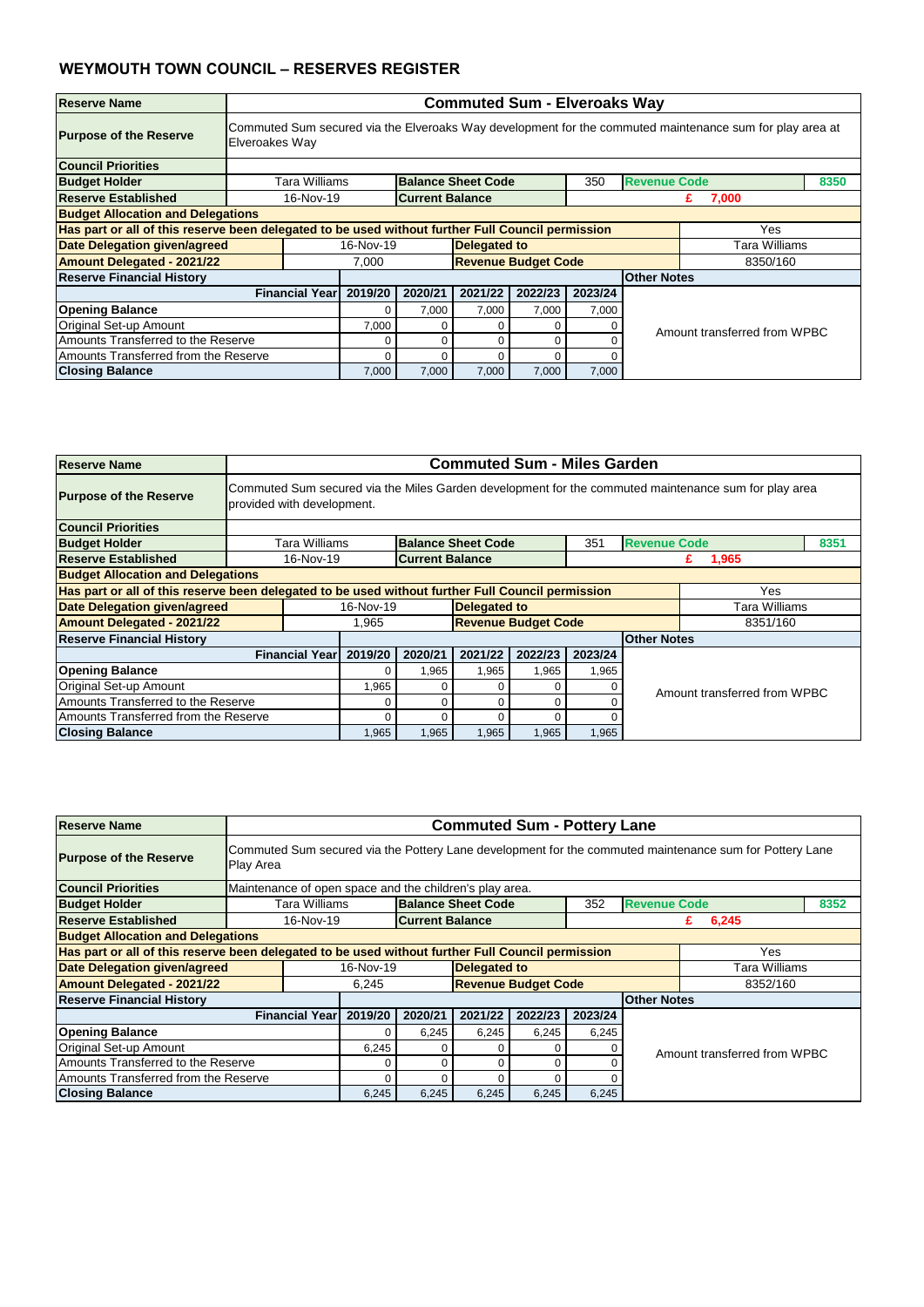| <b>Reserve Name</b>                                                                               |                       | <b>Commuted Sum - Elveroaks Way</b>                                                                      |                        |                            |         |         |                     |                              |      |  |  |  |
|---------------------------------------------------------------------------------------------------|-----------------------|----------------------------------------------------------------------------------------------------------|------------------------|----------------------------|---------|---------|---------------------|------------------------------|------|--|--|--|
| <b>Purpose of the Reserve</b>                                                                     | Elveroakes Way        | Commuted Sum secured via the Elveroaks Way development for the commuted maintenance sum for play area at |                        |                            |         |         |                     |                              |      |  |  |  |
| <b>Council Priorities</b>                                                                         |                       |                                                                                                          |                        |                            |         |         |                     |                              |      |  |  |  |
| <b>Budget Holder</b>                                                                              | Tara Williams         |                                                                                                          |                        | <b>Balance Sheet Code</b>  |         | 350     | <b>Revenue Code</b> |                              | 8350 |  |  |  |
| <b>Reserve Established</b>                                                                        | 16-Nov-19             |                                                                                                          | <b>Current Balance</b> |                            |         |         |                     | 7,000<br>£.                  |      |  |  |  |
| <b>Budget Allocation and Delegations</b>                                                          |                       |                                                                                                          |                        |                            |         |         |                     |                              |      |  |  |  |
| Has part or all of this reserve been delegated to be used without further Full Council permission |                       |                                                                                                          |                        |                            |         |         |                     | Yes                          |      |  |  |  |
| Date Delegation given/agreed                                                                      |                       | 16-Nov-19                                                                                                |                        | <b>Delegated to</b>        |         |         |                     | Tara Williams                |      |  |  |  |
| <b>Amount Delegated - 2021/22</b>                                                                 |                       | 7,000                                                                                                    |                        | <b>Revenue Budget Code</b> |         |         |                     | 8350/160                     |      |  |  |  |
| <b>Reserve Financial History</b>                                                                  |                       |                                                                                                          |                        |                            |         |         | <b>Other Notes</b>  |                              |      |  |  |  |
|                                                                                                   | <b>Financial Year</b> | 2019/20                                                                                                  | 2020/21                | 2021/22                    | 2022/23 | 2023/24 |                     |                              |      |  |  |  |
| <b>Opening Balance</b>                                                                            |                       | 0                                                                                                        | 7,000                  | 7,000                      | 7,000   | 7,000   |                     |                              |      |  |  |  |
| Original Set-up Amount                                                                            |                       | 7,000                                                                                                    | 0                      | 0                          | 0       |         |                     | Amount transferred from WPBC |      |  |  |  |
| Amounts Transferred to the Reserve                                                                |                       | 0<br>0<br>0<br>0                                                                                         |                        |                            |         |         |                     |                              |      |  |  |  |
| Amounts Transferred from the Reserve                                                              |                       | 0<br>0<br>0<br>0                                                                                         |                        |                            |         |         |                     |                              |      |  |  |  |
| <b>Closing Balance</b>                                                                            |                       | 7,000                                                                                                    | 7,000                  | 7,000                      | 7,000   | 7,000   |                     |                              |      |  |  |  |

| <b>Reserve Name</b>                                                                               |                            | <b>Commuted Sum - Miles Garden</b>                                                                   |                        |                            |         |         |                              |               |      |  |  |  |
|---------------------------------------------------------------------------------------------------|----------------------------|------------------------------------------------------------------------------------------------------|------------------------|----------------------------|---------|---------|------------------------------|---------------|------|--|--|--|
| <b>Purpose of the Reserve</b>                                                                     | provided with development. | Commuted Sum secured via the Miles Garden development for the commuted maintenance sum for play area |                        |                            |         |         |                              |               |      |  |  |  |
| <b>Council Priorities</b>                                                                         |                            |                                                                                                      |                        |                            |         |         |                              |               |      |  |  |  |
| <b>Budget Holder</b>                                                                              | Tara Williams              |                                                                                                      |                        | <b>Balance Sheet Code</b>  |         | 351     | <b>Revenue Code</b>          |               | 8351 |  |  |  |
| <b>Reserve Established</b>                                                                        | 16-Nov-19                  |                                                                                                      | <b>Current Balance</b> |                            |         |         |                              | 1,965<br>£    |      |  |  |  |
| <b>Budget Allocation and Delegations</b>                                                          |                            |                                                                                                      |                        |                            |         |         |                              |               |      |  |  |  |
| Has part or all of this reserve been delegated to be used without further Full Council permission |                            |                                                                                                      |                        |                            |         |         |                              | Yes           |      |  |  |  |
| Date Delegation given/agreed                                                                      |                            | 16-Nov-19                                                                                            |                        | <b>Delegated to</b>        |         |         |                              | Tara Williams |      |  |  |  |
| <b>Amount Delegated - 2021/22</b>                                                                 |                            | 1,965                                                                                                |                        | <b>Revenue Budget Code</b> |         |         |                              | 8351/160      |      |  |  |  |
| <b>Reserve Financial History</b>                                                                  |                            |                                                                                                      |                        |                            |         |         | <b>Other Notes</b>           |               |      |  |  |  |
|                                                                                                   | <b>Financial Year</b>      | 2019/20                                                                                              | 2020/21                | 2021/22                    | 2022/23 | 2023/24 |                              |               |      |  |  |  |
| <b>Opening Balance</b>                                                                            |                            |                                                                                                      | 1,965                  | 1,965                      | 1,965   | 1,965   |                              |               |      |  |  |  |
| Original Set-up Amount                                                                            |                            | 1,965                                                                                                |                        | 0                          | 0       |         | Amount transferred from WPBC |               |      |  |  |  |
| Amounts Transferred to the Reserve                                                                |                            |                                                                                                      |                        |                            | 0       |         |                              |               |      |  |  |  |
| Amounts Transferred from the Reserve                                                              |                            |                                                                                                      |                        |                            | ი       |         |                              |               |      |  |  |  |
| <b>Closing Balance</b>                                                                            |                            | 1,965                                                                                                | 1,965                  | 1,965                      | 1,965   | 1,965   |                              |               |      |  |  |  |

| <b>Reserve Name</b>                                                                               |                                                         | <b>Commuted Sum - Pottery Lane</b>                                                                      |                        |                     |                            |         |                    |                              |  |  |  |  |
|---------------------------------------------------------------------------------------------------|---------------------------------------------------------|---------------------------------------------------------------------------------------------------------|------------------------|---------------------|----------------------------|---------|--------------------|------------------------------|--|--|--|--|
| <b>Purpose of the Reserve</b>                                                                     | Play Area                                               | Commuted Sum secured via the Pottery Lane development for the commuted maintenance sum for Pottery Lane |                        |                     |                            |         |                    |                              |  |  |  |  |
| <b>Council Priorities</b>                                                                         | Maintenance of open space and the children's play area. |                                                                                                         |                        |                     |                            |         |                    |                              |  |  |  |  |
| <b>Budget Holder</b>                                                                              |                                                         | <b>Balance Sheet Code</b><br><b>Revenue Code</b><br>Tara Williams<br>352<br>8352                        |                        |                     |                            |         |                    |                              |  |  |  |  |
| <b>Reserve Established</b>                                                                        | 16-Nov-19                                               |                                                                                                         | <b>Current Balance</b> |                     |                            |         |                    | 6,245<br>£                   |  |  |  |  |
| <b>Budget Allocation and Delegations</b>                                                          |                                                         |                                                                                                         |                        |                     |                            |         |                    |                              |  |  |  |  |
| Has part or all of this reserve been delegated to be used without further Full Council permission |                                                         |                                                                                                         |                        |                     |                            |         |                    | Yes                          |  |  |  |  |
| <b>Date Delegation given/agreed</b>                                                               |                                                         | 16-Nov-19                                                                                               |                        | <b>Delegated to</b> |                            |         |                    | Tara Williams                |  |  |  |  |
| <b>Amount Delegated - 2021/22</b>                                                                 |                                                         | 6,245                                                                                                   |                        |                     | <b>Revenue Budget Code</b> |         |                    | 8352/160                     |  |  |  |  |
| <b>Reserve Financial History</b>                                                                  |                                                         |                                                                                                         |                        |                     |                            |         | <b>Other Notes</b> |                              |  |  |  |  |
|                                                                                                   | <b>Financial Year</b>                                   | 2019/20                                                                                                 | 2020/21                | 2021/22             | 2022/23                    | 2023/24 |                    |                              |  |  |  |  |
| <b>Opening Balance</b>                                                                            |                                                         |                                                                                                         | 6,245                  | 6,245               | 6,245                      | 6,245   |                    |                              |  |  |  |  |
| <b>Original Set-up Amount</b>                                                                     |                                                         | 6,245                                                                                                   | 0                      |                     |                            |         |                    | Amount transferred from WPBC |  |  |  |  |
| Amounts Transferred to the Reserve                                                                |                                                         | 0<br>C                                                                                                  |                        |                     |                            |         |                    |                              |  |  |  |  |
| Amounts Transferred from the Reserve                                                              |                                                         | 0<br>C                                                                                                  |                        |                     |                            |         |                    |                              |  |  |  |  |
| <b>Closing Balance</b>                                                                            |                                                         | 6,245                                                                                                   | 6,245                  | 6,245               | 6,245                      | 6,245   |                    |                              |  |  |  |  |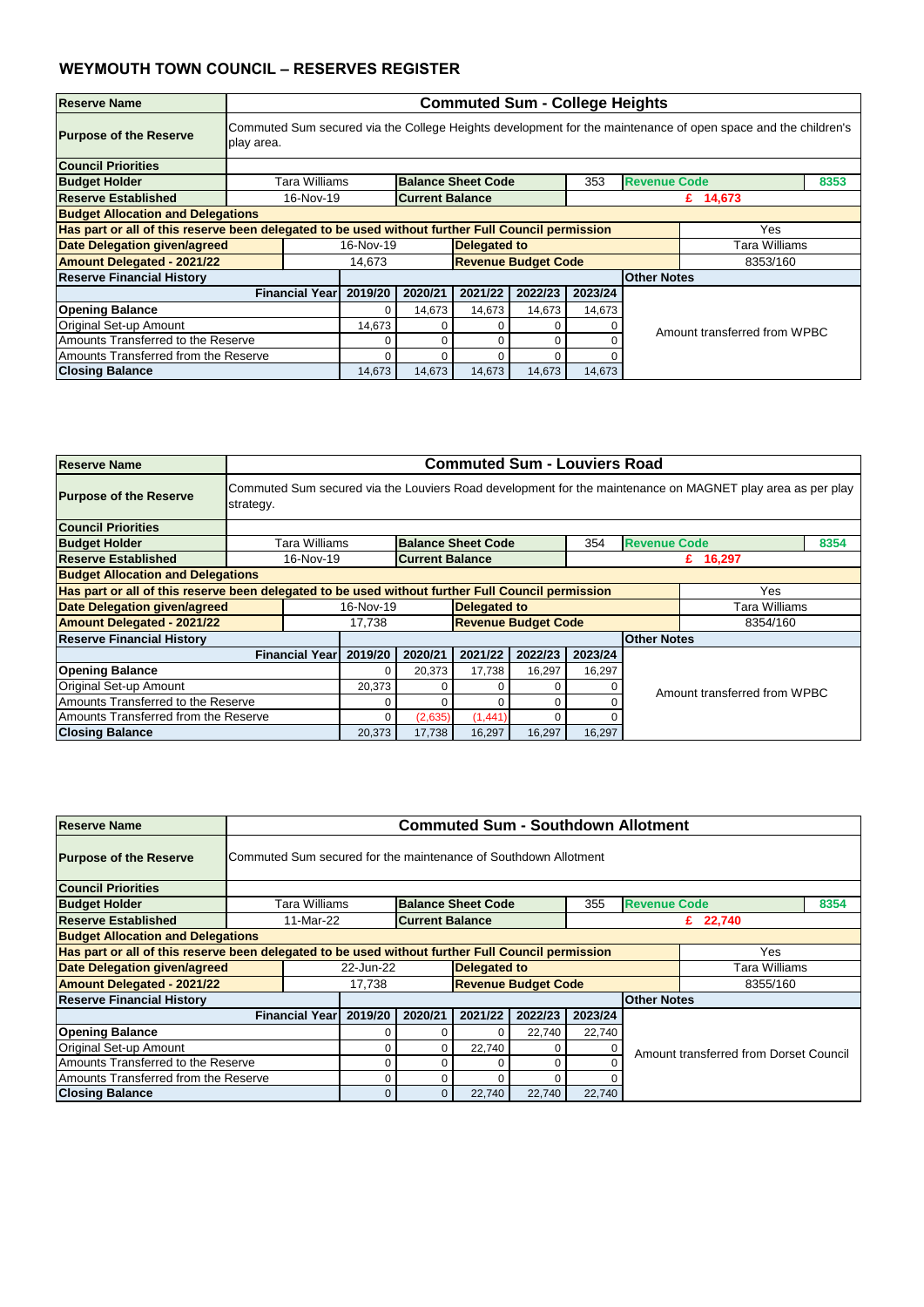| <b>Reserve Name</b>                                                                               |                       | <b>Commuted Sum - College Heights</b>                                                                         |                        |                           |                            |         |                     |                              |      |  |  |  |
|---------------------------------------------------------------------------------------------------|-----------------------|---------------------------------------------------------------------------------------------------------------|------------------------|---------------------------|----------------------------|---------|---------------------|------------------------------|------|--|--|--|
| <b>Purpose of the Reserve</b>                                                                     | play area.            | Commuted Sum secured via the College Heights development for the maintenance of open space and the children's |                        |                           |                            |         |                     |                              |      |  |  |  |
| <b>Council Priorities</b>                                                                         |                       |                                                                                                               |                        |                           |                            |         |                     |                              |      |  |  |  |
| <b>Budget Holder</b>                                                                              | Tara Williams         |                                                                                                               |                        | <b>Balance Sheet Code</b> |                            | 353     | <b>Revenue Code</b> |                              | 8353 |  |  |  |
| <b>Reserve Established</b>                                                                        | 16-Nov-19             |                                                                                                               | <b>Current Balance</b> |                           |                            |         |                     | £ 14,673                     |      |  |  |  |
| <b>Budget Allocation and Delegations</b>                                                          |                       |                                                                                                               |                        |                           |                            |         |                     |                              |      |  |  |  |
| Has part or all of this reserve been delegated to be used without further Full Council permission |                       |                                                                                                               |                        |                           |                            |         |                     | Yes.                         |      |  |  |  |
| Date Delegation given/agreed                                                                      |                       | 16-Nov-19                                                                                                     |                        | <b>Delegated to</b>       |                            |         |                     | Tara Williams                |      |  |  |  |
| <b>Amount Delegated - 2021/22</b>                                                                 |                       | 14,673                                                                                                        |                        |                           | <b>Revenue Budget Code</b> |         |                     | 8353/160                     |      |  |  |  |
| <b>Reserve Financial History</b>                                                                  |                       |                                                                                                               |                        |                           |                            |         | <b>Other Notes</b>  |                              |      |  |  |  |
|                                                                                                   | <b>Financial Year</b> | 2019/20                                                                                                       | 2020/21                | 2021/22                   | 2022/23                    | 2023/24 |                     |                              |      |  |  |  |
| <b>Opening Balance</b>                                                                            |                       | $\Omega$                                                                                                      | 14,673                 | 14,673                    | 14,673                     | 14,673  |                     |                              |      |  |  |  |
| Original Set-up Amount                                                                            |                       | 14,673                                                                                                        | 0                      | 0                         | 0                          |         |                     | Amount transferred from WPBC |      |  |  |  |
| Amounts Transferred to the Reserve                                                                |                       | 0<br>0<br>0<br>0                                                                                              |                        |                           |                            |         |                     |                              |      |  |  |  |
| Amounts Transferred from the Reserve                                                              |                       | 0<br>0<br>0<br>0                                                                                              |                        |                           |                            |         |                     |                              |      |  |  |  |
| <b>Closing Balance</b>                                                                            |                       | 14,673                                                                                                        | 14,673                 | 14,673                    | 14,673                     | 14,673  |                     |                              |      |  |  |  |

| <b>Reserve Name</b>                                                                               |                       | <b>Commuted Sum - Louviers Road</b>                                                                        |                        |                           |                            |         |                     |               |      |  |  |  |
|---------------------------------------------------------------------------------------------------|-----------------------|------------------------------------------------------------------------------------------------------------|------------------------|---------------------------|----------------------------|---------|---------------------|---------------|------|--|--|--|
| <b>Purpose of the Reserve</b>                                                                     | strategy.             | Commuted Sum secured via the Louviers Road development for the maintenance on MAGNET play area as per play |                        |                           |                            |         |                     |               |      |  |  |  |
| <b>Council Priorities</b>                                                                         |                       |                                                                                                            |                        |                           |                            |         |                     |               |      |  |  |  |
| <b>Budget Holder</b>                                                                              | Tara Williams         |                                                                                                            |                        | <b>Balance Sheet Code</b> |                            | 354     | <b>Revenue Code</b> |               | 8354 |  |  |  |
| <b>Reserve Established</b>                                                                        | 16-Nov-19             |                                                                                                            | <b>Current Balance</b> |                           |                            |         |                     | £ 16,297      |      |  |  |  |
| <b>Budget Allocation and Delegations</b>                                                          |                       |                                                                                                            |                        |                           |                            |         |                     |               |      |  |  |  |
| Has part or all of this reserve been delegated to be used without further Full Council permission |                       |                                                                                                            |                        |                           |                            |         |                     | Yes           |      |  |  |  |
| Date Delegation given/agreed                                                                      |                       | 16-Nov-19                                                                                                  |                        | <b>Delegated to</b>       |                            |         |                     | Tara Williams |      |  |  |  |
| <b>Amount Delegated - 2021/22</b>                                                                 |                       | 17,738                                                                                                     |                        |                           | <b>Revenue Budget Code</b> |         |                     | 8354/160      |      |  |  |  |
| <b>Reserve Financial History</b>                                                                  |                       |                                                                                                            |                        |                           |                            |         | <b>Other Notes</b>  |               |      |  |  |  |
|                                                                                                   | <b>Financial Year</b> | 2019/20                                                                                                    | 2020/21                | 2021/22                   | 2022/23                    | 2023/24 |                     |               |      |  |  |  |
| <b>Opening Balance</b>                                                                            |                       | 0                                                                                                          | 20,373                 | 17,738                    | 16,297                     | 16,297  |                     |               |      |  |  |  |
| Original Set-up Amount                                                                            |                       | 20,373<br>Amount transferred from WPBC                                                                     |                        |                           |                            |         |                     |               |      |  |  |  |
| Amounts Transferred to the Reserve                                                                |                       |                                                                                                            |                        |                           |                            |         |                     |               |      |  |  |  |
| Amounts Transferred from the Reserve                                                              |                       | (2,635)<br>(1, 441)<br>$\Omega$                                                                            |                        |                           |                            |         |                     |               |      |  |  |  |
| <b>Closing Balance</b>                                                                            |                       | 20,373                                                                                                     | 17,738                 | 16,297                    | 16,297                     | 16,297  |                     |               |      |  |  |  |

| <b>Reserve Name</b>                                                                               |                       | <b>Commuted Sum - Southdown Allotment</b>                                        |                        |                     |                            |         |                    |                                        |  |  |  |  |
|---------------------------------------------------------------------------------------------------|-----------------------|----------------------------------------------------------------------------------|------------------------|---------------------|----------------------------|---------|--------------------|----------------------------------------|--|--|--|--|
| <b>Purpose of the Reserve</b>                                                                     |                       | Commuted Sum secured for the maintenance of Southdown Allotment                  |                        |                     |                            |         |                    |                                        |  |  |  |  |
| <b>Council Priorities</b>                                                                         |                       |                                                                                  |                        |                     |                            |         |                    |                                        |  |  |  |  |
| <b>Budget Holder</b>                                                                              |                       | <b>Balance Sheet Code</b><br><b>Revenue Code</b><br>8354<br>Tara Williams<br>355 |                        |                     |                            |         |                    |                                        |  |  |  |  |
| <b>Reserve Established</b>                                                                        | 11-Mar-22             |                                                                                  | <b>Current Balance</b> |                     |                            |         |                    | £ $22,740$                             |  |  |  |  |
| <b>Budget Allocation and Delegations</b>                                                          |                       |                                                                                  |                        |                     |                            |         |                    |                                        |  |  |  |  |
| Has part or all of this reserve been delegated to be used without further Full Council permission |                       |                                                                                  |                        |                     |                            |         |                    | Yes                                    |  |  |  |  |
| <b>Date Delegation given/agreed</b>                                                               |                       | 22-Jun-22                                                                        |                        | <b>Delegated to</b> |                            |         |                    | Tara Williams                          |  |  |  |  |
| <b>Amount Delegated - 2021/22</b>                                                                 |                       | 17,738                                                                           |                        |                     | <b>Revenue Budget Code</b> |         |                    | 8355/160                               |  |  |  |  |
| <b>Reserve Financial History</b>                                                                  |                       |                                                                                  |                        |                     |                            |         | <b>Other Notes</b> |                                        |  |  |  |  |
|                                                                                                   | <b>Financial Year</b> | 2019/20                                                                          | 2020/21                | 2021/22             | 2022/23                    | 2023/24 |                    |                                        |  |  |  |  |
| <b>Opening Balance</b>                                                                            |                       |                                                                                  | 0                      |                     | 22,740                     | 22,740  |                    |                                        |  |  |  |  |
| <b>Original Set-up Amount</b>                                                                     |                       |                                                                                  | 0                      | 22,740              | 0                          |         |                    | Amount transferred from Dorset Council |  |  |  |  |
| Amounts Transferred to the Reserve                                                                |                       | 0<br>0                                                                           |                        |                     |                            |         |                    |                                        |  |  |  |  |
| Amounts Transferred from the Reserve                                                              |                       | 0<br>O                                                                           |                        |                     |                            |         |                    |                                        |  |  |  |  |
| <b>Closing Balance</b>                                                                            |                       |                                                                                  | $\overline{0}$         | 22,740              | 22,740                     | 22,740  |                    |                                        |  |  |  |  |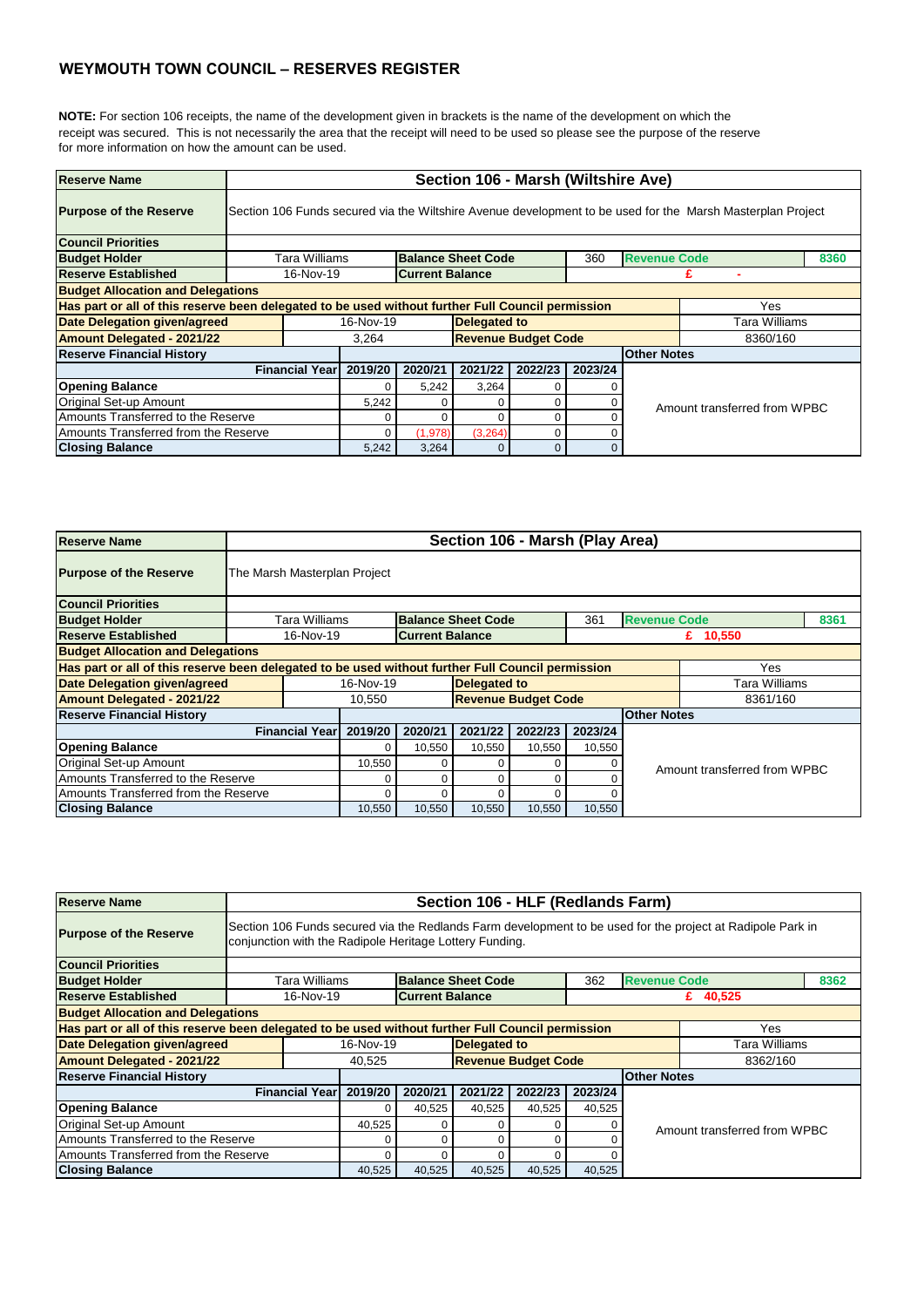**NOTE:** For section 106 receipts, the name of the development given in brackets is the name of the development on which the receipt was secured. This is not necessarily the area that the receipt will need to be used so please see the purpose of the reserve for more information on how the amount can be used.

| <b>Reserve Name</b>                                                                               |                       | Section 106 - Marsh (Wiltshire Ave)         |                        |                            |         |          |                     |                                                                                                            |      |  |  |  |
|---------------------------------------------------------------------------------------------------|-----------------------|---------------------------------------------|------------------------|----------------------------|---------|----------|---------------------|------------------------------------------------------------------------------------------------------------|------|--|--|--|
| <b>Purpose of the Reserve</b>                                                                     |                       |                                             |                        |                            |         |          |                     | Section 106 Funds secured via the Wiltshire Avenue development to be used for the Marsh Masterplan Project |      |  |  |  |
| <b>Council Priorities</b>                                                                         |                       |                                             |                        |                            |         |          |                     |                                                                                                            |      |  |  |  |
| <b>Budget Holder</b>                                                                              | Tara Williams         |                                             |                        | <b>Balance Sheet Code</b>  |         | 360      | <b>Revenue Code</b> |                                                                                                            | 8360 |  |  |  |
| <b>Reserve Established</b>                                                                        | 16-Nov-19             |                                             | <b>Current Balance</b> |                            |         |          |                     |                                                                                                            |      |  |  |  |
| <b>Budget Allocation and Delegations</b>                                                          |                       |                                             |                        |                            |         |          |                     |                                                                                                            |      |  |  |  |
| Has part or all of this reserve been delegated to be used without further Full Council permission |                       |                                             |                        |                            |         |          |                     | Yes                                                                                                        |      |  |  |  |
| Date Delegation given/agreed                                                                      |                       | 16-Nov-19                                   |                        | <b>Delegated to</b>        |         |          |                     | Tara Williams                                                                                              |      |  |  |  |
| <b>Amount Delegated - 2021/22</b>                                                                 |                       | 3,264                                       |                        | <b>Revenue Budget Code</b> |         |          |                     | 8360/160                                                                                                   |      |  |  |  |
| <b>Reserve Financial History</b>                                                                  |                       |                                             |                        |                            |         |          | <b>Other Notes</b>  |                                                                                                            |      |  |  |  |
|                                                                                                   | <b>Financial Year</b> | 2019/20                                     | 2020/21                | 2021/22                    | 2022/23 | 2023/24  |                     |                                                                                                            |      |  |  |  |
| <b>Opening Balance</b>                                                                            |                       | $\Omega$                                    | 5,242                  | 3,264                      | 0       |          |                     |                                                                                                            |      |  |  |  |
| Original Set-up Amount                                                                            |                       | 5,242                                       |                        | 0                          | 0       |          |                     |                                                                                                            |      |  |  |  |
| Amounts Transferred to the Reserve                                                                |                       | Amount transferred from WPBC<br>0<br>0<br>0 |                        |                            |         |          |                     |                                                                                                            |      |  |  |  |
| Amounts Transferred from the Reserve                                                              |                       | (3,264)<br>(1,978)<br>0<br>0                |                        |                            |         |          |                     |                                                                                                            |      |  |  |  |
| <b>Closing Balance</b>                                                                            |                       | 5,242                                       | 3,264                  | $\Omega$                   | 0       | $\Omega$ |                     |                                                                                                            |      |  |  |  |

| Reserve Name                                                                                      |                              | Section 106 - Marsh (Play Area) |                        |                            |          |         |                     |                              |      |  |  |
|---------------------------------------------------------------------------------------------------|------------------------------|---------------------------------|------------------------|----------------------------|----------|---------|---------------------|------------------------------|------|--|--|
| <b>Purpose of the Reserve</b>                                                                     | The Marsh Masterplan Project |                                 |                        |                            |          |         |                     |                              |      |  |  |
| <b>Council Priorities</b>                                                                         |                              |                                 |                        |                            |          |         |                     |                              |      |  |  |
| <b>Budget Holder</b>                                                                              | <b>Tara Williams</b>         |                                 |                        | <b>Balance Sheet Code</b>  |          | 361     | <b>Revenue Code</b> |                              | 8361 |  |  |
| <b>Reserve Established</b>                                                                        | 16-Nov-19                    |                                 | <b>Current Balance</b> |                            |          |         |                     | £ $10,550$                   |      |  |  |
| <b>Budget Allocation and Delegations</b>                                                          |                              |                                 |                        |                            |          |         |                     |                              |      |  |  |
| Has part or all of this reserve been delegated to be used without further Full Council permission |                              |                                 |                        |                            |          |         |                     | Yes                          |      |  |  |
| <b>Date Delegation given/agreed</b>                                                               |                              | 16-Nov-19                       |                        | <b>Delegated to</b>        |          |         |                     | Tara Williams                |      |  |  |
| <b>Amount Delegated - 2021/22</b>                                                                 |                              | 10,550                          |                        | <b>Revenue Budget Code</b> |          |         |                     | 8361/160                     |      |  |  |
| <b>Reserve Financial History</b>                                                                  |                              |                                 |                        |                            |          |         | <b>Other Notes</b>  |                              |      |  |  |
|                                                                                                   | <b>Financial Year</b>        | 2019/20                         | 2020/21                | 2021/22                    | 2022/23  | 2023/24 |                     |                              |      |  |  |
| <b>Opening Balance</b>                                                                            |                              |                                 | 10,550                 | 10,550                     | 10,550   | 10,550  |                     |                              |      |  |  |
| Original Set-up Amount                                                                            |                              | 10,550                          |                        | 0                          | 0        |         |                     | Amount transferred from WPBC |      |  |  |
| Amounts Transferred to the Reserve                                                                |                              |                                 | 0                      | $\Omega$                   | 0        |         |                     |                              |      |  |  |
| Amounts Transferred from the Reserve                                                              |                              |                                 | ი                      |                            | $\Omega$ |         |                     |                              |      |  |  |
| <b>Closing Balance</b>                                                                            |                              | 10,550                          | 10,550                 | 10,550                     | 10,550   | 10,550  |                     |                              |      |  |  |

| <b>Reserve Name</b>                                                                               |                       | Section 106 - HLF (Redlands Farm)                                                                                                                                     |                        |              |                            |          |                    |                              |  |  |  |  |  |
|---------------------------------------------------------------------------------------------------|-----------------------|-----------------------------------------------------------------------------------------------------------------------------------------------------------------------|------------------------|--------------|----------------------------|----------|--------------------|------------------------------|--|--|--|--|--|
| <b>Purpose of the Reserve</b>                                                                     |                       | Section 106 Funds secured via the Redlands Farm development to be used for the project at Radipole Park in<br>conjunction with the Radipole Heritage Lottery Funding. |                        |              |                            |          |                    |                              |  |  |  |  |  |
| <b>Council Priorities</b>                                                                         |                       |                                                                                                                                                                       |                        |              |                            |          |                    |                              |  |  |  |  |  |
| <b>Budget Holder</b>                                                                              |                       | <b>Revenue Code</b><br>Tara Williams<br><b>Balance Sheet Code</b><br>362<br>8362                                                                                      |                        |              |                            |          |                    |                              |  |  |  |  |  |
| <b>Reserve Established</b>                                                                        | 16-Nov-19             |                                                                                                                                                                       | <b>Current Balance</b> |              |                            |          |                    | £ $40,525$                   |  |  |  |  |  |
| <b>Budget Allocation and Delegations</b>                                                          |                       |                                                                                                                                                                       |                        |              |                            |          |                    |                              |  |  |  |  |  |
| Has part or all of this reserve been delegated to be used without further Full Council permission |                       |                                                                                                                                                                       |                        |              |                            |          |                    | <b>Yes</b>                   |  |  |  |  |  |
| Date Delegation given/agreed                                                                      |                       | 16-Nov-19                                                                                                                                                             |                        | Delegated to |                            |          |                    | Tara Williams                |  |  |  |  |  |
| <b>Amount Delegated - 2021/22</b>                                                                 |                       | 40,525                                                                                                                                                                |                        |              | <b>Revenue Budget Code</b> | 8362/160 |                    |                              |  |  |  |  |  |
| <b>Reserve Financial History</b>                                                                  |                       |                                                                                                                                                                       |                        |              |                            |          | <b>Other Notes</b> |                              |  |  |  |  |  |
|                                                                                                   | <b>Financial Year</b> | 2019/20                                                                                                                                                               | 2020/21                | 2021/22      | 2022/23                    | 2023/24  |                    |                              |  |  |  |  |  |
| <b>Opening Balance</b>                                                                            |                       | 0                                                                                                                                                                     | 40,525                 | 40,525       | 40,525                     | 40,525   |                    |                              |  |  |  |  |  |
| <b>Original Set-up Amount</b>                                                                     |                       | 40,525                                                                                                                                                                | 0                      |              | 0                          |          |                    | Amount transferred from WPBC |  |  |  |  |  |
| Amounts Transferred to the Reserve                                                                |                       | 0<br>0                                                                                                                                                                |                        |              |                            |          |                    |                              |  |  |  |  |  |
| Amounts Transferred from the Reserve                                                              |                       | 0<br>0                                                                                                                                                                |                        |              |                            |          |                    |                              |  |  |  |  |  |
| <b>Closing Balance</b>                                                                            |                       | 40,525                                                                                                                                                                | 40,525                 | 40,525       | 40,525                     | 40,525   |                    |                              |  |  |  |  |  |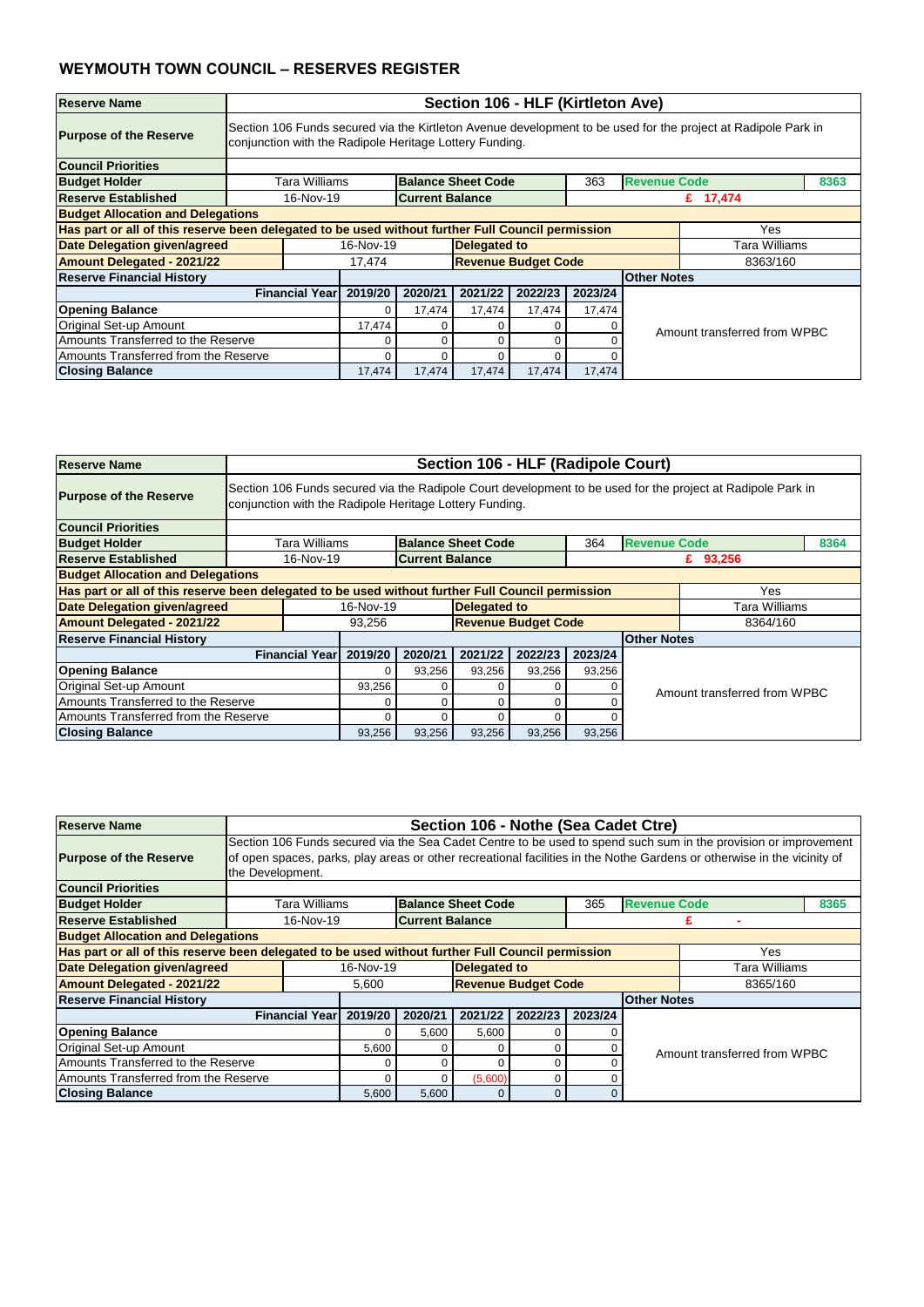| <b>Reserve Name</b>                                                                               |                       | Section 106 - HLF (Kirtleton Ave)                                                                                                                                        |                        |                            |         |         |                     |                              |      |  |  |  |
|---------------------------------------------------------------------------------------------------|-----------------------|--------------------------------------------------------------------------------------------------------------------------------------------------------------------------|------------------------|----------------------------|---------|---------|---------------------|------------------------------|------|--|--|--|
| <b>Purpose of the Reserve</b>                                                                     |                       | Section 106 Funds secured via the Kirtleton Avenue development to be used for the project at Radipole Park in<br>conjunction with the Radipole Heritage Lottery Funding. |                        |                            |         |         |                     |                              |      |  |  |  |
| <b>Council Priorities</b>                                                                         |                       |                                                                                                                                                                          |                        |                            |         |         |                     |                              |      |  |  |  |
| <b>Budget Holder</b>                                                                              | Tara Williams         |                                                                                                                                                                          |                        | <b>Balance Sheet Code</b>  |         | 363     | <b>Revenue Code</b> |                              | 8363 |  |  |  |
| <b>Reserve Established</b>                                                                        | 16-Nov-19             |                                                                                                                                                                          | <b>Current Balance</b> |                            |         |         |                     | £ 17,474                     |      |  |  |  |
| <b>Budget Allocation and Delegations</b>                                                          |                       |                                                                                                                                                                          |                        |                            |         |         |                     |                              |      |  |  |  |
| Has part or all of this reserve been delegated to be used without further Full Council permission |                       |                                                                                                                                                                          |                        |                            |         |         |                     | <b>Yes</b>                   |      |  |  |  |
| <b>Date Delegation given/agreed</b>                                                               |                       | 16-Nov-19                                                                                                                                                                |                        | <b>Delegated to</b>        |         |         |                     | Tara Williams                |      |  |  |  |
| <b>Amount Delegated - 2021/22</b>                                                                 |                       | 17,474                                                                                                                                                                   |                        | <b>Revenue Budget Code</b> |         |         |                     | 8363/160                     |      |  |  |  |
| <b>Reserve Financial History</b>                                                                  |                       |                                                                                                                                                                          |                        |                            |         |         | <b>Other Notes</b>  |                              |      |  |  |  |
|                                                                                                   | <b>Financial Year</b> | 2019/20                                                                                                                                                                  | 2020/21                | 2021/22                    | 2022/23 | 2023/24 |                     |                              |      |  |  |  |
| <b>Opening Balance</b>                                                                            |                       | 0                                                                                                                                                                        | 17,474                 | 17,474                     | 17,474  | 17,474  |                     |                              |      |  |  |  |
| Original Set-up Amount                                                                            |                       | 17,474                                                                                                                                                                   |                        | 0                          | 0       |         |                     | Amount transferred from WPBC |      |  |  |  |
| Amounts Transferred to the Reserve                                                                |                       | 0<br>$\Omega$<br>0<br>C                                                                                                                                                  |                        |                            |         |         |                     |                              |      |  |  |  |
| Amounts Transferred from the Reserve                                                              |                       | $\Omega$<br>0<br>∩<br>0                                                                                                                                                  |                        |                            |         |         |                     |                              |      |  |  |  |
| <b>Closing Balance</b>                                                                            |                       | 17,474                                                                                                                                                                   | 17,474                 | 17,474                     | 17,474  | 17,474  |                     |                              |      |  |  |  |

| <b>Reserve Name</b>                                                                               |                       | Section 106 - HLF (Radipole Court)                                                                                                                                     |                        |                            |         |         |                              |               |      |  |  |  |
|---------------------------------------------------------------------------------------------------|-----------------------|------------------------------------------------------------------------------------------------------------------------------------------------------------------------|------------------------|----------------------------|---------|---------|------------------------------|---------------|------|--|--|--|
| <b>Purpose of the Reserve</b>                                                                     |                       | Section 106 Funds secured via the Radipole Court development to be used for the project at Radipole Park in<br>conjunction with the Radipole Heritage Lottery Funding. |                        |                            |         |         |                              |               |      |  |  |  |
| <b>Council Priorities</b>                                                                         |                       |                                                                                                                                                                        |                        |                            |         |         |                              |               |      |  |  |  |
| <b>Budget Holder</b>                                                                              | Tara Williams         |                                                                                                                                                                        |                        | <b>Balance Sheet Code</b>  |         | 364     | <b>Revenue Code</b>          |               | 8364 |  |  |  |
| <b>Reserve Established</b>                                                                        | 16-Nov-19             |                                                                                                                                                                        | <b>Current Balance</b> |                            |         |         |                              | £ 93,256      |      |  |  |  |
| <b>Budget Allocation and Delegations</b>                                                          |                       |                                                                                                                                                                        |                        |                            |         |         |                              |               |      |  |  |  |
| Has part or all of this reserve been delegated to be used without further Full Council permission |                       |                                                                                                                                                                        |                        |                            |         |         |                              | Yes           |      |  |  |  |
| Date Delegation given/agreed                                                                      |                       | 16-Nov-19                                                                                                                                                              |                        | <b>Delegated to</b>        |         |         |                              | Tara Williams |      |  |  |  |
| <b>Amount Delegated - 2021/22</b>                                                                 |                       | 93,256                                                                                                                                                                 |                        | <b>Revenue Budget Code</b> |         |         |                              | 8364/160      |      |  |  |  |
| <b>Reserve Financial History</b>                                                                  |                       |                                                                                                                                                                        |                        |                            |         |         | <b>Other Notes</b>           |               |      |  |  |  |
|                                                                                                   | <b>Financial Year</b> | 2019/20                                                                                                                                                                | 2020/21                | 2021/22                    | 2022/23 | 2023/24 |                              |               |      |  |  |  |
| <b>Opening Balance</b>                                                                            |                       | $\Omega$                                                                                                                                                               | 93,256                 | 93,256                     | 93,256  | 93,256  |                              |               |      |  |  |  |
| <b>Original Set-up Amount</b>                                                                     |                       | 93,256                                                                                                                                                                 |                        |                            | 0       |         | Amount transferred from WPBC |               |      |  |  |  |
| Amounts Transferred to the Reserve                                                                |                       | ი                                                                                                                                                                      |                        |                            |         |         |                              |               |      |  |  |  |
| Amounts Transferred from the Reserve                                                              |                       | 0                                                                                                                                                                      |                        |                            |         |         |                              |               |      |  |  |  |
| <b>Closing Balance</b>                                                                            |                       | 93,256                                                                                                                                                                 | 93,256                 | 93,256                     | 93,256  | 93,256  |                              |               |      |  |  |  |

| <b>Reserve Name</b>                                                                                      | Section 106 - Nothe (Sea Cadet Ctre)                                                                                                                                                                                                                           |                     |                            |          |         |                             |                      |                              |  |  |
|----------------------------------------------------------------------------------------------------------|----------------------------------------------------------------------------------------------------------------------------------------------------------------------------------------------------------------------------------------------------------------|---------------------|----------------------------|----------|---------|-----------------------------|----------------------|------------------------------|--|--|
| <b>Purpose of the Reserve</b>                                                                            | Section 106 Funds secured via the Sea Cadet Centre to be used to spend such sum in the provision or improvement<br>of open spaces, parks, play areas or other recreational facilities in the Nothe Gardens or otherwise in the vicinity of<br>the Development. |                     |                            |          |         |                             |                      |                              |  |  |
| <b>Council Priorities</b>                                                                                |                                                                                                                                                                                                                                                                |                     |                            |          |         |                             |                      |                              |  |  |
| <b>Budget Holder</b>                                                                                     | Tara Williams                                                                                                                                                                                                                                                  |                     | <b>Balance Sheet Code</b>  |          |         | <b>Revenue Code</b><br>8365 |                      |                              |  |  |
| Reserve Established                                                                                      | 16-Nov-19                                                                                                                                                                                                                                                      |                     | <b>Current Balance</b>     |          |         |                             |                      |                              |  |  |
| <b>Budget Allocation and Delegations</b>                                                                 |                                                                                                                                                                                                                                                                |                     |                            |          |         |                             |                      |                              |  |  |
| Has part or all of this reserve been delegated to be used without further Full Council permission<br>Yes |                                                                                                                                                                                                                                                                |                     |                            |          |         |                             |                      |                              |  |  |
| <b>Date Delegation given/agreed</b>                                                                      | 16-Nov-19                                                                                                                                                                                                                                                      | <b>Delegated to</b> |                            |          |         |                             | <b>Tara Williams</b> |                              |  |  |
| <b>Amount Delegated - 2021/22</b>                                                                        |                                                                                                                                                                                                                                                                | 5,600               | <b>Revenue Budget Code</b> |          |         |                             |                      | 8365/160                     |  |  |
| <b>Reserve Financial History</b>                                                                         |                                                                                                                                                                                                                                                                |                     |                            |          |         |                             | <b>Other Notes</b>   |                              |  |  |
|                                                                                                          | <b>Financial Year</b><br>2019/20                                                                                                                                                                                                                               | 2020/21             | 2021/22                    | 2022/23  | 2023/24 |                             |                      |                              |  |  |
| <b>Opening Balance</b>                                                                                   |                                                                                                                                                                                                                                                                |                     | 5,600                      | 5,600    |         |                             |                      |                              |  |  |
| <b>Original Set-up Amount</b>                                                                            |                                                                                                                                                                                                                                                                | 5,600               |                            |          | 0       |                             |                      | Amount transferred from WPBC |  |  |
| Amounts Transferred to the Reserve                                                                       |                                                                                                                                                                                                                                                                |                     | 0                          |          | 0       |                             |                      |                              |  |  |
| Amounts Transferred from the Reserve                                                                     |                                                                                                                                                                                                                                                                | 0                   | (5,600)                    | 0        |         |                             |                      |                              |  |  |
| <b>Closing Balance</b>                                                                                   | 5,600                                                                                                                                                                                                                                                          | 5,600               |                            | $\Omega$ | 0       |                             |                      |                              |  |  |